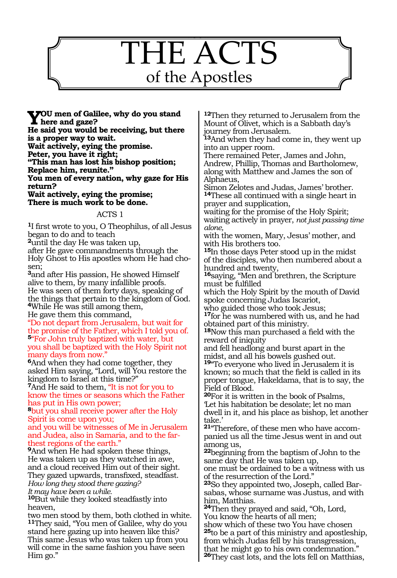

**You men of Galilee, why do you stand here and gaze?**

**He said you would be receiving, but there is a proper way to wait.**

**Wait actively, eying the promise.**

**Peter, you have it right;**

**"This man has lost his bishop position;**

**Replace him, reunite."** 

**You men of every nation, why gaze for His return?**

**Wait actively, eying the promise; There is much work to be done.**

#### ACTS 1

**<sup>1</sup>**I first wrote to you, O Theophilus, of all Jesus began to do and to teach

**<sup>2</sup>**until the day He was taken up,

after He gave commandments through the Holy Ghost to His apostles whom He had chosen;

**<sup>3</sup>**and after His passion, He showed Himself alive to them, by many infallible proofs. He was seen of them forty days, speaking of the things that pertain to the kingdom of God. **<sup>4</sup>**While He was still among them, He gave them this command,

"Do not depart from Jerusalem, but wait for the promise of the Father, which I told you of. **<sup>5</sup>**"For John truly baptized with water, but you shall be baptized with the Holy Spirit not many days from now."

**<sup>6</sup>**And when they had come together, they asked Him saying, "Lord, will You restore the kingdom to Israel at this time?"

**<sup>7</sup>**And He said to them, "It is not for you to know the times or seasons which the Father has put in His own power;

**<sup>8</sup>**but you shall receive power after the Holy Spirit is come upon you;

and you will be witnesses of Me in Jerusalem and Judea, also in Samaria, and to the farthest regions of the earth."

**<sup>9</sup>**And when He had spoken these things, He was taken up as they watched in awe, and a cloud received Him out of their sight. They gazed upwards, transfixed, steadfast. *How long they stood there gazing? It may have been a while.*

**<sup>10</sup>**But while they looked steadfastly into heaven,

two men stood by them, both clothed in white. **<sup>11</sup>**They said, "You men of Galilee, why do you stand here gazing up into heaven like this? This same Jesus who was taken up from you will come in the same fashion you have seen Him go."

**<sup>12</sup>**Then they returned to Jerusalem from the Mount of Olivet, which is a Sabbath day's journey from Jerusalem.

**<sup>13</sup>**And when they had come in, they went up into an upper room.

There remained Peter, James and John, Andrew, Phillip, Thomas and Bartholomew, along with Matthew and James the son of Alphaeus,

Simon Zelotes and Judas, James' brother. **<sup>14</sup>**These all continued with a single heart in prayer and supplication,

waiting for the promise of the Holy Spirit; waiting actively in prayer, *not just passing time alone,*

with the women, Mary, Jesus' mother, and with His brothers too.

**<sup>15</sup>**In those days Peter stood up in the midst of the disciples, who then numbered about a hundred and twenty,

**<sup>16</sup>**saying, "Men and brethren, the Scripture must be fulfilled

which the Holy Spirit by the mouth of David spoke concerning Judas Iscariot,

who guided those who took Jesus;

**<sup>17</sup>**for he was numbered with us, and he had obtained part of this ministry.

**<sup>18</sup>**Now this man purchased a field with the reward of iniquity

and fell headlong and burst apart in the midst, and all his bowels gushed out. **<sup>19</sup>**"To everyone who lived in Jerusalem it is

known; so much that the field is called in its proper tongue, Hakeldama, that is to say, the Field of Blood.

**<sup>20</sup>**For it is written in the book of Psalms, 'Let his habitation be desolate; let no man dwell in it, and his place as bishop, let another take.'

**21**"Therefore, of these men who have accompanied us all the time Jesus went in and out among us,

**<sup>22</sup>**beginning from the baptism of John to the same day that He was taken up,

one must be ordained to be a witness with us of the resurrection of the Lord."

**<sup>23</sup>**So they appointed two, Joseph, called Bar- sabas, whose surname was Justus, and with him, Matthias.

**<sup>24</sup>**Then they prayed and said, "Oh, Lord, You know the hearts of all men;

show which of these two You have chosen **<sup>25</sup>**to be a part of this ministry and apostleship, from which Judas fell by his transgression, that he might go to his own condemnation." **<sup>26</sup>**They cast lots, and the lots fell on Matthias,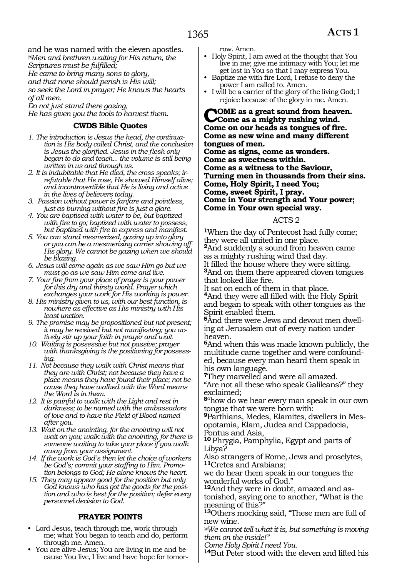and he was named with the eleven apostles. *@Men and brethren waiting for His return, the Scriptures must be fulfilled;*

*He came to bring many sons to glory,*

*and that none should perish is His will;*

*so seek the Lord in prayer; He knows the hearts of all men.*

*Do not just stand there gazing,* 

*He has given you the tools to harvest them.*

#### **CWDS Bible Quotes**

- *1. The introduction is Jesus the head, the continuation is His body called Christ, and the conclusion is Jesus the glorified. Jesus in the flesh only began to do and teach... the volume is still being written in us and through us.*
- *2. It is indubitable that He died, the cross speaks; irrefutable that He rose, He showed Himself alive; and incontrovertible that He is living and active in the lives of believers today.*
- *3. Passion without power is fanfare and pointless, just as burning without fire is just a glare.*
- *4. You are baptised with water to be, but baptized with fire to go; baptized with water to possess, but baptized with fire to express and manifest.*
- *5. You can stand mesmerized, gazing up into glory or you can be a mesmerizing carrier showing off His glory. We cannot be gazing when we should be blazing.*
- *6. Jesus will come again as we saw Him go but we must go as we saw Him come and live.*
- *7. Your fire from your place of prayer is your power for this dry and thirsty world. Prayer which exchanges your work for His working is power.*
- *8. His ministry given to us, with our best function, is nowhere as effective as His ministry with His least unction.*
- *9. The promise may be propositioned but not present; it may be received but not manifesting; you actively stir up your faith in prayer and wait.*
- *10. Waiting is possessive but not passive; prayer with thanksgiving is the positioning for possessing.*
- *11. Not because they walk with Christ means that they are with Christ; not because they have a place means they have found their place; not because they have walked with the Word means the Word is in them.*
- *12. It is painful to walk with the Light and rest in darkness; to be named with the ambassadors of love and to have the Field of Blood named after you.*
- *13. Wait on the anointing, for the anointing will not wait on you; walk with the anointing, for there is someone waiting to take your place if you walk away from your assignment.*
- *14. If the work is God's then let the choice of workers be God's; commit your staffing to Him. Promotion belongs to God; He alone knows the heart.*
- *15. They may appear good for the position but only God knows who has got the goods for the position and who is best for the position; defer every personnel decision to God.*

#### **PRAYER POINTS**

- Lord Jesus, teach through me, work through me; what You began to teach and do, perform through me. Amen.
- You are alive Jesus; You are living in me and because You live, I live and have hope for tomor-

row. Amen.

- Holy Spirit, I am awed at the thought that You live in me; give me intimacy with You; let me get lost in You so that I may express You.
- Baptize me with fire Lord, I refuse to deny the power I am called to. Amen.
- I will be a carrier of the glory of the living God; I rejoice because of the glory in me. Amen.

#### **COME** as a great sound from heaven. **Come as a mighty rushing wind. Come on our heads as tongues of fire. Come as new wine and many different tongues of men.**

**Come as signs, come as wonders. Come as sweetness within. Come as a witness to the Saviour, Turning men in thousands from their sins. Come, Holy Spirit, I need You; Come, sweet Spirit, I pray. Come in Your strength and Your power; Come in Your own special way.**

#### ACTS 2

**<sup>1</sup>**When the day of Pentecost had fully come; they were all united in one place. **<sup>2</sup>**And suddenly a sound from heaven came as a mighty rushing wind that day. It filled the house where they were sitting. **<sup>3</sup>**And on them there appeared cloven tongues

that looked like fire.

It sat on each of them in that place. **<sup>4</sup>**And they were all filled with the Holy Spirit and began to speak with other tongues as the Spirit enabled them.

**5**And there were Jews and devout men dwelling at Jerusalem out of every nation under heaven.

**<sup>6</sup>**And when this was made known publicly, the multitude came together and were confounded, because every man heard them speak in his own language.

**<sup>7</sup>**They marvelled and were all amazed. "Are not all these who speak Galileans?" they exclaimed;

**<sup>8</sup>**"how do we hear every man speak in our own tongue that we were born with:

**9**Parthians, Medes, Elamites, dwellers in Mesopotamia, Elam, Judea and Cappadocia, Pontus and Asia,

**<sup>10</sup>** Phrygia, Pamphylia, Egypt and parts of Libya?

Also strangers of Rome, Jews and proselytes, **<sup>11</sup>**Cretes and Arabians;

we do hear them speak in our tongues the wonderful works of God."

**12**And they were in doubt, amazed and astonished, saying one to another, "What is the meaning of this?"

**<sup>13</sup>**Others mocking said, "These men are full of new wine.

*@We cannot tell what it is, but something is moving them on the inside!"*

*Come Holy Spirit I need You.* 

**<sup>14</sup>**But Peter stood with the eleven and lifted his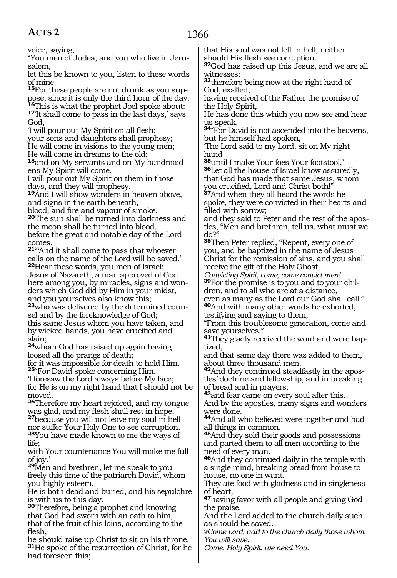voice, saying,

"You men of Judea, and you who live in Jerusalem,

let this be known to you, listen to these words of mine.

**15**For these people are not drunk as you suppose, since it is only the third hour of the day.<br>**In This is what the prophet Joel spoke about:** <sup>17</sup>It shall come to pass in the last days,' says God,

'I will pour out My Spirit on all flesh: your sons and daughters shall prophesy; He will come in visions to the young men; He will come in dreams to the old;

**18**and on My servants and on My handmaidens My Spirit will come.

I will pour out My Spirit on them in those days, and they will prophesy.

**<sup>19</sup>**And I will show wonders in heaven above, and signs in the earth beneath,

blood, and fire and vapour of smoke.

**<sup>20</sup>**The sun shall be turned into darkness and the moon shall be turned into blood, before the great and notable day of the Lord comes.

**<sup>21</sup>**"'And it shall come to pass that whoever calls on the name of the Lord will be saved.'

**<sup>22</sup>**Hear these words, you men of Israel: Jesus of Nazareth, a man approved of God here among you, by miracles, signs and wonders which God did by Him in your midst, and you yourselves also know this;

**23**who was delivered by the determined counsel and by the foreknowledge of God; this same Jesus whom you have taken, and by wicked hands, you have crucified and slain;

**<sup>24</sup>**whom God has raised up again having loosed all the prangs of death;

for it was impossible for death to hold Him. **<sup>25</sup>**"For David spoke concerning Him,

'I foresaw the Lord always before My face; for He is on my right hand that I should not be moved.

**<sup>26</sup>**Therefore my heart rejoiced, and my tongue was glad, and my flesh shall rest in hope,

**<sup>27</sup>**because you will not leave my soul in hell nor suffer Your Holy One to see corruption. **<sup>28</sup>**You have made known to me the ways of life;

with Your countenance You will make me full of joy.'

**<sup>29</sup>**Men and brethren, let me speak to you freely this time of the patriarch David, whom you highly esteem.

He is both dead and buried, and his sepulchre is with us to this day.

**<sup>30</sup>**Therefore, being a prophet and knowing that God had sworn with an oath to him, that of the fruit of his loins, according to the flesh,

he should raise up Christ to sit on his throne. **<sup>31</sup>**He spoke of the resurrection of Christ, for he had foreseen this;

that His soul was not left in hell, neither should His flesh see corruption.

**<sup>32</sup>**God has raised up this Jesus, and we are all witnesses;

**<sup>33</sup>**therefore being now at the right hand of God, exalted,

having received of the Father the promise of the Holy Spirit,

He has done this which you now see and hear us speak.

**<sup>34</sup>**"For David is not ascended into the heavens, but he himself had spoken,

'The Lord said to my Lord, sit on My right hand

**<sup>35</sup>**until I make Your foes Your footstool.' **<sup>36</sup>**Let all the house of Israel know assuredly, that God has made that same Jesus, whom you crucified, Lord and Christ both!"

**<sup>37</sup>**And when they all heard the words he spoke, they were convicted in their hearts and filled with sorrow;

and they said to Peter and the rest of the apostles, "Men and brethren, tell us, what must we do?"

**<sup>38</sup>**Then Peter replied, "Repent, every one of you, and be baptized in the name of Jesus Christ for the remission of sins, and you shall receive the gift of the Holy Ghost.

*Convicting Spirit, come; come convict men!* **39**For the promise is to you and to your children, and to all who are at a distance,

even as many as the Lord our God shall call." **<sup>40</sup>**And with many other words he exhorted, testifying and saying to them,

"From this troublesome generation, come and save yourselves."

**41**They gladly received the word and were bap-<br>tized.

and that same day there was added to them, about three thousand men.

**<sup>42</sup>**And they continued steadfastly in the apos- tles' doctrine and fellowship, and in breaking of bread and in prayers;

**<sup>43</sup>**and fear came on every soul after this.

And by the apostles, many signs and wonders were done.

**<sup>44</sup>**And all who believed were together and had all things in common.

**<sup>45</sup>**And they sold their goods and possessions and parted them to all men according to the need of every man.

**<sup>46</sup>**And they continued daily in the temple with a single mind, breaking bread from house to house, no one in want.

They ate food with gladness and in singleness of heart,

**<sup>47</sup>**having favor with all people and giving God the praise.

And the Lord added to the church daily such as should be saved.

*@Come Lord, add to the church daily those whom You will save.*

*Come, Holy Spirit, we need You.*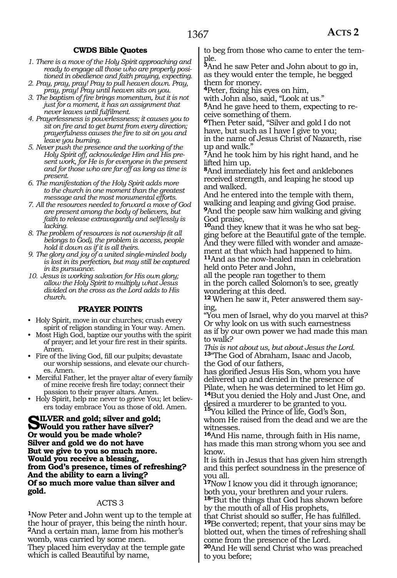#### **CWDS Bible Quotes**

- *1. There is a move of the Holy Spirit approaching and ready to engage all those who are properly positioned in obedience and faith praying, expecting.*
- *2. Pray, pray, pray! Pray to pull heaven down. Pray, pray, pray! Pray until heaven sits on you.*
- *3. The baptism of fire brings momentum, but it is not just for a moment, it has an assignment that never leaves until fulfilment.*
- *4. Prayerlessness is powerlessness; it causes you to sit on fire and to get burnt from every direction; prayerfulness causes the fire to sit on you and leave you burning.*
- *5. Never push the presence and the working of the Holy Spirit off, acknowledge Him and His present work, for He is for everyone in the present and for those who are far off as long as time is present.*
- *6. The manifestation of the Holy Spirit adds more to the church in one moment than the greatest message and the most monumental efforts.*
- *7. All the resources needed to forward a move of God are present among the body of believers, but faith to release extravagantly and selflessly is lacking.*
- *8. The problem of resources is not ownership (it all belongs to God), the problem is access, people hold it down as if it is all theirs.*
- *9. The glory and joy of a united single-minded body is lost in its perfection, but may still be captured in its pursuance.*
- *10. Jesus is working salvation for His own glory; allow the Holy Spirit to multiply what Jesus divided on the cross as the Lord adds to His church.*

#### **PRAYER POINTS**

- Holy Spirit, move in our churches; crush every spirit of religion standing in Your way. Amen.
- Most High God, baptize our youths with the spirit of prayer; and let your fire rest in their spirits. Amen.
- Fire of the living God, fill our pulpits; devastate our worship sessions, and elevate our churches. Amen.
- Merciful Father, let the prayer altar of every family of mine receive fresh fire today; connect their passion to their prayer altars. Amen.
- Holy Spirit, help me never to grieve You; let believers today embrace You as those of old. Amen.

**Silver and gold; silver and gold; Would you rather have silver? Or would you be made whole? Silver and gold we do not have But we give to you so much more. Would you receive a blessing, from God's presence, times of refreshing? And the ability to earn a living? Of so much more value than silver and gold.**

#### ACTS 3

**<sup>1</sup>**Now Peter and John went up to the temple at the hour of prayer, this being the ninth hour. **<sup>2</sup>**And a certain man, lame from his mother's womb, was carried by some men. They placed him everyday at the temple gate

which is called Beautiful by name,

to beg from those who came to enter the tem- ple.

**<sup>3</sup>**And he saw Peter and John about to go in, as they would enter the temple, he begged them for money.

**<sup>4</sup>**Peter, fixing his eyes on him,

with John also, said, "Look at us."

**5**And he gave heed to them, expecting to receive something of them.

**<sup>6</sup>**Then Peter said, "Silver and gold I do not have, but such as I have I give to you; in the name of Jesus Christ of Nazareth, rise up and walk.

**<sup>7</sup>**And he took him by his right hand, and he lifted him up.

**<sup>8</sup>**And immediately his feet and anklebones received strength, and leaping he stood up and walked.

And he entered into the temple with them, walking and leaping and giving God praise. **<sup>9</sup>**And the people saw him walking and giving God praise,

**10**and they knew that it was he who sat begging before at the Beautiful gate of the temple. And they were filled with wonder and amazement at that which had happened to him.

**<sup>11</sup>**And as the now-healed man in celebration held onto Peter and John,

all the people ran together to them in the porch called Solomon's to see, greatly wondering at this deed.

**<sup>12</sup>** When he saw it, Peter answered them saying,

"You men of Israel, why do you marvel at this? Or why look on us with such earnestness as if by our own power we had made this man to walk?

*This is not about us, but about Jesus the Lord.* **<sup>13</sup>**"The God of Abraham, Isaac and Jacob, the God of our fathers,

has glorified Jesus His Son, whom you have delivered up and denied in the presence of Pilate, when he was determined to let Him go. **<sup>14</sup>**But you denied the Holy and Just One, and

desired a murderer to be granted to you. **<sup>15</sup>**You killed the Prince of life, God's Son, whom He raised from the dead and we are the witnesses.

**<sup>16</sup>**And His name, through faith in His name, has made this man strong whom you see and know.

It is faith in Jesus that has given him strength and this perfect soundness in the presence of you all.

**<sup>17</sup>**Now I know you did it through ignorance; both you, your brethren and your rulers. **<sup>18</sup>**"But the things that God has shown before

by the mouth of all of His prophets, that Christ should so suffer, He has fulfilled. **<sup>19</sup>**Be converted; repent, that your sins may be blotted out, when the times of refreshing shall

come from the presence of the Lord. **<sup>20</sup>**And He will send Christ who was preached to you before;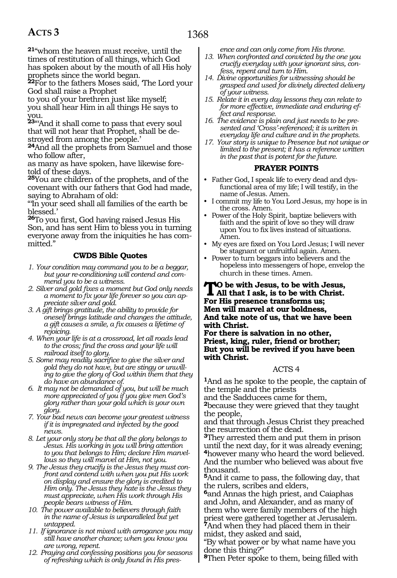**<sup>21</sup>**"whom the heaven must receive, until the times of restitution of all things, which God has spoken about by the mouth of all His holy prophets since the world began.

**<sup>22</sup>**For to the fathers Moses said, 'The Lord your God shall raise a Prophet

to you of your brethren just like myself; you shall hear Him in all things He says to you.

**<sup>23</sup>**"'And it shall come to pass that every soul that will not hear that Prophet, shall be destroyed from among the people.'

**<sup>24</sup>**And all the prophets from Samuel and those who follow after,

as many as have spoken, have likewise foretold of these days.

**<sup>25</sup>**You are children of the prophets, and of the covenant with our fathers that God had made, saying to Abraham of old:

"'In your seed shall all families of the earth be blessed.'

**<sup>26</sup>**To you first, God having raised Jesus His Son, and has sent Him to bless you in turning everyone away from the iniquities he has committed."

#### **CWDS Bible Quotes**

- *1. Your condition may command you to be a beggar, but your re-conditioning will contend and commend you to be a witness.*
- *2. Silver and gold fixes a moment but God only needs a moment to fix your life forever so you can appreciate silver and gold.*
- *3. A gift brings gratitude, the ability to provide for oneself brings latitude and changes the attitude, a gift causes a smile, a fix causes a lifetime of rejoicing.*
- *4. When your life is at a crossroad, let all roads lead to the cross; find the cross and your life will railroad itself to glory.*
- *5. Some may readily sacrifice to give the silver and gold they do not have, but are stingy or unwilling to give the glory of God within them that they do have an abundance of.*
- *6. It may not be demanded of you, but will be much more appreciated of you if you give men God's glory rather than your gold which is your own glory.*
- *7. Your bad news can become your greatest witness if it is impregnated and infected by the good news.*
- *8. Let your only story be that all the glory belongs to Jesus. His working in you will bring attention to you that belongs to Him; declare Him marvellous so they will marvel at Him, not you.*
- *9. The Jesus they crucify is the Jesus they must confront and contend with when you put His work on display and ensure the glory is credited to Him only. The Jesus they hate is the Jesus they must appreciate, when His work through His people bears witness of Him.*
- *10. The power available to believers through faith in the name of Jesus is unparalleled but yet untapped.*
- *11. If ignorance is not mixed with arrogance you may still have another chance; when you know you are wrong, repent.*
- *12. Praying and confessing positions you for seasons of refreshing which is only found in His pres-*

*ence and can only come from His throne.*

- *13. When confronted and convicted by the one you crucify everyday with your ignorant sins, confess, repent and turn to Him.*
- *14. Divine opportunities for witnessing should be grasped and used for divinely directed delivery of your witness.*
- *15. Relate it in every day lessons they can relate to for more effective, immediate and enduring effect and response.*
- *16. The evidence is plain and just needs to be presented and 'Cross'-referenced; it is written in everyday life and culture and in the prophets.*
- *17. Your story is unique to Presence but not unique or limited to the present; it has a reference written in the past that is potent for the future.*

#### **PRAYER POINTS**

- Father God, I speak life to every dead and dysfunctional area of my life; I will testify, in the name of Jesus. Amen.
- I commit my life to You Lord Jesus, my hope is in the cross. Amen.
- Power of the Holy Spirit, baptize believers with faith and the spirit of love so they will draw upon You to fix lives instead of situations. Amen.
- My eyes are fixed on You Lord Jesus; I will never be stagnant or unfruitful again. Amen.
- Power to turn beggars into believers and the hopeless into messengers of hope, envelop the church in these times. Amen.

### **To be with Jesus, to be with Jesus, All that I ask, is to be with Christ. For His presence transforms us; Men will marvel at our boldness, And take note of us, that we have been with Christ.**

**For there is salvation in no other, Priest, king, ruler, friend or brother; But you will be revived if you have been with Christ.**

#### ACTS 4

**<sup>1</sup>**And as he spoke to the people, the captain of the temple and the priests

and the Sadducees came for them,

**<sup>2</sup>**because they were grieved that they taught the people,

and that through Jesus Christ they preached the resurrection of the dead.

**<sup>3</sup>**They arrested them and put them in prison until the next day, for it was already evening; **<sup>4</sup>**however many who heard the word believed. And the number who believed was about five thousand.

**<sup>5</sup>**And it came to pass, the following day, that the rulers, scribes and elders,

**<sup>6</sup>**and Annas the high priest, and Caiaphas and John, and Alexander, and as many of them who were family members of the high priest were gathered together at Jerusalem. **<sup>7</sup>**And when they had placed them in their midst, they asked and said,

"By what power or by what name have you done this thing?"

**<sup>8</sup>**Then Peter spoke to them, being filled with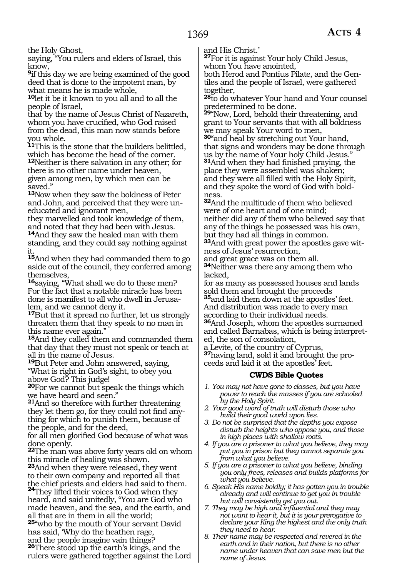the Holy Ghost,

saying, "You rulers and elders of Israel, this know,

**<sup>9</sup>**if this day we are being examined of the good deed that is done to the impotent man, by what means he is made whole,

**<sup>10</sup>**let it be it known to you all and to all the people of Israel,

that by the name of Jesus Christ of Nazareth, whom you have crucified, who God raised from the dead, this man now stands before you whole.

**<sup>11</sup>**This is the stone that the builders belittled, which has become the head of the corner.

**<sup>12</sup>**Neither is there salvation in any other; for there is no other name under heaven, given among men, by which men can be saved."

**<sup>13</sup>**Now when they saw the boldness of Peter and John, and perceived that they were uneducated and ignorant men,

they marvelled and took knowledge of them, and noted that they had been with Jesus.

**<sup>14</sup>**And they saw the healed man with them standing, and they could say nothing against it.

**<sup>15</sup>**And when they had commanded them to go aside out of the council, they conferred among themselves,

**<sup>16</sup>**saying, "What shall we do to these men? For the fact that a notable miracle has been done is manifest to all who dwell in Jerusalem, and we cannot deny it.

**<sup>17</sup>**But that it spread no further, let us strongly threaten them that they speak to no man in this name ever again."

**<sup>18</sup>**And they called them and commanded them that day that they must not speak or teach at all in the name of Jesus.

**<sup>19</sup>**But Peter and John answered, saying, "What is right in God's sight, to obey you above God? This judge!

**<sup>20</sup>**For we cannot but speak the things which we have heard and seen."

**<sup>21</sup>**And so therefore with further threatening they let them go, for they could not find any- thing for which to punish them, because of the people, and for the deed,

for all men glorified God because of what was done openly.

**<sup>22</sup>**The man was above forty years old on whom this miracle of healing was shown.

**<sup>23</sup>**And when they were released, they went to their own company and reported all that

the chief priests and elders had said to them. **<sup>24</sup>**They lifted their voices to God when they heard, and said unitedly, "You are God who made heaven, and the sea, and the earth, and all that are in them in all the world;

**<sup>25</sup>**"who by the mouth of Your servant David has said, 'Why do the heathen rage, and the people imagine vain things?

**<sup>26</sup>**There stood up the earth's kings, and the rulers were gathered together against the Lord and His Christ.'

**<sup>27</sup>**For it is against Your holy Child Jesus, whom You have anointed,

both Herod and Pontius Pilate, and the Gentiles and the people of Israel, were gathered together,

**<sup>28</sup>**to do whatever Your hand and Your counsel predetermined to be done.

**<sup>29</sup>**"Now, Lord, behold their threatening, and grant to Your servants that with all boldness we may speak Your word to men,

**<sup>30</sup>**"and heal by stretching out Your hand, that signs and wonders may be done through us by the name of Your holy Child Jesus." **<sup>31</sup>**And when they had finished praying, the

place they were assembled was shaken; and they were all filled with the Holy Spirit, and they spoke the word of God with boldness.

**<sup>32</sup>**And the multitude of them who believed were of one heart and of one mind; neither did any of them who believed say that any of the things he possessed was his own, but they had all things in common.

**33**And with great power the apostles gave witness of Jesus' resurrection,

and great grace was on them all.

**<sup>34</sup>**Neither was there any among them who lacked,

for as many as possessed houses and lands sold them and brought the proceeds **<sup>35</sup>**and laid them down at the apostles' feet. And distribution was made to every man according to their individual needs.

**<sup>36</sup>**And Joseph, whom the apostles surnamed and called Barnabas, which is being interpreted, the son of consolation,

a Levite, of the country of Cyprus,

**<sup>37</sup>**having land, sold it and brought the pro- ceeds and laid it at the apostles' feet.

#### **CWDS Bible Quotes**

- *1. You may not have gone to classes, but you have power to reach the masses if you are schooled by the Holy Spirit.*
- *2. Your good word of truth will disturb those who build their good world upon lies.*
- *3. Do not be surprised that the depths you expose disturb the heights who oppose you, and those in high places with shallow roots.*
- *4. If you are a prisoner to what you believe, they may put you in prison but they cannot separate you from what you believe.*
- *5. If you are a prisoner to what you believe, binding you only frees, releases and builds platforms for what you believe.*
- *6. Speak His name boldly; it has gotten you in trouble already and will continue to get you in trouble but will consistently get you out.*
- *7. They may be high and influential and they may not want to hear it, but it is your prerogative to declare your King the highest and the only truth they need to hear.*
- *8. Their name may be respected and revered in the earth and in their nation, but there is no other name under heaven that can save men but the name of Jesus.*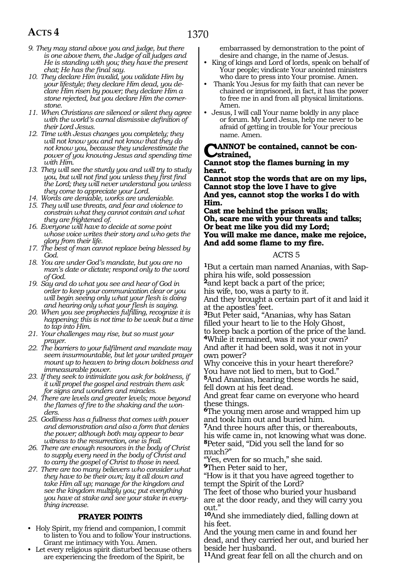- *9. They may stand above you and judge, but there is one above them, the Judge of all judges and He is standing with you; they have the present chat; He has the final say.*
- *10. They declare Him invalid, you validate Him by your lifestyle; they declare Him dead, you declare Him risen by power; they declare Him a stone rejected, but you declare Him the cornerstone.*
- *11. When Christians are silenced or silent they agree with the world's carnal dismissive definition of their Lord Jesus.*
- *12. Time with Jesus changes you completely; they will not know you and not know that they do not know you, because they underestimate the power of you knowing Jesus and spending time with Him.*
- *13. They will see the sturdy you and will try to study you, but will not find you unless they first find the Lord; they will never understand you unless they come to appreciate your Lord.*
- *14. Words are deniable, works are undeniable.*
- *15. They will use threats, and fear and violence to constrain what they cannot contain and what they are frightened of.*
- *16. Everyone will have to decide at some point whose voice writes their story and who gets the glory from their life.*
- *17. The best of man cannot replace being blessed by God.*
- *18. You are under God's mandate, but you are no man's date or dictate; respond only to the word of God.*
- *19. Say and do what you see and hear of God in order to keep your communication clear or you will begin seeing only what your flesh is doing and hearing only what your flesh is saying.*
- *20. When you see prophecies fulfilling, recognize it is happening; this is not time to be weak but a time to tap into Him.*
- *21. Your challenges may rise, but so must your prayer.*
- *22. The barriers to your fulfilment and mandate may seem insurmountable, but let your united prayer mount up to heaven to bring down boldness and immeasurable power.*
- *23. If they seek to intimidate you ask for boldness, if it will propel the gospel and restrain them ask for signs and wonders and miracles.*
- *24. There are levels and greater levels; move beyond the flames of fire to the shaking and the wonders.*
- *25. Godliness has a fullness that comes with power and demonstration and also a form that denies the power; although both may appear to bear witness to the resurrection, one is frail.*
- *26. There are enough resources in the body of Christ to supply every need in the body of Christ and to carry the gospel of Christ to those in need.*
- *27. There are too many believers who consider what they have to be their own; lay it all down and take Him all up; manage for the kingdom and see the kingdom multiply you; put everything you have at stake and see your stake in everything increase.*

#### **PRAYER POINTS**

- Holy Spirit, my friend and companion, I commit to listen to You and to follow Your instructions. Grant me intimacy with You. Amen.
- Let every religious spirit disturbed because others are experiencing the freedom of the Spirit, be

embarrassed by demonstration to the point of desire and change, in the name of Jesus.

- King of kings and Lord of lords, speak on behalf of Your people; vindicate Your anointed ministers who dare to press into Your promise. Amen.
- Thank You Jesus for my faith that can never be chained or imprisoned, in fact, it has the power to free me in and from all physical limitations. Amen.
- Jesus, I will call Your name boldly in any place or forum. My Lord Jesus, help me never to be afraid of getting in trouble for Your precious name. Amen.

#### **CANNOT** be contained, cannot be con**strained,**

#### **Cannot stop the flames burning in my heart.**

**Cannot stop the words that are on my lips, Cannot stop the love I have to give And yes, cannot stop the works I do with Him.**

**Cast me behind the prison walls; Oh, scare me with your threats and talks; Or beat me like you did my Lord; You will make me dance, make me rejoice, And add some flame to my fire.**

#### ACTS 5

**1**But a certain man named Ananias, with Sapphira his wife, sold possession

**<sup>2</sup>**and kept back a part of the price;

his wife, too, was a party to it.

And they brought a certain part of it and laid it at the apostles' feet.

**<sup>3</sup>**But Peter said, "Ananias, why has Satan filled your heart to lie to the Holy Ghost, to keep back a portion of the price of the land. **<sup>4</sup>**While it remained, was it not your own? And after it had been sold, was it not in your own power?

Why conceive this in your heart therefore? You have not lied to men, but to God." **<sup>5</sup>**And Ananias, hearing these words he said, fell down at his feet dead.

And great fear came on everyone who heard these things.

**<sup>6</sup>**The young men arose and wrapped him up and took him out and buried him.

**<sup>7</sup>**And three hours after this, or thereabouts, his wife came in, not knowing what was done. **<sup>8</sup>**Peter said, "Did you sell the land for so much?"

"Yes, even for so much," she said.

**<sup>9</sup>**Then Peter said to her,

"How is it that you have agreed together to tempt the Spirit of the Lord?

The feet of those who buried your husband are at the door ready, and they will carry you out."

**<sup>10</sup>**And she immediately died, falling down at his feet.

And the young men came in and found her dead, and they carried her out, and buried her beside her husband.

**<sup>11</sup>**And great fear fell on all the church and on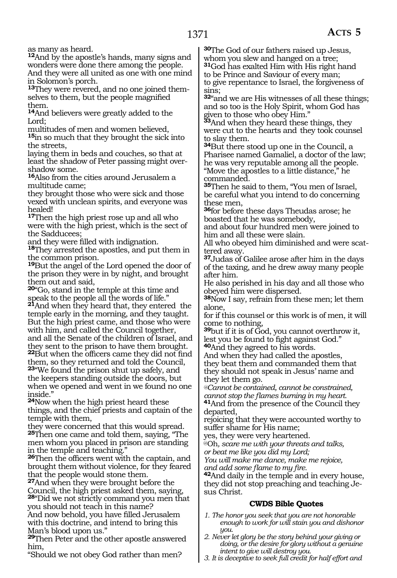**<sup>12</sup>**And by the apostle's hands, many signs and wonders were done there among the people. And they were all united as one with one mind in Solomon's porch.

**13**They were revered, and no one joined themselves to them, but the people magnified them.

**<sup>14</sup>**And believers were greatly added to the Lord;

multitudes of men and women believed, **<sup>15</sup>**in so much that they brought the sick into the streets,

laying them in beds and couches, so that at least the shadow of Peter passing might overshadow some.

**<sup>16</sup>**Also from the cities around Jerusalem a multitude came;

they brought those who were sick and those vexed with unclean spirits, and everyone was healed!

**<sup>17</sup>**Then the high priest rose up and all who were with the high priest, which is the sect of the Sadducees;

and they were filled with indignation.

**<sup>18</sup>**They arrested the apostles, and put them in the common prison.

**<sup>19</sup>**But the angel of the Lord opened the door of the prison they were in by night, and brought them out and said,

**<sup>20</sup>**"Go, stand in the temple at this time and speak to the people all the words of life." **<sup>21</sup>**And when they heard that, they entered the temple early in the morning, and they taught. But the high priest came, and those who were with him, and called the Council together, and all the Senate of the children of Israel, and they sent to the prison to have them brought. **<sup>22</sup>**But when the officers came they did not find them, so they returned and told the Council, **<sup>23</sup>**"We found the prison shut up safely, and the keepers standing outside the doors, but when we opened and went in we found no one inside."

**<sup>24</sup>**Now when the high priest heard these things, and the chief priests and captain of the temple with them,

they were concerned that this would spread. **<sup>25</sup>**Then one came and told them, saying, "The men whom you placed in prison are standing in the temple and teaching.

**<sup>26</sup>**Then the officers went with the captain, and brought them without violence, for they feared that the people would stone them.

**<sup>27</sup>**And when they were brought before the Council, the high priest asked them, saying, **<sup>28</sup>**"Did we not strictly command you men that you should not teach in this name?

And now behold, you have filled Jerusalem with this doctrine, and intend to bring this Man's blood upon us."

**<sup>29</sup>**Then Peter and the other apostle answered him,

"Should we not obey God rather than men?

**<sup>30</sup>**The God of our fathers raised up Jesus, whom you slew and hanged on a tree; **<sup>31</sup>**God has exalted Him with His right hand

to be Prince and Saviour of every man; to give repentance to Israel, the forgiveness of sins;

**<sup>32</sup>**"and we are His witnesses of all these things; and so too is the Holy Spirit, whom God has given to those who obey Him."

**<sup>33</sup>**And when they heard these things, they were cut to the hearts and they took counsel to slay them.

**<sup>34</sup>**But there stood up one in the Council, a Pharisee named Gamaliel, a doctor of the law; he was very reputable among all the people. "Move the apostles to a little distance," he commanded.

**<sup>35</sup>**Then he said to them, "You men of Israel, be careful what you intend to do concerning these men,

**<sup>36</sup>**for before these days Theudas arose; he boasted that he was somebody,

and about four hundred men were joined to him and all these were slain.

All who obeyed him diminished and were scattered away.

**<sup>37</sup>**Judas of Galilee arose after him in the days of the taxing, and he drew away many people after him.

He also perished in his day and all those who obeyed him were dispersed.

**<sup>38</sup>**Now I say, refrain from these men; let them alone,

for if this counsel or this work is of men, it will come to nothing,

**<sup>39</sup>**but if it is of God, you cannot overthrow it, lest you be found to fight against God."

**<sup>40</sup>**And they agreed to his words. And when they had called the apostles, they beat them and commanded them that they should not speak in Jesus' name and they let them go.

*@Cannot be contained, cannot be constrained, cannot stop the flames burning in my heart.*

**<sup>41</sup>**And from the presence of the Council they departed,

rejoicing that they were accounted worthy to suffer shame for His name;

yes, they were very heartened.

@Oh*, scare me with your threats and talks,*

*or beat me like you did my Lord;*

*You will make me dance, make me rejoice, and add some flame to my fire.*

**<sup>42</sup>**And daily in the temple and in every house, they did not stop preaching and teaching Jesus Christ.

### **CWDS Bible Quotes**

- *1. The honor you seek that you are not honorable enough to work for will stain you and dishonor you.*
- *2. Never let glory be the story behind your giving or doing, or the desire for glory without a genuine intent to give will destroy you.*
- *3. It is deceptive to seek full credit for half effort and*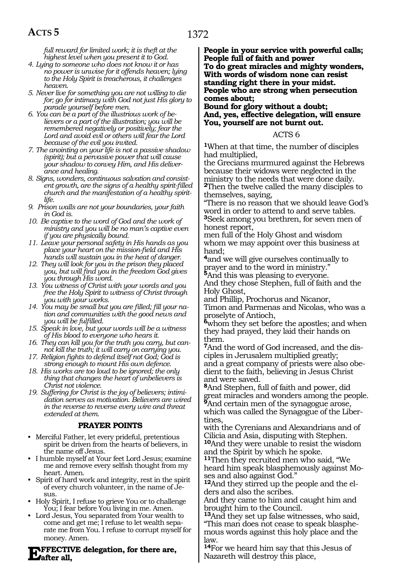*full reward for limited work; it is theft at the highest level when you present it to God.*

- *4. Lying to someone who does not know it or has no power is unwise for it offends heaven; lying to the Holy Spirit is treacherous, it challenges heaven.*
- *5. Never live for something you are not willing to die for; go for intimacy with God not just His glory to parade yourself before men.*
- *6. You can be a part of the illustrious work of believers or a part of the illustration; you will be remembered negatively or positively; fear the Lord and avoid evil or others will fear the Lord because of the evil you invited.*
- *7. The anointing on your life is not a passive shadow (spirit); but a pervasive power that will cause your shadow to convey Him, and His deliverance and healing.*
- *8. Signs, wonders, continuous salvation and consistent growth, are the signs of a healthy spirit-filled church and the manifestation of a healthy spiritlife.*
- *9. Prison walls are not your boundaries, your faith in God is.*
- *10. Be captive to the word of God and the work of ministry and you will be no man's captive even if you are physically bound.*
- *11. Leave your personal safety in His hands as you place your heart on the mission-field and His hands will sustain you in the heat of danger.*
- *12. They will look for you in the prison they placed you, but will find you in the freedom God gives you through His word.*
- *13. You witness of Christ with your words and you free the Holy Spirit to witness of Christ through you with your works.*
- *14. You may be small but you are filled; fill your nation and communities with the good news and you will be fulfilled.*
- *15. Speak in love, but your words will be a witness of His blood to everyone who hears it.*
- *16. They can kill you for the truth you carry, but cannot kill the truth; it will carry on carrying you.*
- *17. Religion fights to defend itself not God; God is strong enough to mount His own defence.*
- *18. His works are too loud to be ignored; the only thing that changes the heart of unbelievers is Christ not violence.*
- *19. Suffering for Christ is the joy of believers; intimidation serves as motivation. Believers are wired in the reverse to reverse every wire and threat extended at them.*

#### **PRAYER POINTS**

- Merciful Father, let every prideful, pretentious spirit be driven from the hearts of believers, in the name off Jesus.
- I humble myself at Your feet Lord Jesus; examine me and remove every selfish thought from my heart. Amen.
- Spirit of hard work and integrity, rest in the spirit of every church volunteer, in the name of Jesus.
- Holy Spirit, I refuse to grieve You or to challenge You; I fear before You living in me. Amen.
- Lord Jesus, You separated from Your wealth to come and get me; I refuse to let wealth separate me from You. I refuse to corrupt myself for money. Amen.

## **Exercity Exercise Exercise A**<br> **EV**<br> **after all,**

**People in your service with powerful calls; People full of faith and power To do great miracles and mighty wonders, With words of wisdom none can resist standing right there in your midst. People who are strong when persecution comes about;** 

**Bound for glory without a doubt; And, yes, effective delegation, will ensure You, yourself are not burnt out.** 

#### ACTS 6

**<sup>1</sup>**When at that time, the number of disciples had multiplied,

the Grecians murmured against the Hebrews because their widows were neglected in the ministry to the needs that were done daily. **<sup>2</sup>**Then the twelve called the many disciples to themselves, saying,

"There is no reason that we should leave God's word in order to attend to and serve tables. **<sup>3</sup>**Seek among you brethren, for seven men of honest report,

men full of the Holy Ghost and wisdom whom we may appoint over this business at hand;

**<sup>4</sup>**and we will give ourselves continually to prayer and to the word in ministry."

**<sup>5</sup>**And this was pleasing to everyone. And they chose Stephen, full of faith and the Holy Ghost,

and Phillip, Prochorus and Nicanor, Timon and Parmenas and Nicolas, who was a proselyte of Antioch,

**<sup>6</sup>**whom they set before the apostles; and when they had prayed, they laid their hands on them.

**<sup>7</sup>**And the word of God increased, and the dis- ciples in Jerusalem multiplied greatly; and a great company of priests were also obe- dient to the faith, believing in Jesus Christ and were saved.

**<sup>8</sup>**And Stephen, full of faith and power, did great miracles and wonders among the people. <sup>9</sup>And certain men of the synagogue arose, which was called the Synagogue of the Liber-

tines, with the Cyrenians and Alexandrians and of Cilicia and Asia, disputing with Stephen. **<sup>10</sup>**And they were unable to resist the wisdom

and the Spirit by which he spoke. **<sup>11</sup>**Then they recruited men who said, "We heard him speak blasphemously against Moses and also against God."

**12**And they stirred up the people and the elders and also the scribes.

And they came to him and caught him and brought him to the Council.

**<sup>13</sup>**And they set up false witnesses, who said, "This man does not cease to speak blasphemous words against this holy place and the law.

**<sup>14</sup>**For we heard him say that this Jesus of Nazareth will destroy this place,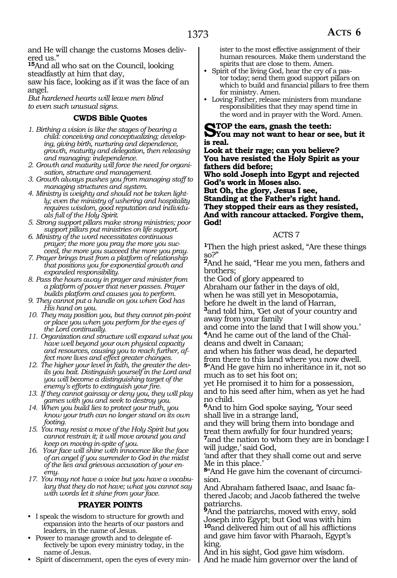and He will change the customs Moses delivered us."

**<sup>15</sup>**And all who sat on the Council, looking steadfastly at him that day,

saw his face, looking as if it was the face of an angel.

*But hardened hearts will leave men blind to even such unusual signs.* 

#### **CWDS Bible Quotes**

- *1. Birthing a vision is like the stages of bearing a child: conceiving and conceptualizing; developing, giving birth, nurturing and dependence, growth, maturity and delegation, then releasing and managing: independence.*
- *2. Growth and maturity will force the need for organisation, structure and management.*
- *3. Growth always pushes you from managing staff to managing structures and system.*
- *4. Ministry is weighty and should not be taken lightly; even the ministry of ushering and hospitality requires wisdom, good reputation and individuals full of the Holy Spirit.*
- *5. Strong support pillars make strong ministries; poor support pillars put ministries on life support.*
- *6. Ministry of the word necessitates continuous prayer; the more you pray the more you succeed, the more you succeed the more you pray.*
- *7. Prayer brings trust from a platform of relationship that positions you for exponential growth and expanded responsibility.*
- *8. Pass the hours away in prayer and minister from a platform of power that never passes. Prayer builds platform and causes you to perform.*
- *9. They cannot put a handle on you when God has His hand on you.*
- *10. They may position you, but they cannot pin-point or place you when you perform for the eyes of the Lord continually.*
- *11. Organization and structure will expand what you have well beyond your own physical capacity and resources, causing you to reach further, affect more lives and effect greater changes.*
- *12. The higher your level in faith, the greater the devils you bait. Distinguish yourself in the Lord and you will become a distinguishing target of the enemy's efforts to extinguish your fire.*
- *13. If they cannot gainsay or deny you, they will play games with you and seek to destroy you.*
- *14. When you build lies to protect your truth, you know your truth can no longer stand on its own footing.*
- *15. You may resist a move of the Holy Spirit but you cannot restrain it; it will move around you and keep on moving in-spite of you.*
- *16. Your face will shine with innocence like the face of an angel if you surrender to God in the midst of the lies and grievous accusation of your enemy.*
- *17. You may not have a voice but you have a vocabulary that they do not have; what you cannot say with words let it shine from your face.*

#### **PRAYER POINTS**

- I speak the wisdom to structure for growth and expansion into the hearts of our pastors and leaders, in the name of Jesus.
- Power to manage growth and to delegate effectively be upon every ministry today, in the name of Jesus.
- Spirit of discernment, open the eyes of every min-

ister to the most effective assignment of their human resources. Make them understand the spirits that are close to them. Amen.

- Spirit of the living God, hear the cry of a pastor today; send them good support pillars on which to build and financial pillars to free them for ministry. Amen.
- Loving Father, release ministers from mundane responsibilities that they may spend time in the word and in prayer with the Word. Amen.

**STOP** the ears, gnash the teeth:<br> **SYOU** may not want to hear or see, but it **is real.**

**Look at their rage; can you believe? You have resisted the Holy Spirit as your fathers did before;**

**Who sold Joseph into Egypt and rejected God's work in Moses also.**

**But Oh, the glory, Jesus I see,**

**Standing at the Father's right hand. They stopped their ears as they resisted, And with rancour attacked. Forgive them, God!**

#### ACTS 7

**<sup>1</sup>**Then the high priest asked, "Are these things so?"

**<sup>2</sup>**And he said, "Hear me you men, fathers and brothers;

the God of glory appeared to

Abraham our father in the days of old,

when he was still yet in Mesopotamia,

before he dwelt in the land of Harran, **<sup>3</sup>**and told him, 'Get out of your country and away from your family

and come into the land that I will show you.' **4**And he came out of the land of the Chal-

deans and dwelt in Canaan; and when his father was dead, he departed from there to this land where you now dwell.

**<sup>5</sup>**"And He gave him no inheritance in it, not so much as to set his foot on;

yet He promised it to him for a possession, and to his seed after him, when as yet he had no child.

**<sup>6</sup>**And to him God spoke saying, 'Your seed shall live in a strange land,

and they will bring them into bondage and treat them awfully for four hundred years;

**<sup>7</sup>**and the nation to whom they are in bondage I will judge,' said God,

'and after that they shall come out and serve Me in this place.'

**8**"And He gave him the covenant of circumcision.

And Abraham fathered Isaac, and Isaac fa- thered Jacob; and Jacob fathered the twelve patriarchs.

**<sup>9</sup>**And the patriarchs, moved with envy, sold Joseph into Egypt; but God was with him **<sup>10</sup>**and delivered him out of all his afflictions and gave him favor with Pharaoh, Egypt's king.

And in his sight, God gave him wisdom. And he made him governor over the land of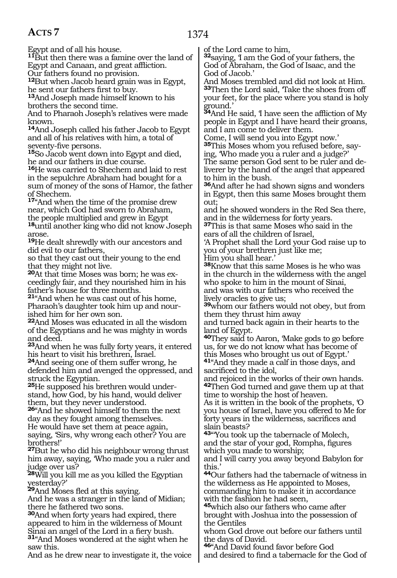Egypt and of all his house.

**<sup>11</sup>**But then there was a famine over the land of Egypt and Canaan, and great affliction.

Our fathers found no provision.

**<sup>12</sup>**But when Jacob heard grain was in Egypt, he sent our fathers first to buy.

**<sup>13</sup>**And Joseph made himself known to his brothers the second time.

And to Pharaoh Joseph's relatives were made known.

**<sup>14</sup>**And Joseph called his father Jacob to Egypt and all of his relatives with him, a total of seventy-five persons.

**<sup>15</sup>**So Jacob went down into Egypt and died, he and our fathers in due course.

**<sup>16</sup>**He was carried to Shechem and laid to rest in the sepulchre Abraham had bought for a sum of money of the sons of Hamor, the father of Shechem.

**<sup>17</sup>**"And when the time of the promise drew near, which God had sworn to Abraham, the people multiplied and grew in Egypt **<sup>18</sup>**until another king who did not know Joseph arose.

**<sup>19</sup>**He dealt shrewdly with our ancestors and did evil to our fathers,

so that they cast out their young to the end that they might not live.

**20**At that time Moses was born; he was exceedingly fair, and they nourished him in his father's house for three months.

**<sup>21</sup>**"And when he was cast out of his home, Pharaoh's daughter took him up and nourished him for her own son.

**<sup>22</sup>**And Moses was educated in all the wisdom of the Egyptians and he was mighty in words and deed.

**<sup>23</sup>**And when he was fully forty years, it entered his heart to visit his brethren, Israel.

**<sup>24</sup>**And seeing one of them suffer wrong, he defended him and avenged the oppressed, and struck the Egyptian.

**25**He supposed his brethren would understand, how God, by his hand, would deliver them, but they never understood.

**<sup>26</sup>**"And he showed himself to them the next day as they fought among themselves. He would have set them at peace again,

saying, 'Sirs, why wrong each other? You are brothers!'

**<sup>27</sup>**But he who did his neighbour wrong thrust him away, saying, 'Who made you a ruler and judge over us?

**<sup>28</sup>**Will you kill me as you killed the Egyptian yesterday?'

**<sup>29</sup>**And Moses fled at this saying.

And he was a stranger in the land of Midian; there he fathered two sons.

**<sup>30</sup>**And when forty years had expired, there appeared to him in the wilderness of Mount Sinai an angel of the Lord in a fiery bush.

**<sup>31</sup>**"And Moses wondered at the sight when he saw this.

And as he drew near to investigate it, the voice

of the Lord came to him,

**<sup>32</sup>**saying, 'I am the God of your fathers, the God of Abraham, the God of Isaac, and the God of Jacob.'

And Moses trembled and did not look at Him. **<sup>33</sup>**Then the Lord said, 'Take the shoes from off your feet, for the place where you stand is holy ground.'

**<sup>34</sup>**And He said, 'I have seen the affliction of My people in Egypt and I have heard their groans, and I am come to deliver them.

Come, I will send you into Egypt now.'

**35**This Moses whom you refused before, saying, 'Who made you a ruler and a judge?'

The same person God sent to be ruler and deliverer by the hand of the angel that appeared to him in the bush.

**<sup>36</sup>**And after he had shown signs and wonders in Egypt, then this same Moses brought them out;

and he showed wonders in the Red Sea there, and in the wilderness for forty years.

**<sup>37</sup>**This is that same Moses who said in the ears of all the children of Israel,

'A Prophet shall the Lord your God raise up to you of your brethren just like me; Him you shall hear.

**<sup>38</sup>**Know that this same Moses is he who was in the church in the wilderness with the angel who spoke to him in the mount of Sinai, and was with our fathers who received the

lively oracles to give us; **<sup>39</sup>**whom our fathers would not obey, but from them they thrust him away

and turned back again in their hearts to the land of Egypt.

**<sup>40</sup>**They said to Aaron, 'Make gods to go before us, for we do not know what has become of this Moses who brought us out of Egypt.' **<sup>41</sup>**"And they made a calf in those days, and

sacrificed to the idol,

and rejoiced in the works of their own hands. **<sup>42</sup>**Then God turned and gave them up at that time to worship the host of heaven.

As it is written in the book of the prophets, 'O you house of Israel, have you offered to Me for forty years in the wilderness, sacrifices and slain beasts?

**<sup>43</sup>**"'You took up the tabernacle of Molech, and the star of your god, Rompha, figures which you made to worship;

and I will carry you away beyond Babylon for this.'

**<sup>44</sup>**Our fathers had the tabernacle of witness in the wilderness as He appointed to Moses, commanding him to make it in accordance with the fashion he had seen,

**<sup>45</sup>**which also our fathers who came after brought with Joshua into the possession of the Gentiles

whom God drove out before our fathers until the days of David.

**<sup>46</sup>**"And David found favor before God and desired to find a tabernacle for the God of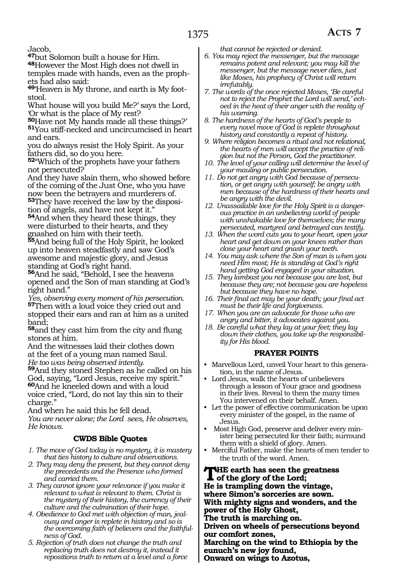Jacob,

**<sup>47</sup>**but Solomon built a house for Him.

**<sup>48</sup>**However the Most High does not dwell in temples made with hands, even as the prophets had also said:

**49**'Heaven is My throne, and earth is My footstool.

What house will you build Me?' says the Lord, 'Or what is the place of My rest?

**<sup>50</sup>**Have not My hands made all these things?' **<sup>51</sup>**You stiff-necked and uncircumcised in heart and ears.

you do always resist the Holy Spirit. As your fathers did, so do you here.

**<sup>52</sup>**"Which of the prophets have your fathers not persecuted?

And they have slain them, who showed before of the coming of the Just One, who you have now been the betrayers and murderers of. **53**They have received the law by the disposition of angels, and have not kept it."

**<sup>54</sup>**And when they heard these things, they were disturbed to their hearts, and they gnashed on him with their teeth.

**<sup>55</sup>**And being full of the Holy Spirit, he looked up into heaven steadfastly and saw God's awesome and majestic glory, and Jesus standing at God's right hand.

**<sup>56</sup>**And he said, "Behold, I see the heavens opened and the Son of man standing at God's right hand."

*Yes, observing every moment of his persecution.* **<sup>57</sup>**Then with a loud voice they cried out and stopped their ears and ran at him as a united band;

**<sup>58</sup>**and they cast him from the city and flung stones at him.

And the witnesses laid their clothes down at the feet of a young man named Saul. *He too was being observed intently.*

**<sup>59</sup>**And they stoned Stephen as he called on his God, saying, "Lord Jesus, receive my spirit." **<sup>60</sup>**And he kneeled down and with a loud voice cried, "Lord, do not lay this sin to their charge."

And when he said this he fell dead.

*You are never alone; the Lord sees, He observes, He knows.* 

### **CWDS Bible Quotes**

*1. The move of God today is no mystery, it is mastery that ties history to culture and observations.*

- *2. They may deny the present, but they cannot deny the precedents and the Presence who formed and carried them.*
- *3. They cannot ignore your relevance if you make it relevant to what is relevant to them. Christ is the mystery of their history, the currency of their culture and the culmination of their hope.*
- *4. Obedience to God met with objection of man, jealousy and anger is replete in history and so is the overcoming faith of believers and the faithfulness of God.*
- *5. Rejection of truth does not change the truth and replacing truth does not destroy it, instead it repositions truth to return at a level and a force*

*that cannot be rejected or denied.*

- *6. You may reject the messenger, but the message remains potent and relevant; you may kill the messenger, but the message never dies, just like Moses, his prophecy of Christ will return irrefutably.*
- *7. The words of the once rejected Moses, 'Be careful not to reject the Prophet the Lord will send,' echoed in the heat of their anger with the reality of his warning.*
- *8. The hardness of the hearts of God's people to every novel move of God is replete throughout history and constantly a repeat of history.*
- *9. Where religion becomes a ritual and not relational, the hearts of men will accept the practice of religion but not the Person, God the practitioner.*
- *10. The level of your calling will determine the level of your mauling or public persecution.*
- *11. Do not get angry with God because of persecution, or get angry with yourself; be angry with men because of the hardness of their hearts and be angry with the devil.*
- *12. Unassailable love for the Holy Spirit is a dangerous practice in an unbelieving world of people with unshakable love for themselves; the many persecuted, martyred and betrayed can testify.*
- *13. When the word cuts you to your heart, open your heart and get down on your knees rather than close your heart and gnash your teeth.*
- *14. You may ask where the Son of man is when you need Him most; He is standing at God's right hand getting God engaged in your situation.*
- *15. They lambast you not because you are lost, but because they are; not because you are hopeless but because they have no hope.*
- *16. Their final act may be your death; your final act must be their life and forgiveness.*
- *17. When you are an advocate for those who are angry and bitter, it advocates against you.*
- *18. Be careful what they lay at your feet; they lay down their clothes, you take up the responsibility for His blood.*

### **PRAYER POINTS**

- Marvellous Lord, unveil Your heart to this generation, in the name of Jesus.
- Lord Jesus, walk the hearts of unbelievers through a lesson of Your grace and goodness in their lives. Reveal to them the many times You intervened on their behalf. Amen.
- Let the power of effective communication be upon every minister of the gospel, in the name of Jesus.
- Most High God, preserve and deliver every minister being persecuted for their faith; surround them with a shield of glory. Amen.
- Merciful Father, make the hearts of men tender to the truth of the word. Amen.

**The earth has seen the greatness of the glory of the Lord; He is trampling down the vintage, where Simon's sorceries are sown. With mighty signs and wonders, and the power of the Holy Ghost, The truth is marching on. Driven on wheels of persecutions beyond our comfort zones, Marching on the wind to Ethiopia by the eunuch's new joy found, Onward on wings to Azotus,**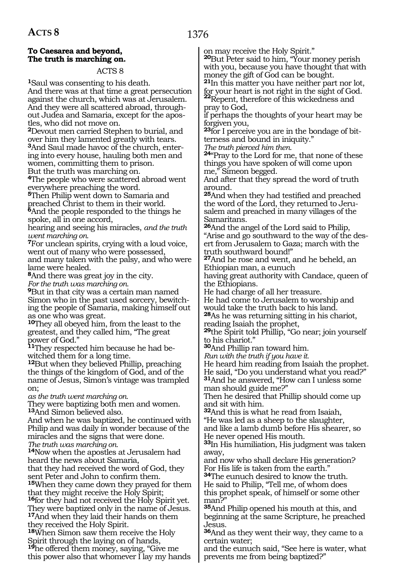### 1376

#### **To Caesarea and beyond, The truth is marching on.**

#### ACTS 8

**<sup>1</sup>**Saul was consenting to his death. And there was at that time a great persecution against the church, which was at Jerusalem. And they were all scattered abroad, throughout Judea and Samaria, except for the apostles, who did not move on.

**<sup>2</sup>**Devout men carried Stephen to burial, and over him they lamented greatly with tears. **3**And Saul made havoc of the church, entering into every house, hauling both men and women, committing them to prison.

But the truth was marching on.

**<sup>4</sup>**The people who were scattered abroad went everywhere preaching the word.

**<sup>5</sup>**Then Philip went down to Samaria and preached Christ to them in their world. **<sup>6</sup>**And the people responded to the things he spoke, all in one accord,

hearing and seeing his miracles, *and the truth went marching on.* 

**<sup>7</sup>**For unclean spirits, crying with a loud voice, went out of many who were possessed, and many taken with the palsy, and who were

lame were healed. **<sup>8</sup>**And there was great joy in the city.

*For the truth was marching on.* 

**<sup>9</sup>**But in that city was a certain man named Simon who in the past used sorcery, bewitching the people of Samaria, making himself out as one who was great.

**<sup>10</sup>**They all obeyed him, from the least to the greatest, and they called him, "The great power of God."

**<sup>11</sup>**They respected him because he had be- witched them for a long time.

**<sup>12</sup>**But when they believed Phillip, preaching the things of the kingdom of God, and of the name of Jesus, Simon's vintage was trampled on;

*as the truth went marching on.* 

They were baptizing both men and women. **<sup>13</sup>**And Simon believed also.

And when he was baptized, he continued with Philip and was daily in wonder because of the miracles and the signs that were done. *The truth was marching on.* 

**<sup>14</sup>**Now when the apostles at Jerusalem had heard the news about Samaria,

that they had received the word of God, they sent Peter and John to confirm them. **<sup>15</sup>**When they came down they prayed for them that they might receive the Holy Spirit; **<sup>16</sup>**for they had not received the Holy Spirit yet. They were baptized only in the name of Jesus.

**<sup>17</sup>**And when they laid their hands on them they received the Holy Spirit.

**<sup>18</sup>**When Simon saw them receive the Holy Spirit through the laying on of hands, **<sup>19</sup>**he offered them money, saying, "Give me this power also that whomever I lay my hands on may receive the Holy Spirit."

**<sup>20</sup>**But Peter said to him, "Your money perish with you, because you have thought that with money the gift of God can be bought.

**<sup>21</sup>**In this matter you have neither part nor lot, for your heart is not right in the sight of God. **<sup>22</sup>**Repent, therefore of this wickedness and

pray to God,

if perhaps the thoughts of your heart may be forgiven you,

**23**for I perceive you are in the bondage of bitterness and bound in iniquity."

*The truth pierced him then.* 

**<sup>24</sup>**"Pray to the Lord for me, that none of these things you have spoken of will come upon me," Simeon begged.

And after that they spread the word of truth around.

**<sup>25</sup>**And when they had testified and preached the word of the Lord, they returned to Jerusalem and preached in many villages of the Samaritans.

**<sup>26</sup>**And the angel of the Lord said to Philip, "Arise and go southward to the way of the desert from Jerusalem to Gaza; march with the truth southward bound!"

**<sup>27</sup>**And he rose and went, and he beheld, an Ethiopian man, a eunuch

having great authority with Candace, queen of the Ethiopians.

He had charge of all her treasure.

He had come to Jerusalem to worship and would take the truth back to his land.

**<sup>28</sup>**As he was returning sitting in his chariot, reading Isaiah the prophet,

**<sup>29</sup>**the Spirit told Phillip, "Go near; join yourself to his chariot."

**<sup>30</sup>**And Phillip ran toward him.

*Run with the truth if you have it.* 

He heard him reading from Isaiah the prophet. He said, "Do you understand what you read?" **<sup>31</sup>**And he answered, "How can I unless some man should guide me?"

Then he desired that Phillip should come up and sit with him.

**<sup>32</sup>**And this is what he read from Isaiah, "He was led as a sheep to the slaughter, and like a lamb dumb before His shearer, so

He never opened His mouth.

**<sup>33</sup>**In His humiliation, His judgment was taken away,

and now who shall declare His generation? For His life is taken from the earth."

**<sup>34</sup>**The eunuch desired to know the truth.

He said to Philip, "Tell me, of whom does this prophet speak, of himself or some other man?

**<sup>35</sup>**And Philip opened his mouth at this, and beginning at the same Scripture, he preached Jesus.

**<sup>36</sup>**And as they went their way, they came to a certain water;

and the eunuch said, "See here is water, what prevents me from being baptized?"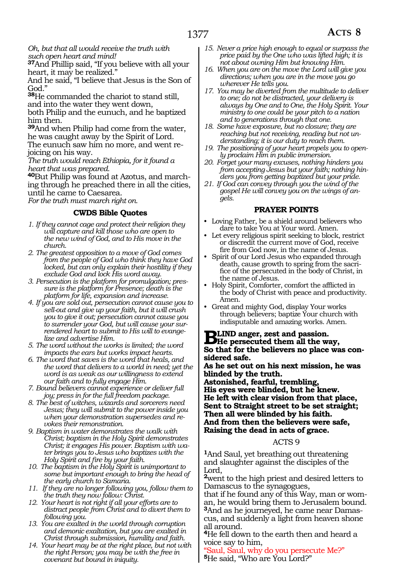#### *Oh, but that all would receive the truth with such open heart and mind!*

**<sup>37</sup>**And Phillip said, "If you believe with all your heart, it may be realized."

And he said, "I believe that Jesus is the Son of God."

**<sup>38</sup>**He commanded the chariot to stand still, and into the water they went down, both Philip and the eunuch, and he baptized him then.

**<sup>39</sup>**And when Philip had come from the water, he was caught away by the Spirit of Lord. The eunuch saw him no more, and went re- joicing on his way.

*The truth would reach Ethiopia, for it found a heart that was prepared.* 

**40**But Philip was found at Azotus, and marching through he preached there in all the cities, until he came to Caesarea.

*For the truth must march right on.* 

#### **CWDS Bible Quotes**

- *1. If they cannot cage and protect their religion they will capture and kill those who are open to the new wind of God, and to His move in the church.*
- *2. The greatest opposition to a move of God comes from the people of God who think they have God locked, but can only explain their hostility if they exclude God and lock His word away.*
- *3. Persecution is the platform for promulgation; pressure is the platform for Presence; death is the platform for life, expansion and increase.*
- *4. If you are sold out, persecution cannot cause you to sell-out and give up your faith, but it will crush you to give it out; persecution cannot cause you to surrender your God, but will cause your surrendered heart to submit to His will to evangelize and advertise Him.*
- *5. The word without the works is limited; the word impacts the ears but works impact hearts.*
- *6. The word that saves is the word that heals, and the word that delivers to a world in need; yet the word is as weak as our willingness to extend our faith and to fully engage Him.*
- *7. Bound believers cannot experience or deliver full joy; press in for the full freedom package.*
- *8. The best of witches, wizards and sorcerers need Jesus; they will submit to the power inside you when your demonstration supersedes and revokes their remonstration.*
- *9. Baptism in water demonstrates the walk with Christ; baptism in the Holy Spirit demonstrates Christ; it engages His power. Baptism with water brings you to Jesus who baptizes with the Holy Spirit and fire by your faith.*
- *10. The baptism in the Holy Spirit is unimportant to some but important enough to bring the head of the early church to Samaria.*
- *11. If they are no longer following you, follow them to the truth they now follow: Christ.*
- *12. Your heart is not right if all your efforts are to distract people from Christ and to divert them to following you.*
- *13. You are exalted in the world through corruption and demonic exaltation, but you are exalted in Christ through submission, humility and faith.*
- *14. Your heart may be at the right place, but not with the right Person; you may be with the free in covenant but bound in iniquity.*
- *15. Never a price high enough to equal or surpass the price paid by the One who was lifted high; it is not about owning Him but knowing Him.*
- *16. When you are on the move the Lord will give you directions; when you are in the move you go wherever He tells you.*
- *17. You may be diverted from the multitude to deliver to one; do not be distracted, your delivery is always by One and to One, the Holy Spirit. Your ministry to one could be your pitch to a nation and to generations through that one.*
- *18. Some have exposure, but no closure; they are reaching but not receiving, reading but not understanding; it is our duty to reach them.*
- *19. The positioning of your heart propels you to openly proclaim Him in public immersion.*
- *20. Forget your many excuses, nothing hinders you from accepting Jesus but your faith; nothing hinders you from getting baptized but your pride.*
- *21. If God can convey through you the wind of the gospel He will convey you on the wings of angels.*

#### **PRAYER POINTS**

- Loving Father, be a shield around believers who dare to take You at Your word. Amen.
- Let every religious spirit seeking to block, restrict or discredit the current move of God, receive fire from God now, in the name of Jesus.
- Spirit of our Lord Jesus who expanded through death, cause growth to spring from the sacrifice of the persecuted in the body of Christ, in the name of Jesus.
- Holy Spirit, Comforter, comfort the afflicted in the body of Christ with peace and productivity. Amen.
- Great and mighty God, display Your works through believers; baptize Your church with indisputable and amazing works. Amen.

**BLIND anger, zest and passion.**<br>
See that for the helieners as also supply **So that for the believers no place was considered safe.**

**As he set out on his next mission, he was blinded by the truth.**

**Astonished, fearful, trembling, His eyes were blinded, but he knew. He left with clear vision from that place, Sent to Straight street to be set straight; Then all were blinded by his faith. And from then the believers were safe, Raising the dead in acts of grace.**

#### ACTS 9

**<sup>1</sup>**And Saul, yet breathing out threatening and slaughter against the disciples of the Lord,

**<sup>2</sup>**went to the high priest and desired letters to Damascus to the synagogues,

that if he found any of this Way, man or woman, he would bring them to Jerusalem bound. **<sup>3</sup>**And as he journeyed, he came near Damas- cus, and suddenly a light from heaven shone all around.

**<sup>4</sup>**He fell down to the earth then and heard a voice say to him,

"Saul, Saul, why do you persecute Me?" **<sup>5</sup>**He said, "Who are You Lord?"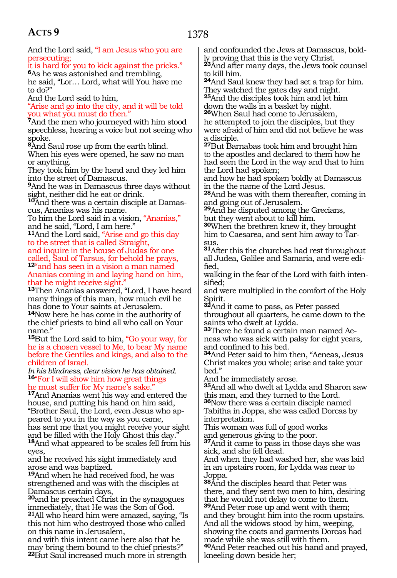And the Lord said, "I am Jesus who you are persecuting;

it is hard for you to kick against the pricks." **<sup>6</sup>**As he was astonished and trembling, he said, "Lor… Lord, what will You have me

to do?" And the Lord said to him,

"Arise and go into the city, and it will be told you what you must do then."

**<sup>7</sup>**And the men who journeyed with him stood speechless, hearing a voice but not seeing who spoke.

**<sup>8</sup>**And Saul rose up from the earth blind.

When his eyes were opened, he saw no man or anything.

They took him by the hand and they led him into the street of Damascus.

**<sup>9</sup>**And he was in Damascus three days without sight, neither did he eat or drink.

**10**And there was a certain disciple at Damascus, Ananias was his name.

To him the Lord said in a vision, "Ananias," and he said, "Lord, I am here."

**<sup>11</sup>**And the Lord said, "Arise and go this day to the street that is called Straight,

and inquire in the house of Judas for one called, Saul of Tarsus, for behold he prays, **<sup>12</sup>**"and has seen in a vision a man named Ananias coming in and laying hand on him, that he might receive sight."

**<sup>13</sup>**Then Ananias answered, "Lord, I have heard many things of this man, how much evil he has done to Your saints at Jerusalem. **<sup>14</sup>**Now here he has come in the authority of the chief priests to bind all who call on Your name."

**<sup>15</sup>**But the Lord said to him, "Go your way, for he is a chosen vessel to Me, to bear My name before the Gentiles and kings, and also to the children of Israel.

*In his blindness, clear vision he has obtained.* **<sup>16</sup>**"For I will show him how great things he must suffer for My name's sake."

**<sup>17</sup>**And Ananias went his way and entered the house, and putting his hand on him said, "Brother Saul, the Lord, even Jesus who appeared to you in the way as you came, has sent me that you might receive your sight and be filled with the Holy Ghost this day. **<sup>18</sup>**And what appeared to be scales fell from his eyes,

and he received his sight immediately and arose and was baptized.

**<sup>19</sup>**And when he had received food, he was strengthened and was with the disciples at Damascus certain days,

**<sup>20</sup>**and he preached Christ in the synagogues immediately, that He was the Son of God. **<sup>21</sup>**All who heard him were amazed, saying, "Is this not him who destroyed those who called on this name in Jerusalem,

and with this intent came here also that he may bring them bound to the chief priests?" **<sup>22</sup>**But Saul increased much more in strength and confounded the Jews at Damascus, boldly proving that this is the very Christ.

**<sup>23</sup>**And after many days, the Jews took counsel to kill him.

**<sup>24</sup>**And Saul knew they had set a trap for him. They watched the gates day and night. **<sup>25</sup>**And the disciples took him and let him

down the walls in a basket by night. **<sup>26</sup>**When Saul had come to Jerusalem, he attempted to join the disciples, but they

were afraid of him and did not believe he was a disciple.

**<sup>27</sup>**But Barnabas took him and brought him to the apostles and declared to them how he had seen the Lord in the way and that to him the Lord had spoken;

and how he had spoken boldly at Damascus in the the name of the Lord Jesus.

**<sup>28</sup>**And he was with them thereafter, coming in and going out of Jerusalem.

**<sup>29</sup>**And he disputed among the Grecians, but they went about to kill him.

**<sup>30</sup>**When the brethren knew it, they brought him to Caesarea, and sent him away to Tar- $S11S$ 

**<sup>31</sup>**After this the churches had rest throughout all Judea, Galilee and Samaria, and were edified,

walking in the fear of the Lord with faith intensified;

and were multiplied in the comfort of the Holy Spirit.

**<sup>32</sup>**And it came to pass, as Peter passed throughout all quarters, he came down to the saints who dwelt at Lydda.

**33**There he found a certain man named Aeneas who was sick with palsy for eight years, and confined to his bed.

**<sup>34</sup>**And Peter said to him then, "Aeneas, Jesus Christ makes you whole; arise and take your bed."

And he immediately arose.

**<sup>35</sup>**And all who dwelt at Lydda and Sharon saw this man, and they turned to the Lord. **<sup>36</sup>**Now there was a certain disciple named Tabitha in Joppa, she was called Dorcas by

interpretation. This woman was full of good works

and generous giving to the poor.

**<sup>37</sup>**And it came to pass in those days she was sick, and she fell dead.

And when they had washed her, she was laid in an upstairs room, for Lydda was near to Joppa.

**<sup>38</sup>**And the disciples heard that Peter was there, and they sent two men to him, desiring that he would not delay to come to them. **<sup>39</sup>**And Peter rose up and went with them; and they brought him into the room upstairs. And all the widows stood by him, weeping, showing the coats and garments Dorcas had made while she was still with them. **<sup>40</sup>**And Peter reached out his hand and prayed,

kneeling down beside her;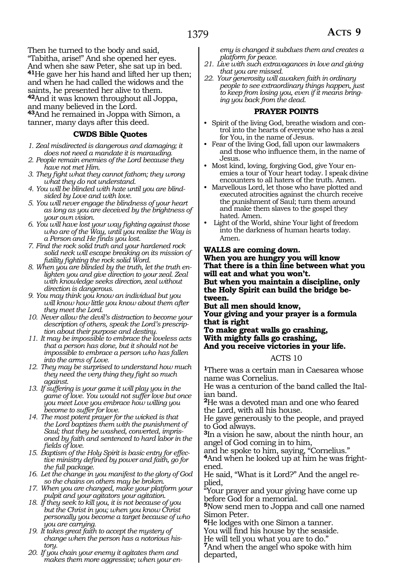Then he turned to the body and said, "Tabitha, arise!" And she opened her eyes. And when she saw Peter, she sat up in bed. **<sup>41</sup>**He gave her his hand and lifted her up then; and when he had called the widows and the saints, he presented her alive to them. **<sup>42</sup>**And it was known throughout all Joppa, and many believed in the Lord. **<sup>43</sup>**And he remained in Joppa with Simon, a

tanner, many days after this deed.

#### **CWDS Bible Quotes**

- *1. Zeal misdirected is dangerous and damaging; it does not need a mandate it is marauding.*
- *2. People remain enemies of the Lord because they have not met Him.*
- *3. They fight what they cannot fathom; they wrong what they do not understand.*
- *4. You will be blinded with hate until you are blindsided by Love and with love.*
- *5. You will never engage the blindness of your heart as long as you are deceived by the brightness of your own vision.*
- *6. You will have lost your way fighting against those who are of the Way, until you realize the Way is a Person and He finds you lost.*
- *7. Find the rock solid truth and your hardened rock solid neck will escape breaking on its mission of futility fighting the rock solid Word.*
- *8. When you are blinded by the truth, let the truth enlighten you and give direction to your zeal. Zeal with knowledge seeks direction, zeal without direction is dangerous.*
- *9. You may think you know an individual but you will know how little you know about them after they meet the Lord.*
- *10. Never allow the devil's distraction to become your description of others, speak the Lord's prescription about their purpose and destiny.*
- *11. It may be impossible to embrace the loveless acts that a person has done, but it should not be impossible to embrace a person who has fallen into the arms of Love.*
- *12. They may be surprised to understand how much they need the very thing they fight so much against.*
- *13. If suffering is your game it will play you in the game of love. You would not suffer love but once you meet Love you embrace how willing you become to suffer for love.*
- *14. The most potent prayer for the wicked is that the Lord baptizes them with the punishment of Saul; that they be washed, converted, imprisoned by faith and sentenced to hard labor in the fields of love.*
- *15. Baptism of the Holy Spirit is basic entry for effective ministry defined by power and faith, go for the full package.*
- *16. Let the change in you manifest to the glory of God so the chains on others may be broken.*
- *17. When you are changed, make your platform your pulpit and your agitators your agitation.*
- *18. If they seek to kill you, it is not because of you but the Christ in you; when you know Christ personally you become a target because of who you are carrying.*
- *19. It takes great faith to accept the mystery of change when the person has a notorious history.*
- *20. If you chain your enemy it agitates them and makes them more aggressive; when your en-*

*emy is changed it subdues them and creates a platform for peace.*

- *21. Live with such extravagances in love and giving that you are missed.*
- *22. Your generosity will awaken faith in ordinary people to see extraordinary things happen, just to keep from losing you, even if it means bringing you back from the dead.*

#### **PRAYER POINTS**

- Spirit of the living God, breathe wisdom and control into the hearts of everyone who has a zeal for You, in the name of Jesus.
- Fear of the living God, fall upon our lawmakers and those who influence them, in the name of Jesus.
- Most kind, loving, forgiving God, give Your enemies a tour of Your heart today. I speak divine encounters to all haters of the truth. Amen.
- Marvellous Lord, let those who have plotted and executed atrocities against the church receive the punishment of Saul; turn them around and make them slaves to the gospel they hated. Amen.
- Light of the World, shine Your light of freedom into the darkness of human hearts today. Amen.

#### **Walls are coming down.**

#### **When you are hungry you will know That there is a thin line between what you will eat and what you won't.**

**But when you maintain a discipline, only the Holy Spirit can build the bridge between.**

**But all men should know,** 

**Your giving and your prayer is a formula that is right**

**To make great walls go crashing, With mighty falls go crashing, And you receive victories in your life.**

#### ACTS 10

**<sup>1</sup>**There was a certain man in Caesarea whose name was Cornelius.

He was a centurion of the band called the Italian band.

**<sup>2</sup>**He was a devoted man and one who feared the Lord, with all his house.

He gave generously to the people, and prayed to God always.

**<sup>3</sup>**In a vision he saw, about the ninth hour, an angel of God coming in to him,

and he spoke to him, saying, "Cornelius." **<sup>4</sup>**And when he looked up at him he was fright- ened.

He said, "What is it Lord?" And the angel re- plied,

"Your prayer and your giving have come up before God for a memorial.

**<sup>5</sup>**Now send men to Joppa and call one named Simon Peter.

**<sup>6</sup>**He lodges with one Simon a tanner.

You will find his house by the seaside.

He will tell you what you are to do."

**<sup>7</sup>**And when the angel who spoke with him departed,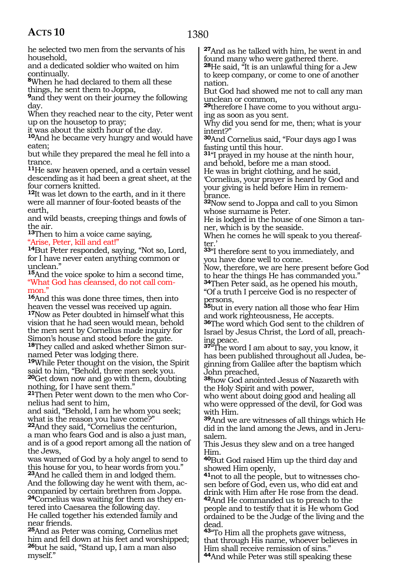he selected two men from the servants of his household,

and a dedicated soldier who waited on him continually.

**<sup>8</sup>**When he had declared to them all these things, he sent them to Joppa,

**<sup>9</sup>**and they went on their journey the following day.

When they reached near to the city, Peter went up on the housetop to pray;

it was about the sixth hour of the day.

**<sup>10</sup>**And he became very hungry and would have eaten;

but while they prepared the meal he fell into a trance.

**<sup>11</sup>**He saw heaven opened, and a certain vessel descending as it had been a great sheet, at the four corners knitted.

**<sup>12</sup>**It was let down to the earth, and in it there were all manner of four-footed beasts of the earth,

and wild beasts, creeping things and fowls of the air.

**<sup>13</sup>**Then to him a voice came saying, "Arise, Peter, kill and eat!"

**<sup>14</sup>**But Peter responded, saying, "Not so, Lord, for I have never eaten anything common or unclean."

**<sup>15</sup>**And the voice spoke to him a second time, "What God has cleansed, do not call common.'

**<sup>16</sup>**And this was done three times, then into heaven the vessel was received up again. **<sup>17</sup>**Now as Peter doubted in himself what this vision that he had seen would mean, behold the men sent by Cornelius made inquiry for Simon's house and stood before the gate. **18**They called and asked whether Simon surnamed Peter was lodging there.

**<sup>19</sup>**While Peter thought on the vision, the Spirit said to him, "Behold, three men seek you.

**<sup>20</sup>**Get down now and go with them, doubting nothing, for I have sent them."

**21**Then Peter went down to the men who Cornelius had sent to him,

and said, "Behold, I am he whom you seek; what is the reason you have come?"

**<sup>22</sup>**And they said, "Cornelius the centurion, a man who fears God and is also a just man, and is of a good report among all the nation of the Jews,

was warned of God by a holy angel to send to this house for you, to hear words from you." **<sup>23</sup>**And he called them in and lodged them.

And the following day he went with them, accompanied by certain brethren from Joppa. **24**Cornelius was waiting for them as they entered into Caesarea the following day. He called together his extended family and near friends.

**<sup>25</sup>**And as Peter was coming, Cornelius met him and fell down at his feet and worshipped; **<sup>26</sup>**but he said, "Stand up, I am a man also myself."

**<sup>27</sup>**And as he talked with him, he went in and found many who were gathered there.

**<sup>28</sup>**He said, "It is an unlawful thing for a Jew to keep company, or come to one of another nation.

But God had showed me not to call any man unclean or common,

**29**therefore I have come to you without arguing as soon as you sent.

Why did you send for me, then; what is your intent?"

**<sup>30</sup>**And Cornelius said, "Four days ago I was fasting until this hour.

**<sup>31</sup>**"I prayed in my house at the ninth hour, and behold, before me a man stood.

He was in bright clothing, and he said, 'Cornelius, your prayer is heard by God and your giving is held before Him in remembrance.

**<sup>32</sup>**Now send to Joppa and call to you Simon whose surname is Peter.

He is lodged in the house of one Simon a tanner, which is by the seaside.

When he comes he will speak to you thereafter.'

**<sup>33</sup>**"I therefore sent to you immediately, and you have done well to come.

Now, therefore, we are here present before God to hear the things He has commanded you." **<sup>34</sup>**Then Peter said, as he opened his mouth,

"Of a truth I perceive God is no respecter of persons,

**<sup>35</sup>**but in every nation all those who fear Him and work righteousness, He accepts.

**<sup>36</sup>**The word which God sent to the children of Israel by Jesus Christ, the Lord of all, preach- ing peace.

**<sup>37</sup>**"The word I am about to say, you know, it ginning from Galilee after the baptism which John preached,

**<sup>38</sup>**how God anointed Jesus of Nazareth with the Holy Spirit and with power,

who went about doing good and healing all who were oppressed of the devil, for God was with Him.

**<sup>39</sup>**And we are witnesses of all things which He did in the land among the Jews, and in Jeru- salem.

This Jesus they slew and on a tree hanged Him.

**<sup>40</sup>**But God raised Him up the third day and showed Him openly,

**41**not to all the people, but to witnesses chosen before of God, even us, who did eat and drink with Him after He rose from the dead. **<sup>42</sup>**And He commanded us to preach to the people and to testify that it is He whom God ordained to be the Judge of the living and the dead.

**<sup>43</sup>**"To Him all the prophets gave witness, that through His name, whoever believes in Him shall receive remission of sins."

**<sup>44</sup>**And while Peter was still speaking these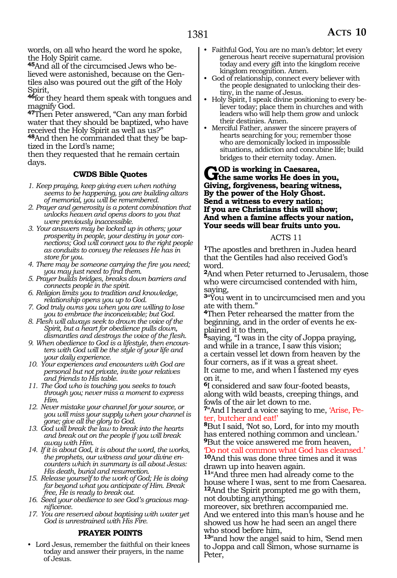words, on all who heard the word he spoke, the Holy Spirit came.

**45**And all of the circumcised Jews who believed were astonished, because on the Gentiles also was poured out the gift of the Holy Spirit,

**<sup>46</sup>**for they heard them speak with tongues and magnify God.

**<sup>47</sup>**Then Peter answered, "Can any man forbid water that they should be baptized, who have received the Holy Spirit as well as us?"

**48**And then he commanded that they be baptized in the Lord's name;

then they requested that he remain certain days.

#### **CWDS Bible Quotes**

- *1. Keep praying, keep giving even when nothing seems to be happening, you are building altars of memorial, you will be remembered.*
- *2. Prayer and generosity is a potent combination that unlocks heaven and opens doors to you that were previously inaccessible.*
- *3. Your answers may be locked up in others; your prosperity in people, your destiny in your connections; God will connect you to the right people as conduits to convey the releases He has in store for you.*
- *4. There may be someone carrying the fire you need; you may just need to find them.*
- *5. Prayer builds bridges, breaks down barriers and connects people in the spirit.*
- *6. Religion limits you to tradition and knowledge, relationship opens you up to God.*
- *7. God truly owns you when you are willing to lose you to embrace the inconceivable; but God.*
- *8. Flesh will always seek to drown the voice of the Spirit, but a heart for obedience pulls down, dismantles and destroys the voice of the flesh.*
- *9. When obedience to God is a lifestyle, then encounters with God will be the style of your life and your daily experience.*
- *10. Your experiences and encounters with God are personal but not private, invite your relatives and friends to His table.*
- *11. The God who is touching you seeks to touch through you; never miss a moment to express Him.*
- *12. Never mistake your channel for your source, or you will miss your supply when your channel is gone; give all the glory to God.*
- *13. God will break the law to break into the hearts and break out on the people if you will break away with Him.*
- *14. If it is about God, it is about the word, the works, the prophets, our witness and your divine encounters which in summary is all about Jesus: His death, burial and resurrection.*
- *15. Release yourself to the work of God; He is doing far beyond what you anticipate of Him. Break free, He is ready to break out.*
- *16. Seed your obedience to see God's gracious magnificence.*
- *17. You are reserved about baptising with water yet God is unrestrained with His Fire.*

#### **PRAYER POINTS**

• Lord Jesus, remember the faithful on their knees today and answer their prayers, in the name of Jesus.

- Faithful God, You are no man's debtor; let every generous heart receive supernatural provision today and every gift into the kingdom receive kingdom recognition. Amen.
- God of relationship, connect every believer with the people designated to unlocking their destiny, in the name of Jesus.
- Holy Spirit, I speak divine positioning to every believer today; place them in churches and with leaders who will help them grow and unlock their destinies. Amen.
- Merciful Father, answer the sincere prayers of hearts searching for you; remember those who are demonically locked in impossible situations, addiction and concubine life; build bridges to their eternity today. Amen.

#### **GOD** is working in Caesarea,<br> **Giving familiar position in you,**<br>
Civing familiar position with an **Giving, forgiveness, bearing witness, By the power of the Holy Ghost. Send a witness to every nation; If you are Christians this will show; And when a famine affects your nation, Your seeds will bear fruits unto you.**

#### ACTS 11

**<sup>1</sup>**The apostles and brethren in Judea heard that the Gentiles had also received God's word.

**<sup>2</sup>**And when Peter returned to Jerusalem, those who were circumcised contended with him, saying,

**<sup>3</sup>**"You went in to uncircumcised men and you ate with them."

**<sup>4</sup>**Then Peter rehearsed the matter from the beginning, and in the order of events he ex- plained it to them,

**<sup>5</sup>**saying, "I was in the city of Joppa praying, and while in a trance, I saw this vision; a certain vessel let down from heaven by the four corners, as if it was a great sheet. It came to me, and when I fastened my eyes on it,

**<sup>6</sup>**I considered and saw four-footed beasts, along with wild beasts, creeping things, and fowls of the air let down to me.

**7**"And I heard a voice saying to me, 'Arise, Peter, butcher and eat!'

**<sup>8</sup>**But I said, 'Not so, Lord, for into my mouth has entered nothing common and unclean.' **<sup>9</sup>**But the voice answered me from heaven,

'Do not call common what God has cleansed.' **<sup>10</sup>**And this was done three times and it was drawn up into heaven again.

**<sup>11</sup>**"And three men had already come to the house where I was, sent to me from Caesarea. **<sup>12</sup>**And the Spirit prompted me go with them, not doubting anything;

moreover, six brethren accompanied me. And we entered into this man's house and he showed us how he had seen an angel there who stood before him,

**<sup>13</sup>**"and how the angel said to him, 'Send men to Joppa and call Simon, whose surname is Peter,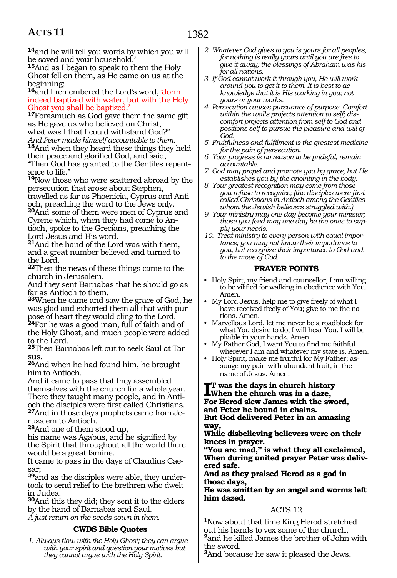**<sup>14</sup>**and he will tell you words by which you will be saved and your household.'

**<sup>15</sup>**And as I began to speak to them the Holy Ghost fell on them, as He came on us at the beginning;

#### **<sup>16</sup>**and I remembered the Lord's word, 'John indeed baptized with water, but with the Holy Ghost you shall be baptized.'

**<sup>17</sup>**Forasmuch as God gave them the same gift as He gave us who believed on Christ, what was I that I could withstand God?"

*And Peter made himself accountable to them.* **<sup>18</sup>**And when they heard these things they held their peace and glorified God, and said,

"Then God has granted to the Gentiles repentance to life."

**<sup>19</sup>**Now those who were scattered abroad by the persecution that arose about Stephen, travelled as far as Phoenicia, Cyprus and Anti-

och, preaching the word to the Jews only. **<sup>20</sup>**And some of them were men of Cyprus and Cyrene which, when they had come to Antioch, spoke to the Grecians, preaching the Lord Jesus and His word.

**<sup>21</sup>**And the hand of the Lord was with them, and a great number believed and turned to the Lord.

**<sup>22</sup>**Then the news of these things came to the church in Jerusalem.

And they sent Barnabas that he should go as far as Antioch to them.

**<sup>23</sup>**When he came and saw the grace of God, he was glad and exhorted them all that with purpose of heart they would cling to the Lord.

**<sup>24</sup>**For he was a good man, full of faith and of the Holy Ghost, and much people were added to the Lord.

**<sup>25</sup>**Then Barnabas left out to seek Saul at Tar- sus.

**<sup>26</sup>**And when he had found him, he brought him to Antioch.

And it came to pass that they assembled themselves with the church for a whole year. There they taught many people, and in Antioch the disciples were first called Christians. **27**And in those days prophets came from Jerusalem to Antioch.

**<sup>28</sup>**And one of them stood up,

his name was Agabus, and he signified by the Spirit that throughout all the world there would be a great famine.

It came to pass in the days of Claudius Caesar;

**29**and as the disciples were able, they undertook to send relief to the brethren who dwelt in Judea.

**<sup>30</sup>**And this they did; they sent it to the elders by the hand of Barnabas and Saul. *A just return on the seeds sown in them.*

#### **CWDS Bible Quotes**

*1. Always flow with the Holy Ghost; they can argue with your spirit and question your motives but they cannot argue with the Holy Spirit.*

- *2. Whatever God gives to you is yours for all peoples, for nothing is really yours until you are free to give it away; the blessings of Abraham was his for all nations.*
- *3. If God cannot work it through you, He will work around you to get it to them. It is best to acknowledge that it is His working in you; not yours or your works.*
- *4. Persecution causes pursuance of purpose. Comfort within the walls projects attention to self; discomfort projects attention from self to God and positions self to pursue the pleasure and will of God.*
- *5. Fruitfulness and fulfilment is the greatest medicine for the pain of persecution.*
- *6. Your progress is no reason to be prideful; remain accountable.*
- *7. God may propel and promote you by grace, but He establishes you by the anointing in the body.*
- *8. Your greatest recognition may come from those you refuse to recognize; (the disciples were first called Christians in Antioch among the Gentiles whom the Jewish believers struggled with.)*
- *9. Your ministry may one day become your minister; those you feed may one day be the ones to supply your needs.*

*10. Treat ministry to every person with equal importance; you may not know their importance to you, but recognize their importance to God and to the move of God.* 

#### **PRAYER POINTS**

- Holy Spirt, my friend and counsellor, I am willing to be vilified for walking in obedience with You. Amen.
- My Lord Jesus, help me to give freely of what I have received freely of You; give to me the nations. Amen.
- Marvellous Lord, let me never be a roadblock for what You desire to do; I will hear You. I will be pliable in your hands. Amen.
- My Father God, I want You to find me faithful wherever I am and whatever my state is. Amen.
- Holy Spirit, make me fruitful for My Father; assuage my pain with abundant fruit, in the name of Jesus. Amen.

#### **I**T was the days in church history<br> **I**When the church was in a daze,<br>
For Herod slew James with the sword, **t was the days in church history When the church was in a daze, and Peter he bound in chains.**

**But God delivered Peter in an amazing way,**

**While disbelieving believers were on their knees in prayer.**

**"You are mad," is what they all exclaimed, When during united prayer Peter was delivered safe.**

#### **And as they praised Herod as a god in those days,**

**He was smitten by an angel and worms left him dazed.**

#### ACTS 12

**<sup>1</sup>**Now about that time King Herod stretched out his hands to vex some of the church, **<sup>2</sup>**and he killed James the brother of John with the sword.

**<sup>3</sup>**And because he saw it pleased the Jews,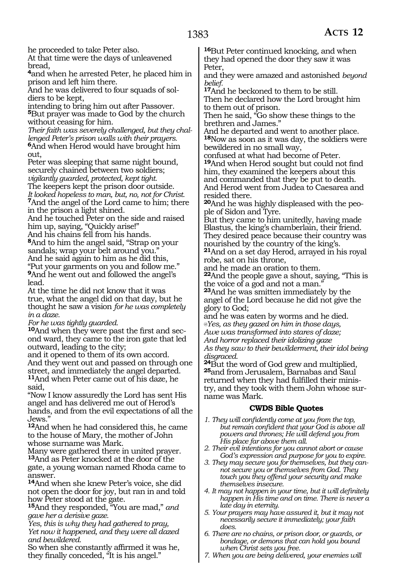he proceeded to take Peter also.

At that time were the days of unleavened bread,

**<sup>4</sup>**and when he arrested Peter, he placed him in prison and left him there.

And he was delivered to four squads of soldiers to be kept,

intending to bring him out after Passover. **<sup>5</sup>**But prayer was made to God by the church

without ceasing for him. *Their faith was severely challenged, but they challenged Peter's prison walls with their prayers.* **<sup>6</sup>**And when Herod would have brought him out,

Peter was sleeping that same night bound, securely chained between two soldiers; *vigilantly guarded, protected, kept tight.*

The keepers kept the prison door outside. *It looked hopeless to man, but, no, not for Christ.* **<sup>7</sup>**And the angel of the Lord came to him; there in the prison a light shined.

And he touched Peter on the side and raised him up, saying, "Quickly arise!"

And his chains fell from his hands.

**<sup>8</sup>**And to him the angel said, "Strap on your sandals; wrap your belt around you." And he said again to him as he did this, "Put your garments on you and follow me." **<sup>9</sup>**And he went out and followed the angel's

lead. At the time he did not know that it was

true, what the angel did on that day, but he thought he saw a vision *for he was completely in a daze.*

*For he was tightly guarded.*

**10**And when they were past the first and second ward, they came to the iron gate that led outward, leading to the city;

and it opened to them of its own accord. And they went out and passed on through one street, and immediately the angel departed. **<sup>11</sup>**And when Peter came out of his daze, he said,

"Now I know assuredly the Lord has sent His angel and has delivered me out of Herod's hands, and from the evil expectations of all the Jews."

**<sup>12</sup>**And when he had considered this, he came to the house of Mary, the mother of John whose surname was Mark.

Many were gathered there in united prayer. **<sup>13</sup>**And as Peter knocked at the door of the gate, a young woman named Rhoda came to answer.

**<sup>14</sup>**And when she knew Peter's voice, she did not open the door for joy, but ran in and told how Peter stood at the gate.

**<sup>15</sup>**And they responded, "You are mad," *and gave her a derisive gaze.*

*Yes, this is why they had gathered to pray, Yet now it happened, and they were all dazed and bewildered.*

So when she constantly affirmed it was he, they finally conceded, "It is his angel."

**<sup>16</sup>**But Peter continued knocking, and when they had opened the door they saw it was Peter,

and they were amazed and astonished *beyond belief.*

**<sup>17</sup>**And he beckoned to them to be still. Then he declared how the Lord brought him

to them out of prison.

Then he said, "Go show these things to the brethren and James."

And he departed and went to another place. **<sup>18</sup>**Now as soon as it was day, the soldiers were bewildered in no small way,

confused at what had become of Peter. **<sup>19</sup>**And when Herod sought but could not find him, they examined the keepers about this and commanded that they be put to death. And Herod went from Judea to Caesarea and resided there.

**20**And he was highly displeased with the people of Sidon and Tyre.

But they came to him unitedly, having made Blastus, the king's chamberlain, their friend. They desired peace because their country was nourished by the country of the king's.

**<sup>21</sup>**And on a set day Herod, arrayed in his royal robe, sat on his throne,

and he made an oration to them.

**<sup>22</sup>**And the people gave a shout, saying, "This is the voice of a god and not a man."

**<sup>23</sup>**And he was smitten immediately by the angel of the Lord because he did not give the glory to God;

and he was eaten by worms and he died. *@Yes, as they gazed on him in those days, Awe was transformed into stares of daze;*

*And horror replaced their idolizing gaze As they saw to their bewilderment, their idol being* 

*disgraced.*<br>24But the word of God grew and multiplied, **25**and from Jerusalem, Barnabas and Saul returned when they had fulfilled their ministry, and they took with them John whose surname was Mark.

#### **CWDS Bible Quotes**

- *1. They will confidently come at you from the top, but remain confident that your God is above all powers and thrones; He will defend you from His place far above them all.*
- *2. Their evil intentions for you cannot abort or cause God's expression and purpose for you to expire.*
- *3. They may secure you for themselves, but they cannot secure you or themselves from God. They touch you they offend your security and make themselves insecure.*
- *4. It may not happen in your time, but it will definitely happen in His time and on time. There is never a late day in eternity.*
- *5. Your prayers may have assured it, but it may not necessarily secure it immediately; your faith does.*
- *6. There are no chains, or prison door, or guards, or bondage, or demons that can hold you bound when Christ sets you free.*
- *7. When you are being delivered, your enemies will*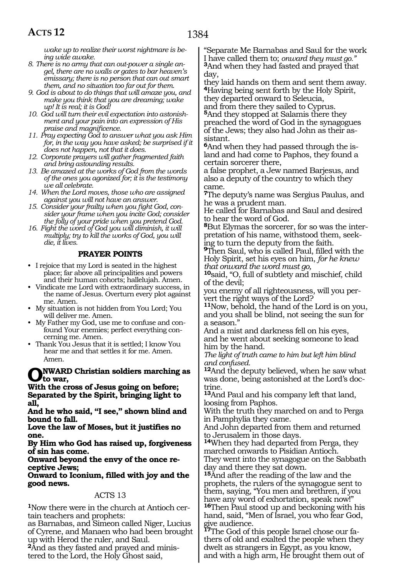*wake up to realize their worst nightmare is being wide awake.*

- *8. There is no army that can out-power a single angel, there are no walls or gates to bar heaven's emissary; there is no person that can out smart them, and no situation too far out for them.*
- *9. God is about to do things that will amaze you, and make you think that you are dreaming; wake up! It is real; it is God!*
- *10. God will turn their evil expectation into astonishment and your pain into an expression of His praise and magnificence.*
- *11. Pray expecting God to answer what you ask Him for, in the way you have asked; be surprised if it does not happen, not that it does.*
- *12. Corporate prayers will gather fragmented faith and bring astounding results.*
- *13. Be amazed at the works of God from the words of the ones you agonized for; it is the testimony we all celebrate.*
- *14. When the Lord moves, those who are assigned against you will not have an answer.*
- *15. Consider your frailty when you fight God, consider your frame when you incite God; consider the folly of your pride when you pretend God.*
- *16. Fight the word of God you will diminish, it will multiply; try to kill the works of God, you will die, it lives.*

#### **PRAYER POINTS**

- I rejoice that my Lord is seated in the highest place; far above all principalities and powers and their human cohorts; hallelujah. Amen.
- Vindicate me Lord with extraordinary success, in the name of Jesus. Overturn every plot against me. Amen.
- My situation is not hidden from You Lord; You will deliver me. Amen.
- My Father my God, use me to confuse and confound Your enemies; perfect everything concerning me. Amen.
- Thank You Jesus that it is settled; I know You hear me and that settles it for me. Amen. Amen.

#### **NWARD Christian soldiers marching as to war,**

**With the cross of Jesus going on before; Separated by the Spirit, bringing light to all,**

**And he who said, "I see," shown blind and bound to fall.**

**Love the law of Moses, but it justifies no one.**

**By Him who God has raised up, forgiveness of sin has come.**

**Onward beyond the envy of the once receptive Jews;**

**Onward to Iconium, filled with joy and the good news.**

#### ACTS 13

**1**Now there were in the church at Antioch certain teachers and prophets:

as Barnabas, and Simeon called Niger, Lucius of Cyrene, and Manaen who had been brought up with Herod the ruler, and Saul.

**2**And as they fasted and prayed and ministered to the Lord, the Holy Ghost said,

"Separate Me Barnabas and Saul for the work<br>I have called them to; onward they must go." <sup>3</sup>And when they had fasted and prayed that day,

they laid hands on them and sent them away. **<sup>4</sup>**Having being sent forth by the Holy Spirit, they departed onward to Seleucia,

and from there they sailed to Cyprus. **<sup>5</sup>**And they stopped at Salamis there they preached the word of God in the synagogues of the Jews; they also had John as their assistant.

**6**And when they had passed through the island and had come to Paphos, they found a certain sorcerer there,

a false prophet, a Jew named Barjesus, and also a deputy of the country to which they came.

**<sup>7</sup>**The deputy's name was Sergius Paulus, and he was a prudent man.

He called for Barnabas and Saul and desired to hear the word of God.

**8**But Elymas the sorcerer, for so was the interpretation of his name, withstood them, seeking to turn the deputy from the faith.

**<sup>9</sup>**Then Saul, who is called Paul, filled with the Holy Spirit, set his eyes on him, *for he knew that onward the word must go,*

**<sup>10</sup>**said, "O, full of subtlety and mischief, child of the devil;

you enemy of all righteousness, will you per- vert the right ways of the Lord?

**<sup>11</sup>**Now, behold, the hand of the Lord is on you, and you shall be blind, not seeing the sun for a season."

And a mist and darkness fell on his eyes, and he went about seeking someone to lead him by the hand.

*The light of truth came to him but left him blind and confused.*

**<sup>12</sup>**And the deputy believed, when he saw what was done, being astonished at the Lord's doctrine.

**<sup>13</sup>**And Paul and his company left that land, loosing from Paphos.

With the truth they marched on and to Perga in Pamphylia they came.

And John departed from them and returned to Jerusalem in those days.

**<sup>14</sup>**When they had departed from Perga, they marched onwards to Pisidian Antioch.

They went into the synagogue on the Sabbath day and there they sat down.

**<sup>15</sup>**And after the reading of the law and the prophets, the rulers of the synagogue sent to them, saying, "You men and brethren, if you have any word of exhortation, speak now!" **<sup>16</sup>**Then Paul stood up and beckoning with his hand, said, "Men of Israel, you who fear God, give audience.

**17**The God of this people Israel chose our fathers of old and exalted the people when they dwelt as strangers in Egypt, as you know, and with a high arm, He brought them out of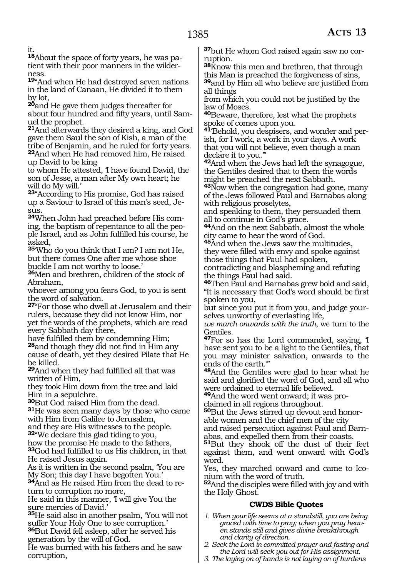it.

**18**About the space of forty years, he was patient with their poor manners in the wilderness.

**<sup>19</sup>**"And when He had destroyed seven nations in the land of Canaan, He divided it to them by lot,

**<sup>20</sup>**and He gave them judges thereafter for about four hundred and fifty years, until Samuel the prophet.

**<sup>21</sup>**And afterwards they desired a king, and God gave them Saul the son of Kish, a man of the tribe of Benjamin, and he ruled for forty years. **<sup>22</sup>**And when He had removed him, He raised up David to be king

to whom He attested, 'I have found David, the son of Jesse, a man after My own heart; he will do My will.'

**<sup>23</sup>**"According to His promise, God has raised up a Saviour to Israel of this man's seed, Jesus.

**24**When John had preached before His coming, the baptism of repentance to all the people Israel, and as John fulfilled his course, he asked,

**<sup>25</sup>**'Who do you think that I am? I am not He, but there comes One after me whose shoe buckle I am not worthy to loose.'

**<sup>26</sup>**Men and brethren, children of the stock of Abraham,

whoever among you fears God, to you is sent the word of salvation.

**<sup>27</sup>**"For those who dwell at Jerusalem and their rulers, because they did not know Him, nor yet the words of the prophets, which are read every Sabbath day there,

have fulfilled them by condemning Him; **<sup>28</sup>**and though they did not find in Him any cause of death, yet they desired Pilate that He be killed.

**<sup>29</sup>**And when they had fulfilled all that was written of Him,

they took Him down from the tree and laid Him in a sepulchre.

**<sup>30</sup>**But God raised Him from the dead. **<sup>31</sup>**He was seen many days by those who came with Him from Galilee to Jerusalem,

and they are His witnesses to the people. **<sup>32</sup>**"We declare this glad tiding to you,

how the promise He made to the fathers, **<sup>33</sup>**God had fulfilled to us His children, in that He raised Jesus again.

As it is written in the second psalm, 'You are My Son; this day I have begotten You.' **34**And as He raised Him from the dead to re-

turn to corruption no more,

He said in this manner, 'I will give You the sure mercies of David.'

**<sup>35</sup>**He said also in another psalm, 'You will not suffer Your Holy One to see corruption.' **<sup>36</sup>**But David fell asleep, after he served his generation by the will of God.

He was burried with his fathers and he saw corruption,

**37**but He whom God raised again saw no corruption.

**<sup>38</sup>**Know this men and brethren, that through this Man is preached the forgiveness of sins, **<sup>39</sup>**and by Him all who believe are justified from all things

from which you could not be justified by the law of Moses.

**<sup>40</sup>**Beware, therefore, lest what the prophets spoke of comes upon you.

**41**'Behold, you despisers, and wonder and perish, for I work, a work in your days. A work that you will not believe, even though a man declare it to you.'"

**<sup>42</sup>**And when the Jews had left the synagogue, the Gentiles desired that to them the words might be preached the next Sabbath.

**<sup>43</sup>**Now when the congregation had gone, many of the Jews followed Paul and Barnabas along with religious proselytes,

and speaking to them, they persuaded them all to continue in God's grace.

**<sup>44</sup>**And on the next Sabbath, almost the whole city came to hear the word of God.

**<sup>45</sup>**And when the Jews saw the multitudes, they were filled with envy and spoke against those things that Paul had spoken,

contradicting and blaspheming and refuting the things Paul had said.

**<sup>46</sup>**Then Paul and Barnabas grew bold and said, "It is necessary that God's word should be first spoken to you,

but since you put it from you, and judge yourselves unworthy of everlasting life,

*we march onwards with the truth*, we turn to the Gentiles.

**<sup>47</sup>**For so has the Lord commanded, saying, 'I have sent you to be a light to the Gentiles, that you may minister salvation, onwards to the ends of the earth.'"

**<sup>48</sup>**And the Gentiles were glad to hear what he said and glorified the word of God, and all who were ordained to eternal life believed.

**<sup>49</sup>**And the word went onward; it was pro- claimed in all regions throughout.

**50**But the Jews stirred up devout and honor-<br>able women and the chief men of the city<br>and raised persecution against Paul and Barn-

abas, and expelled them from their coasts.

**<sup>51</sup>**But they shook off the dust of their feet against them, and went onward with God's word.

Yes, they marched onward and came to Iconium with the word of truth.

**<sup>52</sup>**And the disciples were filled with joy and with the Holy Ghost.

### **CWDS Bible Quotes**

- *1. When your life seems at a standstill, you are being graced with time to pray; when you pray heaven stands still and gives divine breakthrough and clarity of direction.*
- *2. Seek the Lord in committed prayer and fasting and the Lord will seek you out for His assignment.*
- *3. The laying on of hands is not laying on of burdens*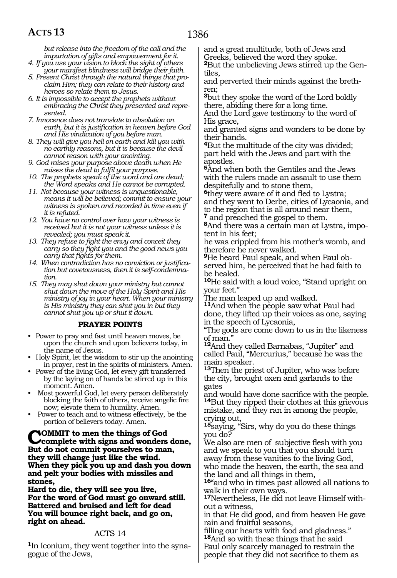*but release into the freedom of the call and the impartation of gifts and empowerment for it.*

- *4. If you use your vision to block the sight of others your manifest blindness will bridge their faith.*
- *5. Present Christ through the natural things that proclaim Him; they can relate to their history and heroes so relate them to Jesus.*
- *6. It is impossible to accept the prophets without embracing the Christ they presented and represented.*
- *7. Innocence does not translate to absolution on earth, but it is justification in heaven before God and His vindication of you before man.*
- *8. They will give you hell on earth and kill you with no earthly reasons, but it is because the devil cannot reason with your anointing.*
- *9. God raises your purpose above death when He raises the dead to fulfil your purpose.*
- *10. The prophets speak of the word and are dead; the Word speaks and He cannot be corrupted.*
- *11. Not because your witness is unquestionable, means it will be believed; commit to ensure your witness is spoken and recorded in time even if it is refuted.*
- *12. You have no control over how your witness is received but it is not your witness unless it is revealed; you must speak it.*
- *13. They refuse to fight the envy and conceit they carry so they fight you and the good news you carry that fights for them.*
- *14. When contradiction has no conviction or justification but covetousness, then it is self-condemnation.*
- *15. They may shut down your ministry but cannot shut down the move of the Holy Spirit and His ministry of joy in your heart. When your ministry is His ministry they can shut you in but they cannot shut you up or shut it down.*

#### **PRAYER POINTS**

- Power to pray and fast until heaven moves, be upon the church and upon believers today, in the name of Jesus.
- Holy Spirit, let the wisdom to stir up the anointing in prayer, rest in the spirits of ministers. Amen.
- Power of the living God, let every gift transferred by the laying on of hands be stirred up in this moment. Amen.
- Most powerful God, let every person deliberately blocking the faith of others, receive angelic fire now; elevate them to humility. Amen.
- Power to teach and to witness effectively, be the portion of believers today. Amen.

**COMMIT** to men the things of God<br> **Complete with signs and wonders done,**<br> **Put do not commit veugalize to men But do not commit yourselves to man, they will change just like the wind. When they pick you up and dash you down and pelt your bodies with missiles and stones,**

**Hard to die, they will see you live, For the word of God must go onward still. Battered and bruised and left for dead You will bounce right back, and go on, right on ahead.**

#### ACTS 14

**1**In Iconium, they went together into the synagogue of the Jews,

and a great multitude, both of Jews and Greeks, believed the word they spoke. **2**But the unbelieving Jews stirred up the Gentiles,

and perverted their minds against the brethren;

**<sup>3</sup>**but they spoke the word of the Lord boldly there, abiding there for a long time.

And the Lord gave testimony to the word of His grace,

and granted signs and wonders to be done by their hands.

**<sup>4</sup>**But the multitude of the city was divided; part held with the Jews and part with the apostles.

**<sup>5</sup>**And when both the Gentiles and the Jews with the rulers made an assault to use them despitefully and to stone them,

**<sup>6</sup>**they were aware of it and fled to Lystra; and they went to Derbe, cities of Lycaonia, and to the region that is all around near them, **<sup>7</sup>** and preached the gospel to them.

**8**And there was a certain man at Lystra, impotent in his feet;

he was crippled from his mother's womb, and therefore he never walked.

**9**He heard Paul speak, and when Paul observed him, he perceived that he had faith to be healed.

**<sup>10</sup>**He said with a loud voice, "Stand upright on your feet."

The man leaped up and walked.

**<sup>11</sup>**And when the people saw what Paul had done, they lifted up their voices as one, saying in the speech of Lycaonia,

"The gods are come down to us in the likeness of man."

**<sup>12</sup>**And they called Barnabas, "Jupiter" and called Paul, "Mercurius," because he was the main speaker.

**<sup>13</sup>**Then the priest of Jupiter, who was before the city, brought oxen and garlands to the gates

and would have done sacrifice with the people. **<sup>14</sup>**But they ripped their clothes at this grievous mistake, and they ran in among the people, crying out,

**<sup>15</sup>**saying, "Sirs, why do you do these things you do?

We also are men of subjective flesh with you and we speak to you that you should turn away from these vanities to the living God, who made the heaven, the earth, the sea and the land and all things in them,

**<sup>16</sup>**"and who in times past allowed all nations to walk in their own ways.

**17**Nevertheless, He did not leave Himself without a witness,

in that He did good, and from heaven He gave rain and fruitful seasons,

filling our hearts with food and gladness." **<sup>18</sup>**And so with these things that he said Paul only scarcely managed to restrain the

people that they did not sacrifice to them as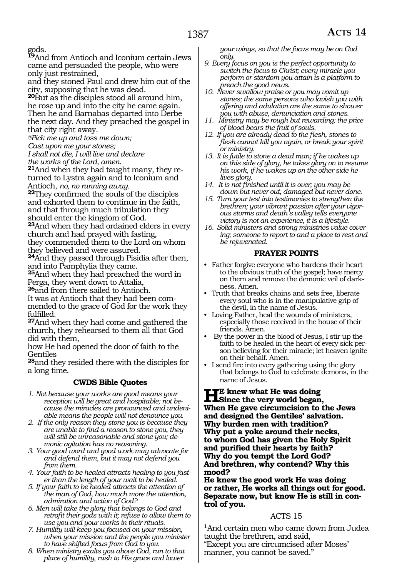gods.

**<sup>19</sup>**And from Antioch and Iconium certain Jews came and persuaded the people, who were only just restrained,

and they stoned Paul and drew him out of the city, supposing that he was dead.

**<sup>20</sup>**But as the disciples stood all around him, he rose up and into the city he came again. Then he and Barnabas departed into Derbe the next day. And they preached the gospel in that city right away.

*@Pick me up and toss me down;* 

*Cast upon me your stones;*

*I shall not die, I will live and declare the works of the Lord, amen.*

**21**And when they had taught many, they returned to Lystra again and to Iconium and

Antioch, *no, no running away.* **<sup>22</sup>**They confirmed the souls of the disciples and exhorted them to continue in the faith, and that through much tribulation they should enter the kingdom of God.

**<sup>23</sup>**And when they had ordained elders in every church and had prayed with fasting, they commended them to the Lord on whom

they believed and were assured.

**<sup>24</sup>**And they passed through Pisidia after then, and into Pamphylia they came.

**<sup>25</sup>**And when they had preached the word in Perga, they went down to Attalia,

**<sup>26</sup>**and from there sailed to Antioch.

It was at Antioch that they had been commended to the grace of God for the work they fulfilled.

**<sup>27</sup>**And when they had come and gathered the church, they rehearsed to them all that God did with them,

how He had opened the door of faith to the Gentiles

**<sup>28</sup>**and they resided there with the disciples for a long time.

#### **CWDS Bible Quotes**

- *1. Not because your works are good means your reception will be great and hospitable; not because the miracles are pronounced and undeniable means the people will not denounce you.*
- *2. If the only reason they stone you is because they are unable to find a reason to stone you, they will still be unreasonable and stone you; demonic agitation has no reasoning.*
- *3. Your good word and good work may advocate for and defend them, but it may not defend you from them.*

*4. Your faith to be healed attracts healing to you faster than the length of your wait to be healed.*

- *5. If your faith to be healed attracts the attention of the man of God, how much more the attention, admiration and action of God?*
- *6. Men will take the glory that belongs to God and retrofit their gods with it; refuse to allow them to use you and your works in their rituals.*
- *7. Humility will keep you focused on your mission, when your mission and the people you minister to have shifted focus from God to you.*
- *8. When ministry exalts you above God, run to that place of humility, rush to His grace and lower*

*your wings, so that the focus may be on God only.*

- *9. Every focus on you is the perfect opportunity to switch the focus to Christ; every miracle you perform or stardom you attain is a platform to preach the good news.*
- *10. Never swallow praise or you may vomit up stones; the same persons who lavish you with offering and adulation are the same to shower you with abuse, denunciation and stones.*
- *11. Ministry may be rough but rewarding; the price of blood bears the fruit of souls.*
- *12. If you are already dead to the flesh, stones to flesh cannot kill you again, or break your spirit or ministry.*
- *13. It is futile to stone a dead man; if he wakes up on this side of glory, he takes glory on to resume his work, if he wakes up on the other side he lives glory.*
- *14. It is not finished until it is over; you may be down but never out, damaged but never done.*
- *15. Turn your test into testimonies to strengthen the brethren; your vibrant passion after your vigorous storms and death's valley tells everyone victory is not an experience, it is a lifestyle.*
- *16. Solid ministers and strong ministries value covering; someone to report to and a place to rest and be rejuvenated.*

#### **PRAYER POINTS**

- Father forgive everyone who hardens their heart to the obvious truth of the gospel; have mercy on them and remove the demonic veil of darkness. Amen.
- Truth that breaks chains and sets free, liberate every soul who is in the manipulative grip of the devil, in the name of Jesus.
- Loving Father, heal the wounds of ministers, especially those received in the house of their friends. Amen.
- By the power in the blood of Jesus, I stir up the faith to be healed in the heart of every sick person believing for their miracle; let heaven ignite on their behalf. Amen.
- I send fire into every gathering using the glory that belongs to God to celebrate demons, in the name of Jesus.

#### **He knew what He was doing Since the very world began, When He gave circumcision to the Jews and designed the Gentiles' salvation. Why burden men with tradition? Why put a yoke around their necks, to whom God has given the Holy Spirit and purified their hearts by faith? Why do you tempt the Lord God? And brethren, why contend? Why this mood?**

**He knew the good work He was doing or rather, He works all things out for good. Separate now, but know He is still in control of you.**

#### ACTS 15

**<sup>1</sup>**And certain men who came down from Judea taught the brethren, and said, "Except you are circumcised after Moses' manner, you cannot be saved."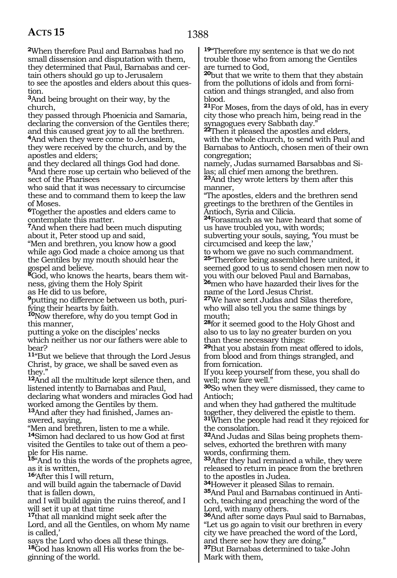**<sup>2</sup>**When therefore Paul and Barnabas had no small dissension and disputation with them, they determined that Paul, Barnabas and certain others should go up to Jerusalem to see the apostles and elders about this question.

**<sup>3</sup>**And being brought on their way, by the church,

they passed through Phoenicia and Samaria, declaring the conversion of the Gentiles there; and this caused great joy to all the brethren.

**<sup>4</sup>**And when they were come to Jerusalem, they were received by the church, and by the apostles and elders;

and they declared all things God had done. **<sup>5</sup>**And there rose up certain who believed of the sect of the Pharisees

who said that it was necessary to circumcise these and to command them to keep the law of Moses.

**<sup>6</sup>**Together the apostles and elders came to contemplate this matter.

**<sup>7</sup>**And when there had been much disputing about it, Peter stood up and said,

"Men and brethren, you know how a good while ago God made a choice among us that the Gentiles by my mouth should hear the gospel and believe.

**8**God, who knows the hearts, bears them witness, giving them the Holy Spirit

as He did to us before,

**9**putting no difference between us both, purifying their hearts by faith.

**<sup>10</sup>**Now therefore, why do you tempt God in this manner,

putting a yoke on the disciples' necks which neither us nor our fathers were able to bear?

**<sup>11</sup>**"But we believe that through the Lord Jesus Christ, by grace, we shall be saved even as they."

**<sup>12</sup>**And all the multitude kept silence then, and listened intently to Barnabas and Paul, declaring what wonders and miracles God had worked among the Gentiles by them.

**13**And after they had finished, James answered, saying,

"Men and brethren, listen to me a while. **<sup>14</sup>**Simon had declared to us how God at first visited the Gentiles to take out of them a people for His name.

**<sup>15</sup>**"And to this the words of the prophets agree, as it is written,

**<sup>16</sup>**'After this I will return,

and will build again the tabernacle of David that is fallen down,

and I will build again the ruins thereof, and I will set it up at that time

**<sup>17</sup>**that all mankind might seek after the

Lord, and all the Gentiles, on whom My name is called,'

says the Lord who does all these things. **<sup>18</sup>**God has known all His works from the be- ginning of the world. **<sup>19</sup>**"Therefore my sentence is that we do not trouble those who from among the Gentiles are turned to God,

**<sup>20</sup>**but that we write to them that they abstain from the pollutions of idols and from fornication and things strangled, and also from blood.

**<sup>21</sup>**For Moses, from the days of old, has in every city those who preach him, being read in the synagogues every Sabbath day."

**<sup>22</sup>**Then it pleased the apostles and elders, with the whole church, to send with Paul and Barnabas to Antioch, chosen men of their own congregation;

namely, Judas surnamed Barsabbas and Silas; all chief men among the brethren. **<sup>23</sup>**And they wrote letters by them after this manner,

"The apostles, elders and the brethren send greetings to the brethren of the Gentiles in Antioch, Syria and Cilicia.

**<sup>24</sup>**Forasmuch as we have heard that some of us have troubled you, with words; subverting your souls, saying, 'You must be circumcised and keep the law,'

to whom we gave no such commandment. **<sup>25</sup>**"Therefore being assembled here united, it seemed good to us to send chosen men now to you with our beloved Paul and Barnabas, **<sup>26</sup>**men who have hazarded their lives for the name of the Lord Jesus Christ.

**<sup>27</sup>**We have sent Judas and Silas therefore, who will also tell you the same things by mouth;

**<sup>28</sup>**for it seemed good to the Holy Ghost and also to us to lay no greater burden on you than these necessary things:

**<sup>29</sup>**that you abstain from meat offered to idols, from blood and from things strangled, and from fornication.

If you keep yourself from these, you shall do well; now fare well."

**<sup>30</sup>**So when they were dismissed, they came to Antioch;

and when they had gathered the multitude together, they delivered the epistle to them. **<sup>31</sup>**When the people had read it they rejoiced for

the consolation.

**32**And Judas and Silas being prophets themselves, exhorted the brethren with many words, confirming them.

**<sup>33</sup>**After they had remained a while, they were released to return in peace from the brethren to the apostles in Judea.<br><sup>34</sup>However it pleased Silas to remain.

**35**And Paul and Barnabas continued in Antioch, teaching and preaching the word of the Lord, with many others.

**<sup>36</sup>**And after some days Paul said to Barnabas, "Let us go again to visit our brethren in every city we have preached the word of the Lord, and there see how they are doing." **<sup>37</sup>**But Barnabas determined to take John

Mark with them,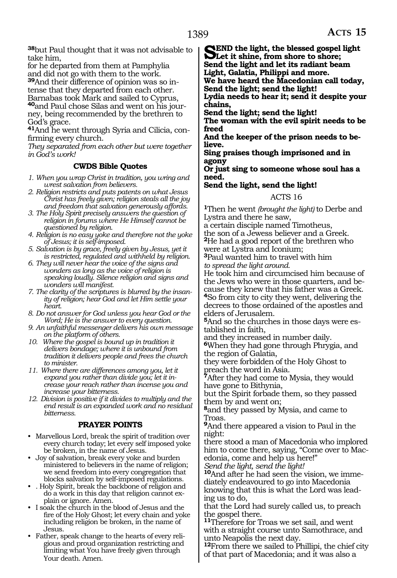**<sup>38</sup>**but Paul thought that it was not advisable to take him,

for he departed from them at Pamphylia and did not go with them to the work. **39**And their difference of opinion was so in-

tense that they departed from each other. Barnabas took Mark and sailed to Cyprus, **40**and Paul chose Silas and went on his journey, being recommended by the brethren to God's grace.

**41**And he went through Syria and Cilicia, confirming every church.

*They separated from each other but were together in God's work!* 

#### **CWDS Bible Quotes**

- *1. When you wrap Christ in tradition, you wring and wrest salvation from believers.*
- *2. Religion restricts and puts patents on what Jesus Christ has freely given; religion steals all the joy and freedom that salvation generously affords.*
- *3. The Holy Spirit precisely answers the question of religion in forums where He Himself cannot be questioned by religion.*
- *4. Religion is no easy yoke and therefore not the yoke of Jesus; it is self-imposed.*
- *5. Salvation is by grace, freely given by Jesus, yet it is restricted, regulated and withheld by religion.*
- *6. They will never hear the voice of the signs and wonders as long as the voice of religion is speaking loudly. Silence religion and signs and wonders will manifest.*
- *7. The clarity of the scriptures is blurred by the insanity of religion; hear God and let Him settle your heart.*
- *8. Do not answer for God unless you hear God or the Word; He is the answer to every question.*
- *9. An unfaithful messenger delivers his own message on the platform of others.*
- *10. Where the gospel is bound up in tradition it delivers bondage; where it is unbound from tradition it delivers people and frees the church to minister.*
- *11. Where there are differences among you, let it expand you rather than divide you; let it increase your reach rather than incense you and increase your bitterness.*
- *12. Division is positive if it divides to multiply and the end result is an expanded work and no residual bitterness.*

#### **PRAYER POINTS**

- Marvellous Lord, break the spirit of tradition over every church today; let every self imposed yoke be broken, in the name of Jesus.
- Joy of salvation, break every yoke and burden ministered to believers in the name of religion; we send freedom into every congregation that blocks salvation by self-imposed regulations.
- . Holy Spirit, break the backbone of religion and do a work in this day that religion cannot explain or ignore. Amen.
- I soak the church in the blood of Jesus and the fire of the Holy Ghost; let every chain and yoke including religion be broken, in the name of Jesus.
- Father, speak change to the hearts of every religious and proud organization restricting and limiting what You have freely given through Your death. Amen.

**SEND the light, the blessed gospel light**<br>
Let it shine, from shore to shore;<br>
Send the light and let its godiant begme **Send the light and let its radiant beam Light, Galatia, Philippi and more.**

**We have heard the Macedonian call today, Send the light; send the light!**

**Lydia needs to hear it; send it despite your chains,**

**Send the light; send the light!**

**The woman with the evil spirit needs to be freed**

**And the keeper of the prison needs to believe.**

**Sing praises though imprisoned and in agony**

**Or just sing to someone whose soul has a need.**

**Send the light, send the light!**

#### ACTS 16

**<sup>1</sup>**Then he went *(brought the light)* to Derbe and Lystra and there he saw,

a certain disciple named Timotheus, the son of a Jewess believer and a Greek. **<sup>2</sup>**He had a good report of the brethren who were at Lystra and Iconium;

**<sup>3</sup>**Paul wanted him to travel with him *to spread the light around.*

He took him and circumcised him because of the Jews who were in those quarters, and because they knew that his father was a Greek. **<sup>4</sup>**So from city to city they went, delivering the decrees to those ordained of the apostles and elders of Jerusalem.

**5**And so the churches in those days were established in faith,

and they increased in number daily.

**<sup>6</sup>**When they had gone through Phrygia, and the region of Galatia,

they were forbidden of the Holy Ghost to preach the word in Asia.

**<sup>7</sup>**After they had come to Mysia, they would have gone to Bithynia,

but the Spirit forbade them, so they passed them by and went on;

**<sup>8</sup>**and they passed by Mysia, and came to Troas.

**<sup>9</sup>**And there appeared a vision to Paul in the night:

there stood a man of Macedonia who implored him to come there, saying, "Come over to Macedonia, come and help us here!" *Send the light, send the light!*

**10**And after he had seen the vision, we immediately endeavoured to go into Macedonia knowing that this is what the Lord was leading us to do,

that the Lord had surely called us, to preach the gospel there.

**<sup>11</sup>**Therefore for Troas we set sail, and went with a straight course unto Samothrace, and unto Neapolis the next day.

**<sup>12</sup>**From there we sailed to Phillipi, the chief city of that part of Macedonia; and it was also a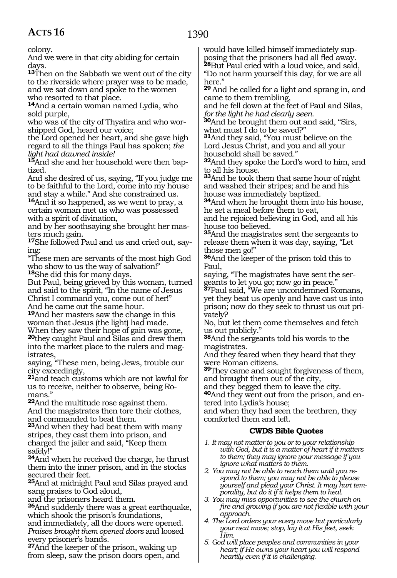1390

colony.

And we were in that city abiding for certain days.

**<sup>13</sup>**Then on the Sabbath we went out of the city to the riverside where prayer was to be made, and we sat down and spoke to the women who resorted to that place.

**<sup>14</sup>**And a certain woman named Lydia, who sold purple,

who was of the city of Thyatira and who worshipped God, heard our voice;

the Lord opened her heart, and she gave high regard to all the things Paul has spoken; *the light had dawned inside!*

**15**And she and her household were then baptized.

And she desired of us, saying, "If you judge me to be faithful to the Lord, come into my house and stay a while." And she constrained us.

**<sup>16</sup>**And it so happened, as we went to pray, a certain woman met us who was possessed with a spirit of divination,

and by her soothsaying she brought her masters much gain.

**17**She followed Paul and us and cried out, saying:

"These men are servants of the most high God who show to us the way of salvation!" **<sup>18</sup>**She did this for many days.

But Paul, being grieved by this woman, turned and said to the spirit, "In the name of Jesus Christ I command you, come out of her!"

And he came out the same hour.

**<sup>19</sup>**And her masters saw the change in this woman that Jesus (the light) had made. When they saw their hope of gain was gone, **<sup>20</sup>**they caught Paul and Silas and drew them into the market place to the rulers and magistrates,

saying, "These men, being Jews, trouble our city exceedingly,

**<sup>21</sup>**and teach customs which are not lawful for us to receive, neither to observe, being Romans."

**<sup>22</sup>**And the multitude rose against them. And the magistrates then tore their clothes, and commanded to beat them.

**<sup>23</sup>**And when they had beat them with many stripes, they cast them into prison, and charged the jailer and said, "Keep them safely!"

**<sup>24</sup>**And when he received the charge, he thrust them into the inner prison, and in the stocks secured their feet.

**<sup>25</sup>**And at midnight Paul and Silas prayed and sang praises to God aloud,

and the prisoners heard them.

**<sup>26</sup>**And suddenly there was a great earthquake, which shook the prison's foundations, and immediately, all the doors were opened.

*Praises brought them opened doors* and loosed every prisoner's bands.

**<sup>27</sup>**And the keeper of the prison, waking up from sleep, saw the prison doors open, and would have killed himself immediately supposing that the prisoners had all fled away. **<sup>28</sup>**But Paul cried with a loud voice, and said, "Do not harm yourself this day, for we are all

here."

**<sup>29</sup>**And he called for a light and sprang in, and came to them trembling,

and he fell down at the feet of Paul and Silas, *for the light he had clearly seen.*

**<sup>30</sup>**And he brought them out and said, "Sirs, what must I do to be saved?"

**<sup>31</sup>**And they said, "You must believe on the Lord Jesus Christ, and you and all your household shall be saved."

**<sup>32</sup>**And they spoke the Lord's word to him, and to all his house.

**<sup>33</sup>**And he took them that same hour of night and washed their stripes; and he and his house was immediately baptized.

**<sup>34</sup>**And when he brought them into his house, he set a meal before them to eat,

and he rejoiced believing in God, and all his house too believed.

**<sup>35</sup>**And the magistrates sent the sergeants to release them when it was day, saying, "Let those men go!"

**<sup>36</sup>**And the keeper of the prison told this to Paul,

saying, "The magistrates have sent the sergeants to let you go; now go in peace."

**<sup>37</sup>**Paul said, "We are uncondemned Romans, yet they beat us openly and have cast us into prison; now do they seek to thrust us out privately?

No, but let them come themselves and fetch us out publicly."

**<sup>38</sup>**And the sergeants told his words to the magistrates.

And they feared when they heard that they were Roman citizens.

**<sup>39</sup>**They came and sought forgiveness of them, and brought them out of the city,

and they begged them to leave the city.

**40**And they went out from the prison, and entered into Lydia's house;

and when they had seen the brethren, they comforted them and left.

#### **CWDS Bible Quotes**

- *1. It may not matter to you or to your relationship with God, but it is a matter of heart if it matters to them; they may ignore your message if you ignore what matters to them.*
- *2. You may not be able to reach them until you respond to them; you may not be able to please yourself and plead your Christ. It may hurt temporality, but do it if it helps them to heal.*
- *3. You may miss opportunities to see the church on fire and growing if you are not flexible with your approach.*
- *4. The Lord orders your every move but particularly your next move; stop, lay it at His feet, seek Him.*
- *5. God will place peoples and communities in your heart; if He owns your heart you will respond heartily even if it is challenging.*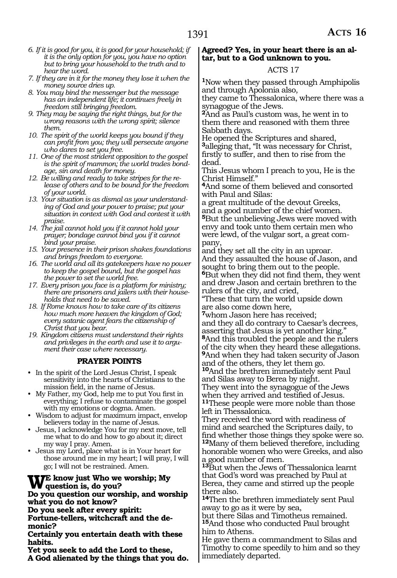- *6. If it is good for you, it is good for your household; if it is the only option for you, you have no option but to bring your household to the truth and to hear the word.*
- *7. If they are in it for the money they lose it when the money source dries up.*
- *8. You may bind the messenger but the message has an independent life; it continues freely in freedom still bringing freedom.*
- *9. They may be saying the right things, but for the wrong reasons with the wrong spirit; silence them.*
- *10. The spirit of the world keeps you bound if they can profit from you; they will persecute anyone who dares to set you free.*
- *11. One of the most strident opposition to the gospel is the spirit of mammon; the world trades bondage, sin and death for money.*
- *12. Be willing and ready to take stripes for the release of others and to be bound for the freedom of your world.*
- *13. Your situation is as dismal as your understanding of God and your power to praise; put your situation in context with God and contest it with praise.*
- *14. The jail cannot hold you if it cannot hold your prayer; bondage cannot bind you if it cannot bind your praise.*
- *15. Your presence in their prison shakes foundations and brings freedom to everyone.*
- *16. The world and all its gatekeepers have no power to keep the gospel bound, but the gospel has the power to set the world free.*
- *17. Every prison you face is a platform for ministry; there are prisoners and jailers with their households that need to be saved.*
- *18. If Rome knows how to take care of its citizens how much more heaven the kingdom of God; every satanic agent fears the citizenship of Christ that you bear.*
- *19. Kingdom citizens must understand their rights and privileges in the earth and use it to argument their case where necessary.*

#### **PRAYER POINTS**

- In the spirit of the Lord Jesus Christ, I speak sensitivity into the hearts of Christians to the mission field, in the name of Jesus.
- My Father, my God, help me to put You first in everything; I refuse to contaminate the gospel with my emotions or dogma. Amen.
- Wisdom to adjust for maximum impact, envelop believers today in the name of Jesus.
- Jesus, I acknowledge You for my next move, tell me what to do and how to go about it; direct my way I pray. Amen.
- Jesus my Lord, place what is in Your heart for those around me in my heart; I will pray, I will go; I will not be restrained. Amen.

#### **We know just Who we worship; My question is, do you?**

#### **Do you question our worship, and worship what you do not know?**

**Do you seek after every spirit:**

**Fortune-tellers, witchcraft and the demonic?**

**Certainly you entertain death with these habits.**

**Yet you seek to add the Lord to these, A God alienated by the things that you do.**

#### **Agreed? Yes, in your heart there is an altar, but to a God unknown to you.**

#### ACTS 17

**<sup>1</sup>**Now when they passed through Amphipolis and through Apolonia also,

they came to Thessalonica, where there was a synagogue of the Jews.

**<sup>2</sup>**And as Paul's custom was, he went in to them there and reasoned with them three Sabbath days.

He opened the Scriptures and shared, **<sup>3</sup>**alleging that, "It was necessary for Christ, firstly to suffer, and then to rise from the dead.

This Jesus whom I preach to you, He is the Christ Himself."

**<sup>4</sup>**And some of them believed and consorted with Paul and Silas:

a great multitude of the devout Greeks, and a good number of the chief women. **<sup>5</sup>**But the unbelieving Jews were moved with envy and took unto them certain men who were lewd, of the vulgar sort, a great company,

and they set all the city in an uproar. And they assaulted the house of Jason, and sought to bring them out to the people. **<sup>6</sup>**But when they did not find them, they went and drew Jason and certain brethren to the rulers of the city, and cried,

"These that turn the world upside down

are also come down here*,* **<sup>7</sup>**whom Jason here has received; and they all do contrary to Caesar's decrees,

asserting that Jesus is yet another king." **<sup>8</sup>**And this troubled the people and the rulers of the city when they heard these allegations. **<sup>9</sup>**And when they had taken security of Jason

and of the others, they let them go. **<sup>10</sup>**And the brethren immediately sent Paul and Silas away to Berea by night. They went into the synagogue of the Jews when they arrived and testified of Jesus.

**<sup>11</sup>**These people were more noble than those left in Thessalonica.

They received the word with readiness of mind and searched the Scriptures daily, to find whether those things they spoke were so. **<sup>12</sup>**Many of them believed therefore, including honorable women who were Greeks, and also a good number of men.

**<sup>13</sup>**But when the Jews of Thessalonica learnt that God's word was preached by Paul at Berea, they came and stirred up the people there also.

**<sup>14</sup>**Then the brethren immediately sent Paul away to go as it were by sea,

but there Silas and Timotheus remained. **<sup>15</sup>**And those who conducted Paul brought him to Athens.

He gave them a commandment to Silas and Timothy to come speedily to him and so they immediately departed.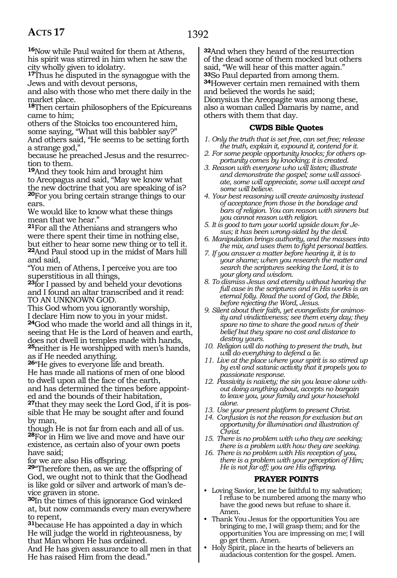**<sup>16</sup>**Now while Paul waited for them at Athens, his spirit was stirred in him when he saw the city wholly given to idolatry.

**<sup>17</sup>**Thus he disputed in the synagogue with the Jews and with devout persons,

and also with those who met there daily in the market place.

**<sup>18</sup>**Then certain philosophers of the Epicureans came to him;

others of the Stoicks too encountered him, some saying, "What will this babbler say?" And others said, "He seems to be setting forth a strange god,"

because he preached Jesus and the resurrection to them.

**<sup>19</sup>**And they took him and brought him to Areopagus and said, "May we know what the new doctrine that you are speaking of is? **<sup>20</sup>**For you bring certain strange things to our ears.

We would like to know what these things mean that we hear."

**<sup>21</sup>**For all the Athenians and strangers who were there spent their time in nothing else, but either to hear some new thing or to tell it. **<sup>22</sup>**And Paul stood up in the midst of Mars hill and said,

"You men of Athens, I perceive you are too superstitious in all things,

**<sup>23</sup>**for I passed by and beheld your devotions and I found an altar transcribed and it read: TO AN UNKNOWN GOD.

This God whom you ignorantly worship, I declare Him now to you in your midst.

**<sup>24</sup>**God who made the world and all things in it, seeing that He is the Lord of heaven and earth, does not dwell in temples made with hands, **<sup>25</sup>**neither is He worshipped with men's hands,

as if He needed anything.

**<sup>26</sup>**"He gives to everyone life and breath. He has made all nations of men of one blood to dwell upon all the face of the earth, and has determined the times before appointed and the bounds of their habitation,

**27**that they may seek the Lord God, if it is possible that He may be sought after and found by man,

though He is not far from each and all of us. **<sup>28</sup>**For in Him we live and move and have our existence, as certain also of your own poets have said;

for we are also His offspring.

**<sup>29</sup>**"Therefore then, as we are the offspring of God, we ought not to think that the Godhead is like gold or silver and artwork of man's device graven in stone.

**<sup>30</sup>**In the times of this ignorance God winked at, but now commands every man everywhere to repent,

**<sup>31</sup>**because He has appointed a day in which He will judge the world in righteousness, by that Man whom He has ordained.

And He has given assurance to all men in that He has raised Him from the dead."

**32**And when they heard of the resurrection of the dead some of them mocked but others said, "We will hear of this matter again." **<sup>33</sup>**So Paul departed from among them. **<sup>34</sup>**However certain men remained with them

and believed the words he said; Dionysius the Areopagite was among these,

also a woman called Damaris by name, and others with them that day.

#### **CWDS Bible Quotes**

- *1. Only the truth that is set free, can set free; release the truth, explain it, expound it, contend for it.*
- *2. For some people opportunity knocks; for others opportunity comes by knocking; it is created.*
- *3. Reason with everyone who will listen; illustrate and demonstrate the gospel; some will associate, some will appreciate, some will accept and some will believe.*
- *4. Your best reasoning will create animosity instead of acceptance from those in the bondage and bars of religion. You can reason with sinners but you cannot reason with religion.*
- *5. It is good to turn your world upside down for Jesus; it has been wrong-sided by the devil.*
- *6. Manipulation brings authority, and the masses into the mix, and uses them to fight personal battles.*
- *7. If you answer a matter before hearing it, it is to your shame; when you research the matter and search the scriptures seeking the Lord, it is to your glory and wisdom.*
- *8. To dismiss Jesus and eternity without hearing the full case in the scriptures and in His works is an eternal folly. Read the word of God, the Bible, before rejecting the Word, Jesus.*
- *9. Silent about their faith, yet evangelists for animosity and vindictiveness; see them every day; they spare no time to share the good news of their belief but they spare no cost and distance to destroy yours.*
- *10. Religion will do nothing to present the truth, but will do everything to defend a lie.*
- *11. Live at the place where your spirit is so stirred up by evil and satanic activity that it propels you to passionate response.*
- *12. Passivity is naivety; the sin you leave alone without doing anything about, accepts no bargain to leave you, your family and your household alone.*
- *13. Use your present platform to present Christ.*
- *14. Confusion is not the reason for exclusion but an opportunity for illumination and illustration of Christ.*
- *15. There is no problem with who they are seeking; there is a problem with how they are seeking.*
- *16. There is no problem with His reception of you, there is a problem with your perception of Him; He is not far off; you are His offspring.*

#### **PRAYER POINTS**

- Loving Savior, let me be faithful to my salvation; I refuse to be numbered among the many who have the good news but refuse to share it. Amen.
- Thank You Jesus for the opportunities You are bringing to me, I will grasp them; and for the opportunities You are impressing on me; I will go get them. Amen.
- Holy Spirit, place in the hearts of believers an audacious contention for the gospel. Amen.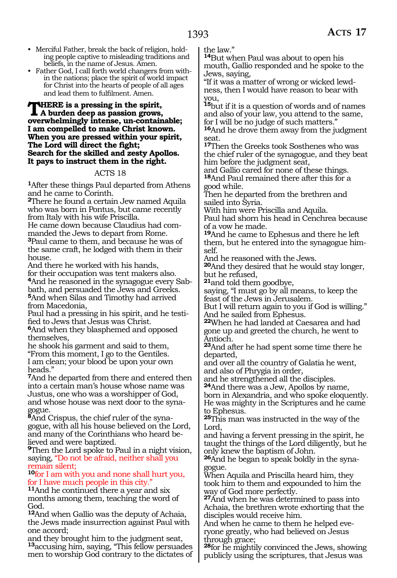- Merciful Father, break the back of religion, holding people captive to misleading traditions and beliefs, in the name of Jesus. Amen.
- Father God, I call forth world changers from within the nations; place the spirit of world impact for Christ into the hearts of people of all ages and lead them to fulfilment. Amen.

#### **THERE** is a pressing in the spirit, **A burden deep as passion grows, overwhelmingly intense, un-containable; I am compelled to make Christ known. When you are pressed within your spirit, The Lord will direct the fight; Search for the skilled and zesty Apollos. It pays to instruct them in the right.**

#### ACTS 18

**<sup>1</sup>**After these things Paul departed from Athens and he came to Corinth.

**<sup>2</sup>**There he found a certain Jew named Aquila who was born in Pontus, but came recently from Italy with his wife Priscilla.

He came down because Claudius had commanded the Jews to depart from Rome. **<sup>3</sup>**Paul came to them, and because he was of the same craft, he lodged with them in their house.

And there he worked with his hands, for their occupation was tent makers also. **4**And he reasoned in the synagogue every Sabbath, and persuaded the Jews and Greeks. **<sup>5</sup>**And when Silas and Timothy had arrived from Macedonia,

Paul had a pressing in his spirit, and he testified to Jews that Jesus was Christ.

**<sup>6</sup>**And when they blasphemed and opposed themselves,

he shook his garment and said to them, "From this moment, I go to the Gentiles. I am clean; your blood be upon your own heads."

**<sup>7</sup>**And he departed from there and entered then into a certain man's house whose name was Justus, one who was a worshipper of God, and whose house was next door to the synagogue.

**8**And Crispus, the chief ruler of the synagogue, with all his house believed on the Lord, and many of the Corinthians who heard believed and were baptized.

**<sup>9</sup>**Then the Lord spoke to Paul in a night vision, saying, "Do not be afraid, neither shall you remain silent;

#### **<sup>10</sup>**for I am with you and none shall hurt you, for I have much people in this city."

**<sup>11</sup>**And he continued there a year and six months among them, teaching the word of God.

**<sup>12</sup>**And when Gallio was the deputy of Achaia, the Jews made insurrection against Paul with one accord;

and they brought him to the judgment seat, **<sup>13</sup>**accusing him, saying, "This fellow persuades men to worship God contrary to the dictates of the law."

**<sup>14</sup>**But when Paul was about to open his mouth, Gallio responded and he spoke to the Jews, saying,

"If it was a matter of wrong or wicked lewdness, then I would have reason to bear with you,

**<sup>15</sup>**but if it is a question of words and of names and also of your law, you attend to the same, for I will be no judge of such matters."

**<sup>16</sup>**And he drove them away from the judgment seat.

**<sup>17</sup>**Then the Greeks took Sosthenes who was the chief ruler of the synagogue, and they beat him before the judgment seat,

and Gallio cared for none of these things. **<sup>18</sup>**And Paul remained there after this for a good while.

Then he departed from the brethren and sailed into Syria.

With him were Priscilla and Aquila.

Paul had shorn his head in Cenchrea because of a vow he made.

**<sup>19</sup>**And he came to Ephesus and there he left them, but he entered into the synagogue himself.

And he reasoned with the Jews.

**<sup>20</sup>**And they desired that he would stay longer, but he refused,

**<sup>21</sup>**and told them goodbye,

saying, "I must go by all means, to keep the feast of the Jews in Jerusalem.

But I will return again to you if God is willing." And he sailed from Ephesus.

**<sup>22</sup>**When he had landed at Caesarea and had gone up and greeted the church, he went to Antioch.

**<sup>23</sup>**And after he had spent some time there he departed,

and over all the country of Galatia he went, and also of Phrygia in order,

and he strengthened all the disciples.

**<sup>24</sup>**And there was a Jew, Apollos by name, born in Alexandria, and who spoke eloquently. He was mighty in the Scriptures and he came

to Ephesus. **<sup>25</sup>**This man was instructed in the way of the Lord,

and having a fervent pressing in the spirit, he taught the things of the Lord diligently, but he only knew the baptism of John.

**<sup>26</sup>**And he began to speak boldly in the syna- gogue.

When Aquila and Priscilla heard him, they took him to them and expounded to him the way of God more perfectly.

**<sup>27</sup>**And when he was determined to pass into Achaia, the brethren wrote exhorting that the disciples would receive him.

And when he came to them he helped everyone greatly, who had believed on Jesus through grace;

**<sup>28</sup>**for he mightily convinced the Jews, showing publicly using the scriptures, that Jesus was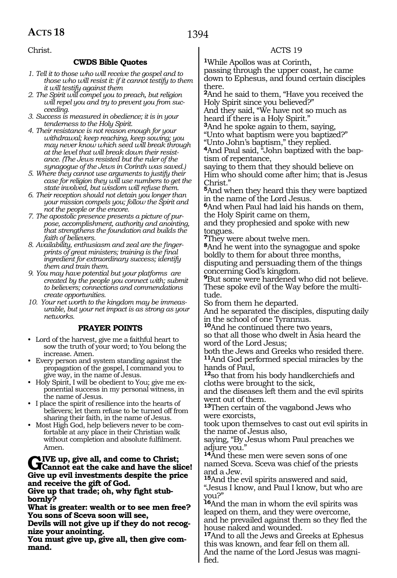Christ.

#### **CWDS Bible Quotes**

- *1. Tell it to those who will receive the gospel and to those who will resist it: if it cannot testify to them it will testify against them*
- *2. The Spirit will compel you to preach, but religion will repel you and try to prevent you from succeeding.*
- *3. Success is measured in obedience; it is in your tenderness to the Holy Spirit.*
- *4. Their resistance is not reason enough for your withdrawal; keep reaching, keep sowing; you may never know which seed will break through at the level that will break down their resistance. (The Jews resisted but the ruler of the synagogue of the Jews in Corinth was saved.)*
- *5. Where they cannot use arguments to justify their case for religion they will use numbers to get the state involved, but wisdom will refuse them.*
- *6. Their reception should not detain you longer than your mission compels you; follow the Spirit and not the people or the encore.*
- *7. The apostolic presence presents a picture of purpose, accomplishment, authority and anointing, that strengthens the foundation and builds the faith of believers.*
- *8. Availability, enthusiasm and zeal are the fingerprints of great ministers; training is the final ingredient for extraordinary success; identify them and train them.*
- *9. You may have potential but your platforms are created by the people you connect with; submit to believers; connections and commendations create opportunities.*
- *10. Your net worth to the kingdom may be immeasurable, but your net impact is as strong as your networks.*

#### **PRAYER POINTS**

- Lord of the harvest, give me a faithful heart to sow the truth of your word; to You belong the increase. Amen.
- Every person and system standing against the propagation of the gospel, I command you to give way, in the name of Jesus.
- Holy Spirit, I will be obedient to You; give me exponential success in my personal witness, in the name of Jesus.
- I place the spirit of resilience into the hearts of believers; let them refuse to be turned off from sharing their faith, in the name of Jesus.
- Most High God, help believers never to be comfortable at any place in their Christian walk without completion and absolute fulfilment. Amen.

### **GIVE** up, give all, and come to Christ;<br>Cannot eat the cake and have the slice! **Give up evil investments despite the price and receive the gift of God.**

**Give up that trade; oh, why fight stub- bornly?**

**What is greater: wealth or to see men free? You sons of Sceva soon will see,**

**Devils will not give up if they do not recog- nize your anointing.**

**You must give up, give all, then give command.**

#### ACTS 19

**<sup>1</sup>**While Apollos was at Corinth,

passing through the upper coast, he came down to Ephesus, and found certain disciples there.

**<sup>2</sup>**And he said to them, "Have you received the Holy Spirit since you believed?"

And they said, "We have not so much as heard if there is a Holy Spirit."

**<sup>3</sup>**And he spoke again to them, saying, "Unto what baptism were you baptized?"

"Unto John's baptism," they replied.

**4**And Paul said, "John baptized with the baptism of repentance,

saying to them that they should believe on Him who should come after him; that is Jesus Christ."

**<sup>5</sup>**And when they heard this they were baptized in the name of the Lord Jesus.

**<sup>6</sup>**And when Paul had laid his hands on them, the Holy Spirit came on them,

and they prophesied and spoke with new tongues.

**<sup>7</sup>**They were about twelve men.

**<sup>8</sup>**And he went into the synagogue and spoke boldly to them for about three months, disputing and persuading them of the things concerning God's kingdom.

**<sup>9</sup>**But some were hardened who did not believe. These spoke evil of the Way before the multitude.

So from them he departed.

And he separated the disciples, disputing daily in the school of one Tyrannus.

**<sup>10</sup>**And he continued there two years,

so that all those who dwelt in Asia heard the word of the Lord Jesus;

both the Jews and Greeks who resided there. **<sup>11</sup>**And God performed special miracles by the hands of Paul,

**<sup>12</sup>**so that from his body handkerchiefs and cloths were brought to the sick,

and the diseases left them and the evil spirits went out of them.

**<sup>13</sup>**Then certain of the vagabond Jews who were exorcists,

took upon themselves to cast out evil spirits in the name of Jesus also,

saying, "By Jesus whom Paul preaches we adjure you."

**<sup>14</sup>**And these men were seven sons of one named Sceva. Sceva was chief of the priests and a Jew.

**<sup>15</sup>**And the evil spirits answered and said,

"Jesus I know, and Paul I know, but who are you?"

**<sup>16</sup>**And the man in whom the evil spirits was leaped on them, and they were overcome, and he prevailed against them so they fled the house naked and wounded.

**<sup>17</sup>**And to all the Jews and Greeks at Ephesus this was known, and fear fell on them all. And the name of the Lord Jesus was magni- fied.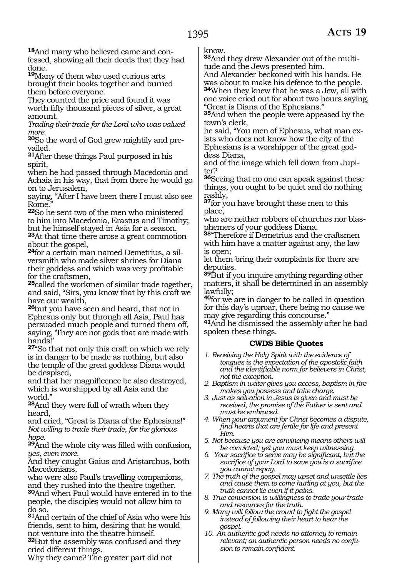**<sup>18</sup>**And many who believed came and con- fessed, showing all their deeds that they had done.

**<sup>19</sup>**Many of them who used curious arts brought their books together and burned them before everyone.

They counted the price and found it was worth fifty thousand pieces of silver, a great amount.

*Trading their trade for the Lord who was valued more.*

**20**So the word of God grew mightily and prevailed.

**<sup>21</sup>**After these things Paul purposed in his spirit,

when he had passed through Macedonia and Achaia in his way, that from there he would go on to Jerusalem,

saying, "After I have been there I must also see Rome.

**<sup>22</sup>**So he sent two of the men who ministered to him into Macedonia, Erastus and Timothy; but he himself stayed in Asia for a season.

**<sup>23</sup>**At that time there arose a great commotion about the gospel,

**24**for a certain man named Demetrius, a silversmith who made silver shrines for Diana their goddess and which was very profitable for the craftsmen,

**<sup>25</sup>**called the workmen of similar trade together, and said, "Sirs, you know that by this craft we have our wealth,

**<sup>26</sup>**but you have seen and heard, that not in Ephesus only but through all Asia, Paul has persuaded much people and turned them off, saying, 'They are not gods that are made with hands!'

**<sup>27</sup>**"So that not only this craft on which we rely is in danger to be made as nothing, but also the temple of the great goddess Diana would be despised,

and that her magnificence be also destroyed, which is worshipped by all Asia and the world."

**<sup>28</sup>**And they were full of wrath when they heard,

and cried, "Great is Diana of the Ephesians!" *Not willing to trade their trade, for the glorious hope.*

**<sup>29</sup>**And the whole city was filled with confusion, *yes, even more.*

And they caught Gaius and Aristarchus, both Macedonians,

who were also Paul's travelling companions, and they rushed into the theatre together.

**<sup>30</sup>**And when Paul would have entered in to the people, the disciples would not allow him to do so.

**<sup>31</sup>**And certain of the chief of Asia who were his friends, sent to him, desiring that he would not venture into the theatre himself.

**<sup>32</sup>**But the assembly was confused and they cried different things.

Why they came? The greater part did not

know.

**<sup>33</sup>**And they drew Alexander out of the multi- tude and the Jews presented him.

And Alexander beckoned with his hands. He was about to make his defence to the people. **<sup>34</sup>**When they knew that he was a Jew, all with one voice cried out for about two hours saying, "Great is Diana of the Ephesians."

**<sup>35</sup>**And when the people were appeased by the town's clerk,

he said, "You men of Ephesus, what man exists who does not know how the city of the Ephesians is a worshipper of the great goddess Diana,

and of the image which fell down from Jupiter?

**<sup>36</sup>**Seeing that no one can speak against these things, you ought to be quiet and do nothing rashly,

**<sup>37</sup>**for you have brought these men to this place,

who are neither robbers of churches nor blas- phemers of your goddess Diana.

**<sup>38</sup>**"Therefore if Demetrius and the craftsmen with him have a matter against any, the law is open;

let them bring their complaints for there are deputies.

**<sup>39</sup>**But if you inquire anything regarding other matters, it shall be determined in an assembly lawfully;

**<sup>40</sup>**for we are in danger to be called in question for this day's uproar, there being no cause we may give regarding this concourse."

**<sup>41</sup>**And he dismissed the assembly after he had spoken these things.

### **CWDS Bible Quotes**

- *1. Receiving the Holy Spirit with the evidence of tongues is the expectation of the apostolic faith and the identifiable norm for believers in Christ, not the exception.*
- *2. Baptism in water gives you access, baptism in fire makes you possess and take charge.*
- *3. Just as salvation in Jesus is given and must be received, the promise of the Father is sent and must be embraced.*
- *4. When your argument for Christ becomes a dispute, find hearts that are fertile for life and present Him.*
- *5. Not because you are convincing means others will be convicted; yet you must keep witnessing.*
- *6. Your sacrifice to serve may be significant, but the sacrifice of your Lord to save you is a sacrifice you cannot repay.*
- *7. The truth of the gospel may upset and unsettle lies and cause them to come hurling at you, but the truth cannot lie even if it pains.*
- *8. True conversion is willingness to trade your trade and resources for the truth.*
- *9. Many will follow the crowd to fight the gospel instead of following their heart to hear the gospel.*
- *10. An authentic god needs no attorney to remain relevant; an authentic person needs no confusion to remain confident.*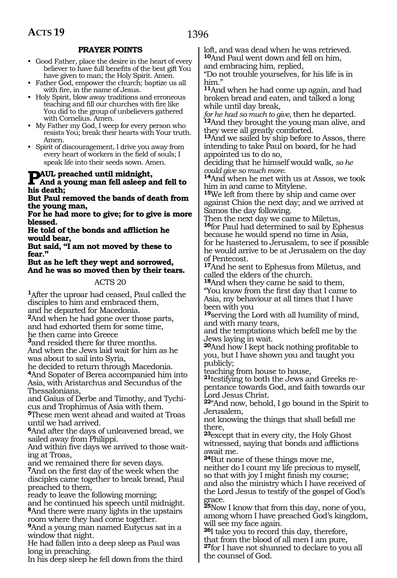#### **PRAYER POINTS**

- Good Father, place the desire in the heart of every believer to have full benefits of the best gift You have given to man; the Holy Spirit. Amen.
- Father God, empower the church; baptize us all with fire, in the name of Jesus.
- Holy Spirit, blow away traditions and erroneous teaching and fill our churches with fire like You did to the group of unbelievers gathered with Cornelius. Amen.
- My Father my God, I weep for every person who resists You; break their hearts with Your truth. Amen.
- Spirit of discouragement, I drive you away from every heart of workers in the field of souls; I speak life into their seeds sown. Amen.

## **PAUL preached until midnight,**

#### **And a young man fell asleep and fell to his death;**

**But Paul removed the bands of death from the young man,**

**For he had more to give; for to give is more blessed.**

**He told of the bonds and affliction he would bear,**

**But said, "I am not moved by these to fear."**

**But as he left they wept and sorrowed, And he was so moved then by their tears.**

#### ACTS 20

**<sup>1</sup>**After the uproar had ceased, Paul called the disciples to him and embraced them,

and he departed for Macedonia. **<sup>2</sup>**And when he had gone over those parts, and had exhorted them for some time,

he then came into Greece

**<sup>3</sup>**and resided there for three months. And when the Jews laid wait for him as he was about to sail into Syria,

he decided to return through Macedonia. **<sup>4</sup>**And Sopater of Berea accompanied him into Asia, with Aristarchus and Secundus of the

Thessalonians, and Gaius of Derbe and Timothy, and Tychicus and Trophimus of Asia with them.

**<sup>5</sup>**These men went ahead and waited at Troas until we had arrived.

**<sup>6</sup>**And after the days of unleavened bread, we sailed away from Philippi.

And within five days we arrived to those waiting at Troas,

and we remained there for seven days.

**<sup>7</sup>**And on the first day of the week when the disciples came together to break bread, Paul preached to them,

ready to leave the following morning; and he continued his speech until midnight.

**<sup>8</sup>**And there were many lights in the upstairs room where they had come together.

**<sup>9</sup>**And a young man named Eutycus sat in a window that night.

He had fallen into a deep sleep as Paul was long in preaching.

In his deep sleep he fell down from the third

loft, and was dead when he was retrieved. **<sup>10</sup>**And Paul went down and fell on him, and embracing him, replied,

"Do not trouble yourselves, for his life is in him."

**<sup>11</sup>**And when he had come up again, and had broken bread and eaten, and talked a long while until day break,

*for he had so much to give,* then he departed. **<sup>12</sup>**And they brought the young man alive, and they were all greatly comforted.

**<sup>13</sup>**And we sailed by ship before to Assos, there intending to take Paul on board, for he had appointed us to do so,

deciding that he himself would walk, *so he could give so much more.*

**<sup>14</sup>**And when he met with us at Assos, we took him in and came to Mitylene.

**<sup>15</sup>**We left from there by ship and came over against Chios the next day; and we arrived at Samos the day following.

Then the next day we came to Miletus, **<sup>16</sup>**for Paul had determined to sail by Ephesus because he would spend no time in Asia, for he hastened to Jerusalem, to see if possible he would arrive to be at Jerusalem on the day of Pentecost.

**<sup>17</sup>**And he sent to Ephesus from Miletus, and called the elders of the church.

**<sup>18</sup>**And when they came he said to them, "You know from the first day that I came to Asia, my behaviour at all times that I have been with you

**<sup>19</sup>**serving the Lord with all humility of mind, and with many tears,

and the temptations which befell me by the Jews laying in wait.

**<sup>20</sup>**And how I kept back nothing profitable to you, but I have shown you and taught you publicly;

teaching from house to house,

**21**testifying to both the Jews and Greeks repentance towards God, and faith towards our Lord Jesus Christ.

**<sup>22</sup>**"And now, behold, I go bound in the Spirit to Jerusalem,

not knowing the things that shall befall me there,

**<sup>23</sup>**except that in every city, the Holy Ghost witnessed, saying that bonds and afflictions await me.

**<sup>24</sup>**But none of these things move me, neither do I count my life precious to myself, so that with joy I might finish my course; and also the ministry which I have received of the Lord Jesus to testify of the gospel of God's grace.

**<sup>25</sup>**Now I know that from this day, none of you, among whom I have preached God's kingdom, will see my face again.

**<sup>26</sup>**I take you to record this day, therefore, that from the blood of all men I am pure,

**<sup>27</sup>**for I have not shunned to declare to you all the counsel of God.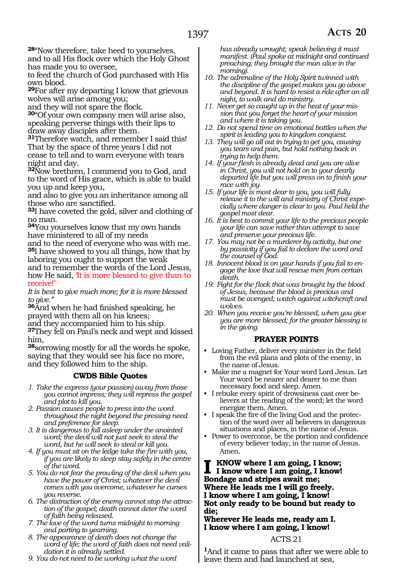**<sup>28</sup>**"Now therefore, take heed to yourselves, and to all His flock over which the Holy Ghost has made you to oversee,

to feed the church of God purchased with His own blood.

**<sup>29</sup>**For after my departing I know that grievous wolves will arise among you;

and they will not spare the flock.

**<sup>30</sup>**"Of your own company men will arise also, speaking perverse things with their lips to draw away disciples after them.

**<sup>31</sup>**Therefore watch, and remember I said this! That by the space of three years I did not cease to tell and to warn everyone with tears night and day.

**<sup>32</sup>**Now brethren, I commend you to God, and to the word of His grace, which is able to build you up and keep you,

and also to give you an inheritance among all those who are sanctified.

**<sup>33</sup>**I have coveted the gold, silver and clothing of no man.

**<sup>34</sup>**You yourselves know that my own hands have ministered to all of my needs

and to the need of everyone who was with me. **<sup>35</sup>**I have showed to you all things, how that by laboring you ought to support the weak

and to remember the words of the Lord Jesus, how He said, 'It is more blessed to give than to receive!'

*It is best to give much more; for it is more blessed to give."*

**<sup>36</sup>**And when he had finished speaking, he prayed with them all on his knees;

and they accompanied him to his ship.

**<sup>37</sup>**They fell on Paul's neck and wept and kissed him,

**<sup>38</sup>**sorrowing mostly for all the words he spoke, saying that they would see his face no more, and they followed him to the ship.

#### **CWDS Bible Quotes**

- *1. Take the express (your passion) away from those you cannot impress; they will repress the gospel and plot to kill you.*
- *2. Passion causes people to press into the word throughout the night beyond the pressing need and preference for sleep.*
- *3. It is dangerous to fall asleep under the anointed word; the devil will not just seek to steal the word, but he will seek to steal or kill you.*
- *4. If you must sit on the ledge take the fire with you, if you are likely to sleep stay safely in the centre of the word.*
- *5. You do not fear the prowling of the devil when you have the power of Christ; whatever the devil comes with you overcome, whatever he curses you reverse.*
- *6. The distraction of the enemy cannot stop the attraction of the gospel; death cannot deter the word of faith being released.*
- *7. The love of the word turns midnight to morning and parting to yearning.*
- *8. The appearance of death does not change the word of life; the word of faith does not need validation it is already settled.*
- *9. You do not need to be working what the word*

*has already wrought; speak believing it must manifest. (Paul spoke at midnight and continued preaching; they brought the man alive in the morning).*

- *10. The adrenaline of the Holy Spirit twinned with the discipline of the gospel makes you go above and beyond. It is hard to resist a ride after an all night, to walk and do ministry.*
- *11. Never get so caught up in the heat of your mission that you forget the heart of your mission and where it is taking you.*
- *12. Do not spend time on emotional battles when the spirit is leading you to kingdom conquest.*
- *13. They will go all out in trying to get you, causing you tears and pain, but hold nothing back in trying to help them.*
- *14. If your flesh is already dead and you are alive in Christ, you will not hold on to your dearly departed life but you will press on to finish your race with joy.*
- *15. If your life is most dear to you, you will fully release it to the will and ministry of Christ especially where danger is clear to you. Paul held the gospel most dear.*
- *16. It is best to commit your life to the precious people your life can save rather than attempt to save and preserve your precious life.*
- *17. You may not be a murderer by activity, but one by passivity if you fail to declare the word and the counsel of God.*
- *18. Innocent blood is on your hands if you fail to engage the love that will rescue men from certain death.*
- *19. Fight for the flock that was brought by the blood of Jesus, because the blood is precious and must be avenged; watch against witchcraft and wolves.*
- *20. When you receive you're blessed, when you give you are more blessed; for the greater blessing is in the giving.*

#### **PRAYER POINTS**

- Loving Father, deliver every minister in the field from the evil plans and plots of the enemy, in the name of Jesus.
- Make me a magnet for Your word Lord Jesus. Let Your word be nearer and dearer to me than necessary food and sleep. Amen.
- I rebuke every spirit of drowsiness cast over believers at the reading of the word; let the word energize them. Amen.
- I speak the fire of the living God and the protection of the word over all believers in dangerous situations and places, in the name of Jesus.
- Power to overcome, be the portion and confidence of every believer today, in the name of Jesus. Amen.

**I know where I am going, I know; I know where I am going, I know! Bondage and stripes await me; Where He leads me I will go freely. I know where I am going, I know! Not only ready to be bound but ready to die;**

**Wherever He leads me, ready am I. I know where I am going, I know!** 

#### ACTS 21

**<sup>1</sup>**And it came to pass that after we were able to leave them and had launched at sea,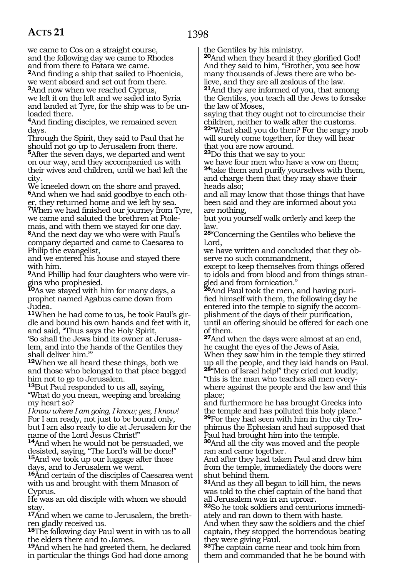we came to Cos on a straight course, and the following day we came to Rhodes and from there to Patara we came. **<sup>2</sup>**And finding a ship that sailed to Phoenicia, we went aboard and set out from there.

**<sup>3</sup>**And now when we reached Cyprus, we left it on the left and we sailed into Syria and landed at Tyre, for the ship was to be unloaded there.

**<sup>4</sup>**And finding disciples, we remained seven days.

Through the Spirit, they said to Paul that he should not go up to Jerusalem from there. **<sup>5</sup>**After the seven days, we departed and went on our way, and they accompanied us with their wives and children, until we had left the city.

We kneeled down on the shore and prayed. **6**And when we had said goodbye to each other, they returned home and we left by sea.

**<sup>7</sup>**When we had finished our journey from Tyre, we came and saluted the brethren at Ptolemais, and with them we stayed for one day.

**<sup>8</sup>**And the next day we who were with Paul's company departed and came to Caesarea to Philip the evangelist,

and we entered his house and stayed there with him.

**9**And Phillip had four daughters who were virgins who prophesied.

**<sup>10</sup>**As we stayed with him for many days, a prophet named Agabus came down from Judea.

**11**When he had come to us, he took Paul's girdle and bound his own hands and feet with it, and said, "Thus says the Holy Spirit,

'So shall the Jews bind its owner at Jerusalem, and into the hands of the Gentiles they shall deliver him."'

**<sup>12</sup>**When we all heard these things, both we and those who belonged to that place begged him not to go to Jerusalem.

**<sup>13</sup>**But Paul responded to us all, saying, "What do you mean, weeping and breaking my heart so?

*I know where I am going, I know; yes, I know!*  For I am ready, not just to be bound only, but I am also ready to die at Jerusalem for the name of the Lord Jesus Christ!"

**<sup>14</sup>**And when he would not be persuaded, we desisted, saying, "The Lord's will be done!" **<sup>15</sup>**And we took up our luggage after those days, and to Jerusalem we went.

**<sup>16</sup>**And certain of the disciples of Caesarea went with us and brought with them Mnason of Cyprus.

He was an old disciple with whom we should stay.

**17**And when we came to Jerusalem, the brethren gladly received us.

**<sup>18</sup>**The following day Paul went in with us to all the elders there and to James.

**<sup>19</sup>**And when he had greeted them, he declared in particular the things God had done among

the Gentiles by his ministry.

**<sup>20</sup>**And when they heard it they glorified God! And they said to him, "Brother, you see how many thousands of Jews there are who believe, and they are all zealous of the law. **<sup>21</sup>**And they are informed of you, that among the Gentiles, you teach all the Jews to forsake the law of Moses,

saying that they ought not to circumcise their children, neither to walk after the customs. **<sup>22</sup>**"What shall you do then? For the angry mob will surely come together, for they will hear that you are now around.

**<sup>23</sup>**Do this that we say to you:

we have four men who have a vow on them; **<sup>24</sup>**take them and purify yourselves with them, and charge them that they may shave their heads also;

and all may know that those things that have been said and they are informed about you are nothing,

but you yourself walk orderly and keep the law.

**<sup>25</sup>**"Concerning the Gentiles who believe the Lord,

we have written and concluded that they observe no such commandment,

except to keep themselves from things offered to idols and from blood and from things strangled and from fornication."

**26**And Paul took the men, and having purified himself with them, the following day he entered into the temple to signify the accomplishment of the days of their purification, until an offering should be offered for each one of them.

**<sup>27</sup>**And when the days were almost at an end, he caught the eyes of the Jews of Asia. When they saw him in the temple they stirred

up all the people, and they laid hands on Paul. **<sup>28</sup>**"Men of Israel help!" they cried out loudly;

"this is the man who teaches all men everywhere against the people and the law and this place;

and furthermore he has brought Greeks into the temple and has polluted this holy place." **29**For they had seen with him in the city Trophimus the Ephesian and had supposed that Paul had brought him into the temple.

**<sup>30</sup>**And all the city was moved and the people ran and came together.

And after they had taken Paul and drew him from the temple, immediately the doors were shut behind them.

**<sup>31</sup>**And as they all began to kill him, the news was told to the chief captain of the band that all Jerusalem was in an uproar.

**32**So he took soldiers and centurions immediately and ran down to them with haste.

And when they saw the soldiers and the chief captain, they stopped the horrendous beating they were giving Paul.

**<sup>33</sup>**The captain came near and took him from them and commanded that he be bound with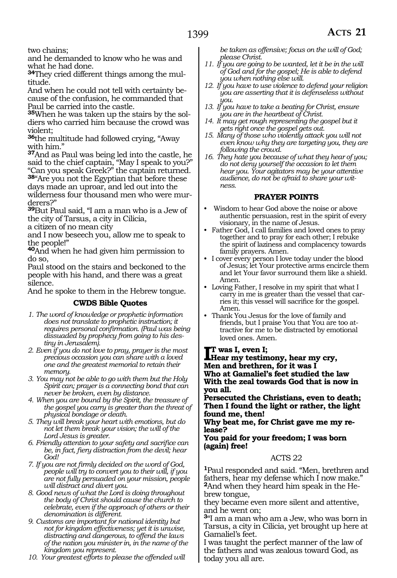and he demanded to know who he was and what he had done.

**34**They cried different things among the multitude.

And when he could not tell with certainty because of the confusion, he commanded that Paul be carried into the castle.

**35**When he was taken up the stairs by the soldiers who carried him because the crowd was violent;

**<sup>36</sup>**the multitude had followed crying, "Away with him."

**<sup>37</sup>**And as Paul was being led into the castle, he said to the chief captain, "May I speak to you?" "Can you speak Greek?" the captain returned.

**<sup>38</sup>**"Are you not the Egyptian that before these days made an uproar, and led out into the wilderness four thousand men who were mur-

derers?" **<sup>39</sup>**But Paul said, "I am a man who is a Jew of the city of Tarsus, a city in Cilicia,

a citizen of no mean city

and I now beseech you, allow me to speak to the people!"

**<sup>40</sup>**And when he had given him permission to do so,

Paul stood on the stairs and beckoned to the people with his hand, and there was a great silence.

And he spoke to them in the Hebrew tongue.

#### **CWDS Bible Quotes**

- *1. The word of knowledge or prophetic information does not translate to prophetic instruction; it requires personal confirmation. (Paul was being dissuaded by prophecy from going to his destiny in Jerusalem).*
- *2. Even if you do not love to pray, prayer is the most precious occasion you can share with a loved one and the greatest memorial to retain their memory.*
- *3. You may not be able to go with them but the Holy Spirit can; prayer is a connecting bond that can never be broken, even by distance.*
- *4. When you are bound by the Spirit, the treasure of the gospel you carry is greater than the threat of physical bondage or death.*
- *5. They will break your heart with emotions, but do not let them break your vision; the will of the Lord Jesus is greater.*
- *6. Friendly attention to your safety and sacrifice can be, in fact, fiery distraction from the devil; hear God!*
- *7. If you are not firmly decided on the word of God, people will try to convert you to their will, if you are not fully persuaded on your mission, people will distract and divert you.*
- *8. Good news of what the Lord is doing throughout the body of Christ should cause the church to celebrate, even if the approach of others or their denomination is different.*
- *9. Customs are important for national identity but not for kingdom effectiveness; yet it is unwise, distracting and dangerous, to offend the laws of the nation you minister in, in the name of the kingdom you represent.*

*10. Your greatest efforts to please the offended will* 

*be taken as offensive; focus on the will of God; please Christ.*

- *11. If you are going to be wanted, let it be in the will of God and for the gospel; He is able to defend you when nothing else will.*
- *12. If you have to use violence to defend your religion you are asserting that it is defenseless without you.*
- *13. If you have to take a beating for Christ, ensure you are in the heartbeat of Christ.*
- *14. It may get rough representing the gospel but it gets right once the gospel gets out.*
- *15. Many of those who violently attack you will not even know why they are targeting you, they are following the crowd.*
- *16. They hate you because of what they hear of you; do not deny yourself the occasion to let them hear you. Your agitators may be your attentive audience, do not be afraid to share your witness.*

#### **PRAYER POINTS**

- Wisdom to hear God above the noise or above authentic persuasion, rest in the spirit of every visionary, in the name of Jesus.
- Father God, I call families and loved ones to pray together and to pray for each other; I rebuke the spirit of laziness and complacency towards family prayers. Amen.
- I cover every person I love today under the blood of Jesus; let Your protective arms encircle them and let Your favor surround them like a shield. Amen.
- Loving Father, I resolve in my spirit that what I carry in me is greater than the vessel that carries it; this vessel will sacrifice for the gospel. Amen.
- Thank You Jesus for the love of family and friends, but I praise You that You are too attractive for me to be distracted by emotional loved ones. Amen.

#### **t was I, even I;**

**I**T was I, even I;<br>Hear my testimony, hear my cry, **Men and brethren, for it was I Who at Gamaliel's feet studied the law With the zeal towards God that is now in you all.**

**Persecuted the Christians, even to death; Then I found the light or rather, the light found me, then!**

**Why beat me, for Christ gave me my release?**

#### **You paid for your freedom; I was born (again) free!**

#### ACTS 22

**<sup>1</sup>**Paul responded and said. "Men, brethren and fathers, hear my defense which I now make." **2**And when they heard him speak in the Hebrew tongue,

they became even more silent and attentive, and he went on;

**<sup>3</sup>**"I am a man who am a Jew, who was born in Tarsus, a city in Cilicia, yet brought up here at Gamaliel's feet.

I was taught the perfect manner of the law of the fathers and was zealous toward God, as today you all are.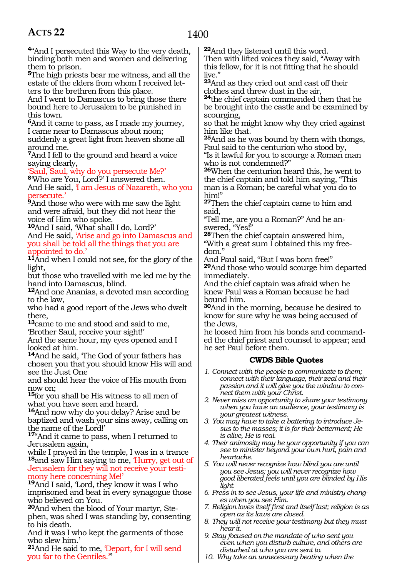**<sup>4</sup>**"And I persecuted this Way to the very death, binding both men and women and delivering them to prison.

**<sup>5</sup>**The high priests bear me witness, and all the estate of the elders from whom I received letters to the brethren from this place.

And I went to Damascus to bring those there bound here to Jerusalem to be punished in this town.

**<sup>6</sup>**And it came to pass, as I made my journey, I came near to Damascus about noon; suddenly a great light from heaven shone all around me.

**<sup>7</sup>**And I fell to the ground and heard a voice saying clearly,

'Saul, Saul, why do you persecute Me?' **<sup>8</sup>**'Who are You, Lord?' I answered then. And He said, 'I am Jesus of Nazareth, who you persecute.'

**<sup>9</sup>**And those who were with me saw the light and were afraid, but they did not hear the voice of Him who spoke.

**<sup>10</sup>**And I said, 'What shall I do, Lord?' And He said, 'Arise and go into Damascus and you shall be told all the things that you are appointed to do.'

**<sup>11</sup>**And when I could not see, for the glory of the light,

but those who travelled with me led me by the hand into Damascus, blind.

**<sup>12</sup>**And one Ananias, a devoted man according to the law,

who had a good report of the Jews who dwelt there,

**<sup>13</sup>**came to me and stood and said to me, 'Brother Saul, receive your sight!'

And the same hour, my eyes opened and I looked at him.

**<sup>14</sup>**And he said, 'The God of your fathers has chosen you that you should know His will and see the Just One

and should hear the voice of His mouth from now on;

**<sup>15</sup>**for you shall be His witness to all men of what you have seen and heard.

**<sup>16</sup>**And now why do you delay? Arise and be baptized and wash your sins away, calling on the name of the Lord!'

**<sup>17</sup>**"And it came to pass, when I returned to Jerusalem again,

while I prayed in the temple, I was in a trance **<sup>18</sup>**and saw Him saying to me, 'Hurry, get out of Jerusalem for they will not receive your testimony here concerning Me!'

**<sup>19</sup>**And I said, 'Lord, they know it was I who imprisoned and beat in every synagogue those who believed on You.

**20**And when the blood of Your martyr, Stephen, was shed I was standing by, consenting to his death.

And it was I who kept the garments of those who slew him.'

**<sup>21</sup>**And He said to me, 'Depart, for I will send you far to the Gentiles.'"

**<sup>22</sup>**And they listened until this word.

Then with lifted voices they said, "Away with this fellow, for it is not fitting that he should live."

**<sup>23</sup>**And as they cried out and cast off their clothes and threw dust in the air,

**<sup>24</sup>**the chief captain commanded then that he be brought into the castle and be examined by scourging,

so that he might know why they cried against him like that.

**<sup>25</sup>**And as he was bound by them with thongs, Paul said to the centurion who stood by,

"Is it lawful for you to scourge a Roman man who is not condemned?"

**<sup>26</sup>**When the centurion heard this, he went to the chief captain and told him saying, "This man is a Roman; be careful what you do to him!"

**<sup>27</sup>**Then the chief captain came to him and said,

"Tell me, are you a Roman?" And he answered, "Yes!"

**<sup>28</sup>**Then the chief captain answered him, "With a great sum I obtained this my freedom."

And Paul said, "But I was born free!" **<sup>29</sup>**And those who would scourge him departed immediately.

And the chief captain was afraid when he knew Paul was a Roman because he had bound him.

**<sup>30</sup>**And in the morning, because he desired to know for sure why he was being accused of

the Jews,<br>he loosed him from his bonds and commanded the chief priest and counsel to appear; and he set Paul before them.

#### **CWDS Bible Quotes**

*1. Connect with the people to communicate to them; connect with their language, their zeal and their passion and it will give you the window to connect them with your Christ.*

*2. Never miss an opportunity to share your testimony when you have an audience, your testimony is your greatest witness.*

*3. You may have to take a battering to introduce Jesus to the masses; it is for their betterment; He is alive, He is real.*

*4. Their animosity may be your opportunity if you can see to minister beyond your own hurt, pain and heartache.*

*5. You will never recognize how blind you are until you see Jesus; you will never recognize how good liberated feels until you are blinded by His light.*

*6. Press in to see Jesus, your life and ministry changes when you see Him.*

*7. Religion loves itself first and itself last; religion is as open as its laws are closed.*

*8. They will not receive your testimony but they must hear it.*

*9. Stay focused on the mandate of who sent you even when you disturb culture, and others are disturbed at who you are sent to.*

*10. Why take an unnecessary beating when the*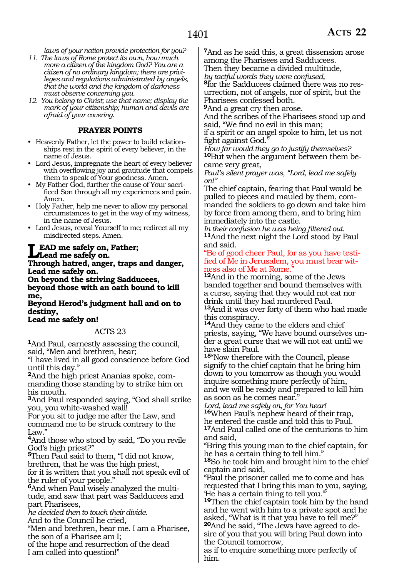*laws of your nation provide protection for you?*

- *11. The laws of Rome protect its own, how much more a citizen of the kingdom God? You are a citizen of no ordinary kingdom; there are privileges and regulations administrated by angels, that the world and the kingdom of darkness must observe concerning you.*
- *12. You belong to Christ; use that name; display the mark of your citizenship; human and devils are afraid of your covering.*

#### **PRAYER POINTS**

- Heavenly Father, let the power to build relationships rest in the spirit of every believer, in the name of Jesus.
- Lord Jesus, impregnate the heart of every believer with overflowing joy and gratitude that compels them to speak of Your goodness. Amen.
- My Father God, further the cause of Your sacrificed Son through all my experiences and pain. Amen.
- Holy Father, help me never to allow my personal circumstances to get in the way of my witness, in the name of Jesus.
- Lord Jesus, reveal Yourself to me; redirect all my misdirected steps. Amen.

#### **Lead me safely on, Father; Lead me safely on.**

**Through hatred, anger, traps and danger, Lead me safely on.**

**On beyond the striving Sadducees, beyond those with an oath bound to kill me,**

**Beyond Herod's judgment hall and on to destiny,**

#### **Lead me safely on!**

#### ACTS 23

**<sup>1</sup>**And Paul, earnestly assessing the council, said, "Men and brethren, hear;

"I have lived in all good conscience before God until this day."

**2**And the high priest Ananias spoke, commanding those standing by to strike him on his mouth.

**<sup>3</sup>**And Paul responded saying, "God shall strike you, you white-washed wall!

For you sit to judge me after the Law, and command me to be struck contrary to the Law."

**<sup>4</sup>**And those who stood by said, "Do you revile God's high priest?"

**<sup>5</sup>**Then Paul said to them, "I did not know, brethren, that he was the high priest,

for it is written that you shall not speak evil of the ruler of your people."

**6**And when Paul wisely analyzed the multitude, and saw that part was Sadducees and part Pharisees,

*he decided then to touch their divide.*

And to the Council he cried,

"Men and brethren, hear me. I am a Pharisee, the son of a Pharisee am I;

of the hope and resurrection of the dead I am called into question!"

**<sup>7</sup>**And as he said this, a great dissension arose among the Pharisees and Sadducees.

Then they became a divided multitude,

*by tactful words they were confused,* urrection, not of angels, nor of spirit, but the Pharisees confessed both.

**<sup>9</sup>**And a great cry then arose.

And the scribes of the Pharisees stood up and said, "We find no evil in this man;

if a spirit or an angel spoke to him, let us not fight against God."

*How far would they go to justify themselves?* **<sup>10</sup>**But when the argument between them be- came very great,

*Paul's silent prayer was, "Lord, lead me safely on!"* 

The chief captain, fearing that Paul would be pulled to pieces and mauled by them, commanded the soldiers to go down and take him by force from among them, and to bring him immediately into the castle.

*In their confusion he was being filtered out.* **<sup>11</sup>**And the next night the Lord stood by Paul and said.

"Be of good cheer Paul, for as you have testified of Me in Jerusalem, you must bear witness also of Me at Rome."

**<sup>12</sup>**And in the morning, some of the Jews banded together and bound themselves with a curse, saying that they would not eat nor drink until they had murdered Paul. **<sup>13</sup>**And it was over forty of them who had made this conspiracy.

**<sup>14</sup>**And they came to the elders and chief priests, saying, "We have bound ourselves under a great curse that we will not eat until we have slain Paul.

**<sup>15</sup>**"Now therefore with the Council, please signify to the chief captain that he bring him down to you tomorrow as though you would inquire something more perfectly of him, and we will be ready and prepared to kill him as soon as he comes near."

*Lord, lead me safely on, for You hear!* **<sup>16</sup>**When Paul's nephew heard of their trap, he entered the castle and told this to Paul. **<sup>17</sup>**And Paul called one of the centurions to him and said,

"Bring this young man to the chief captain, for he has a certain thing to tell him."

**<sup>18</sup>**So he took him and brought him to the chief captain and said,

"Paul the prisoner called me to come and has requested that I bring this man to you, saying, 'He has a certain thing to tell you.'"

**<sup>19</sup>**Then the chief captain took him by the hand and he went with him to a private spot and he asked, "What is it that you have to tell me?" **20**And he said, "The Jews have agreed to desire of you that you will bring Paul down into

the Council tomorrow, as if to enquire something more perfectly of him.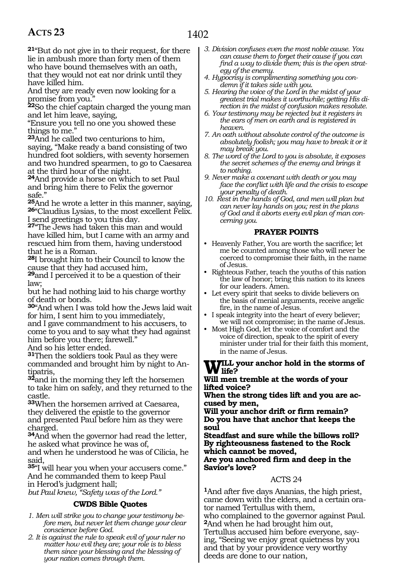**<sup>21</sup>**"But do not give in to their request, for there lie in ambush more than forty men of them who have bound themselves with an oath, that they would not eat nor drink until they have killed him.

And they are ready even now looking for a promise from you."

**<sup>22</sup>**So the chief captain charged the young man and let him leave, saying,

"Ensure you tell no one you showed these things to me.'

**<sup>23</sup>**And he called two centurions to him, saying, "Make ready a band consisting of two hundred foot soldiers, with seventy horsemen and two hundred spearmen, to go to Caesarea at the third hour of the night.

**<sup>24</sup>**And provide a horse on which to set Paul and bring him there to Felix the governor safe.'

**<sup>25</sup>**And he wrote a letter in this manner, saying, **26**"Claudius Lysias, to the most excellent Felix. I send greetings to you this day.

**<sup>27</sup>**"The Jews had taken this man and would have killed him, but I came with an army and rescued him from them, having understood that he is a Roman.

**<sup>28</sup>**I brought him to their Council to know the cause that they had accused him,

**<sup>29</sup>**and I perceived it to be a question of their law;

but he had nothing laid to his charge worthy of death or bonds.

**<sup>30</sup>**"And when I was told how the Jews laid wait for him, I sent him to you immediately,

and I gave commandment to his accusers, to come to you and to say what they had against him before you there; farewell."

And so his letter ended.

**<sup>31</sup>**Then the soldiers took Paul as they were commanded and brought him by night to An- tipatris,

**<sup>32</sup>**and in the morning they left the horsemen to take him on safely, and they returned to the castle.

**<sup>33</sup>**When the horsemen arrived at Caesarea, they delivered the epistle to the governor and presented Paul before him as they were charged.

**<sup>34</sup>**And when the governor had read the letter, he asked what province he was of,

and when he understood he was of Cilicia, he said,

**<sup>35</sup>**"I will hear you when your accusers come." And he commanded them to keep Paul in Herod's judgment hall;

*but Paul knew, "Safety was of the Lord."*

#### **CWDS Bible Quotes**

- *1. Men will strike you to change your testimony before men, but never let them change your clear conscience before God.*
- *2. It is against the rule to speak evil of your ruler no matter how evil they are; your role is to bless them since your blessing and the blessing of your nation comes through them.*
- *3. Division confuses even the most noble cause. You can cause them to forget their cause if you can find a way to divide them; this is the open strategy of the enemy.*
- *4. Hypocrisy is complimenting something you condemn if it takes side with you.*
- *5. Hearing the voice of the Lord in the midst of your greatest trial makes it worthwhile; getting His direction in the midst of confusion makes resolute.*
- *6. Your testimony may be rejected but it registers in the ears of men on earth and is registered in heaven.*
- *7. An oath without absolute control of the outcome is absolutely foolish; you may have to break it or it may break you.*
- *8. The word of the Lord to you is absolute, it exposes the secret schemes of the enemy and brings it to nothing.*
- *9. Never make a covenant with death or you may face the conflict with life and the crisis to escape your penalty of death.*
- *10. Rest in the hands of God, and men will plan but can never lay hands on you; rest in the plans of God and it aborts every evil plan of man concerning you.*

#### **PRAYER POINTS**

- Heavenly Father, You are worth the sacrifice; let me be counted among those who will never be coerced to compromise their faith, in the name of Jesus.
- Righteous Father, teach the youths of this nation the law of honor; bring this nation to its knees for our leaders. Amen.
- Let every spirit that seeks to divide believers on the basis of menial arguments, receive angelic fire, in the name of Jesus.
- I speak integrity into the heart of every believer; we will not compromise; in the name of Jesus.
- Most High God, let the voice of comfort and the voice of direction, speak to the spirit of every minister under trial for their faith this moment, in the name of Jesus.

# **W** life?<br>Will man tranship at the morte of name

**Will men tremble at the words of your lifted voice?**

**When the strong tides lift and you are accused by men,**

**Will your anchor drift or firm remain? Do you have that anchor that keeps the soul**

**Steadfast and sure while the billows roll? By righteousness fastened to the Rock which cannot be moved,**

#### **Are you anchored firm and deep in the Savior's love?**

#### ACTS 24

**<sup>1</sup>**And after five days Ananias, the high priest, came down with the elders, and a certain orator named Tertullus with them, who complained to the governor against Paul.

**<sup>2</sup>**And when he had brought him out, Tertullus accused him before everyone, saying, "Seeing we enjoy great quietness by you and that by your providence very worthy deeds are done to our nation,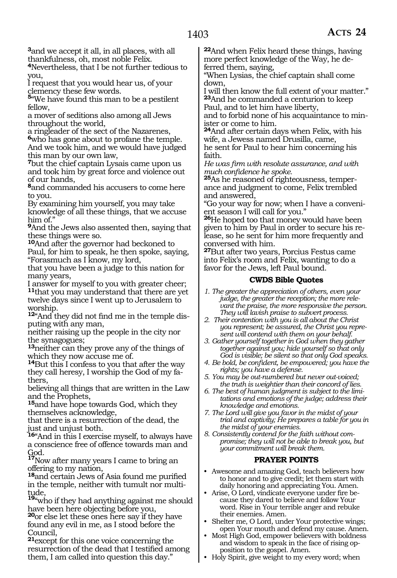**<sup>3</sup>**and we accept it all, in all places, with all thankfulness, oh, most noble Felix.

**<sup>4</sup>**Nevertheless, that I be not further tedious to you,

I request that you would hear us, of your clemency these few words.

**<sup>5</sup>**"We have found this man to be a pestilent fellow,

a mover of seditions also among all Jews throughout the world,

a ringleader of the sect of the Nazarenes, **<sup>6</sup>**who has gone about to profane the temple. And we took him, and we would have judged this man by our own law,

**<sup>7</sup>**but the chief captain Lysais came upon us and took him by great force and violence out of our hands,

**<sup>8</sup>**and commanded his accusers to come here to you.

By examining him yourself, you may take knowledge of all these things, that we accuse him of."

**<sup>9</sup>**And the Jews also assented then, saying that these things were so.

**<sup>10</sup>**And after the governor had beckoned to Paul, for him to speak, he then spoke, saying, "Forasmuch as I know, my lord,

that you have been a judge to this nation for many years,

I answer for myself to you with greater cheer; **<sup>11</sup>**that you may understand that there are yet twelve days since I went up to Jerusalem to worship.

**12**"And they did not find me in the temple disputing with any man,

neither raising up the people in the city nor the synagogues;

**<sup>13</sup>**neither can they prove any of the things of which they now accuse me of.

**<sup>14</sup>**But this I confess to you that after the way they call heresy, I worship the God of my fathers,

believing all things that are written in the Law and the Prophets,

**<sup>15</sup>**and have hope towards God, which they themselves acknowledge,

that there is a resurrection of the dead, the just and unjust both.

**<sup>16</sup>**"And in this I exercise myself, to always have a conscience free of offence towards man and God.

**<sup>17</sup>**Now after many years I came to bring an offering to my nation,

**<sup>18</sup>**and certain Jews of Asia found me purified in the temple, neither with tumult nor multi- tude,

19<sup>"w</sup>who if they had anything against me should have been here objecting before you,

**<sup>20</sup>**or else let these ones here say if they have found any evil in me, as I stood before the Council,

**<sup>21</sup>**except for this one voice concerning the resurrection of the dead that I testified among them, I am called into question this day."

**<sup>22</sup>**And when Felix heard these things, having more perfect knowledge of the Way, he de- ferred them, saying,

"When Lysias, the chief captain shall come down,

I will then know the full extent of your matter." **<sup>23</sup>**And he commanded a centurion to keep Paul, and to let him have liberty,

and to forbid none of his acquaintance to minister or come to him.

**<sup>24</sup>**And after certain days when Felix, with his wife, a Jewess named Drusilla, came,

he sent for Paul to hear him concerning his faith.

*He was firm with resolute assurance, and with much confidence he spoke.*

**25**As he reasoned of righteousness, temperance and judgment to come, Felix trembled and answered,

"Go your way for now; when I have a convenient season I will call for you."

**<sup>26</sup>**He hoped too that money would have been given to him by Paul in order to secure his release, so he sent for him more frequently and conversed with him.

**<sup>27</sup>**But after two years, Porcius Festus came into Felix's room and Felix, wanting to do a favor for the Jews, left Paul bound.

#### **CWDS Bible Quotes**

- *1. The greater the appreciation of others, even your judge, the greater the reception; the more relevant the praise, the more responsive the person. They will lavish praise to subvert process.*
- *2. Their contention with you is all about the Christ you represent; be assured, the Christ you represent will contend with them on your behalf.*
- *3. Gather yourself together in God when they gather together against you; hide yourself so that only God is visible; be silent so that only God speaks.*
- *4. Be bold, be confident, be empowered; you have the rights; you have a defense.*
- *5. You may be out-numbered but never out-voiced; the truth is weightier than their concord of lies.*
- *6. The best of human judgment is subject to the limitations and emotions of the judge; address their knowledge and emotions.*

*7. The Lord will give you favor in the midst of your trial and captivity; He prepares a table for you in the midst of your enemies.*

*8. Consistently contend for the faith without compromise; they will not be able to break you, but your commitment will break them.* 

#### **PRAYER POINTS**

- Awesome and amazing God, teach believers how to honor and to give credit; let them start with daily honoring and appreciating You. Amen.
- Arise, O Lord, vindicate everyone under fire because they dared to believe and follow Your word. Rise in Your terrible anger and rebuke their enemies. Amen.
- Shelter me, O Lord, under Your protective wings; open Your mouth and defend my cause. Amen.
- Most High God, empower believers with boldness and wisdom to speak in the face of rising opposition to the gospel. Amen.
- Holy Spirit, give weight to my every word; when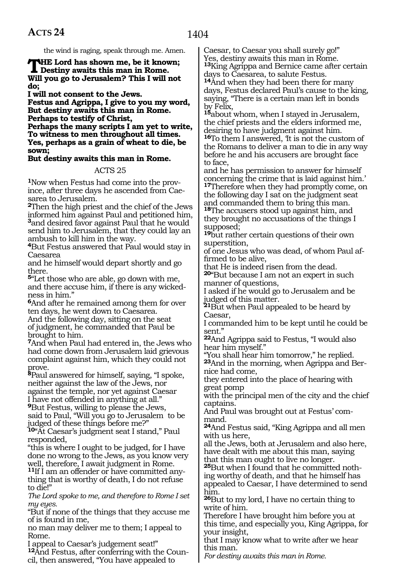the wind is raging, speak through me. Amen.

### **THE** Lord has shown me, be it known;<br>
Destiny awaits this man in Rome.<br>
Will real as a boundary This Luill not **Will you go to Jerusalem? This I will not do;**

**I will not consent to the Jews.**

**Festus and Agrippa, I give to you my word, But destiny awaits this man in Rome. Perhaps to testify of Christ,**

**Perhaps the many scripts I am yet to write, To witness to men throughout all times. Yes, perhaps as a grain of wheat to die, be sown;**

#### **But destiny awaits this man in Rome.**

#### ACTS 25

**1**Now when Festus had come into the province, after three days he ascended from Caesarea to Jerusalem.

**<sup>2</sup>**Then the high priest and the chief of the Jews informed him against Paul and petitioned him, **<sup>3</sup>**and desired favor against Paul that he would send him to Jerusalem, that they could lay an ambush to kill him in the way.

**<sup>4</sup>**But Festus answered that Paul would stay in Caesarea

and he himself would depart shortly and go there.

**<sup>5</sup>**"Let those who are able, go down with me, and there accuse him, if there is any wickedness in him."

**<sup>6</sup>**And after he remained among them for over ten days, he went down to Caesarea.

And the following day, sitting on the seat of judgment, he commanded that Paul be brought to him.

**<sup>7</sup>**And when Paul had entered in, the Jews who had come down from Jerusalem laid grievous complaint against him, which they could not prove.

**<sup>8</sup>**Paul answered for himself, saying, "I spoke, neither against the law of the Jews, nor against the temple, nor yet against Caesar I have not offended in anything at all."

**<sup>9</sup>**But Festus, willing to please the Jews,

said to Paul, "Will you go to Jerusalem to be judged of these things before me?"

**<sup>10</sup>**"At Caesar's judgment seat I stand," Paul responded,

"this is where I ought to be judged, for I have done no wrong to the Jews, as you know very well, therefore, I await judgment in Rome.

**11**If I am an offender or have committed anything that is worthy of death, I do not refuse to die!"

*The Lord spoke to me, and therefore to Rome I set my eyes.*

"But if none of the things that they accuse me of is found in me,

no man may deliver me to them; I appeal to Rome.

I appeal to Caesar's judgement seat!" **12**And Festus, after conferring with the Council, then answered, "You have appealed to

Caesar, to Caesar you shall surely go!" Yes, destiny awaits this man in Rome. **<sup>13</sup>**King Agrippa and Bernice came after certain days to Caesarea, to salute Festus.

**<sup>14</sup>**And when they had been there for many days, Festus declared Paul's cause to the king, saying, "There is a certain man left in bonds by Felix,

**<sup>15</sup>**about whom, when I stayed in Jerusalem, the chief priests and the elders informed me, desiring to have judgment against him.

16To them I answered, It is not the custom of the Romans to deliver a man to die in any way before he and his accusers are brought face to face,

and he has permission to answer for himself concerning the crime that is laid against him.'

**<sup>17</sup>**Therefore when they had promptly come, on the following day I sat on the judgment seat and commanded them to bring this man.

**<sup>18</sup>**The accusers stood up against him, and they brought no accusations of the things I supposed;

**<sup>19</sup>**but rather certain questions of their own superstition,

of one Jesus who was dead, of whom Paul affirmed to be alive,

that He is indeed risen from the dead. **<sup>20</sup>**"But because I am not an expert in such manner of questions,

I asked if he would go to Jerusalem and be judged of this matter.

**<sup>21</sup>**But when Paul appealed to be heard by Caesar,

I commanded him to be kept until he could be sent."

**<sup>22</sup>**And Agrippa said to Festus, "I would also hear him myself."

"You shall hear him tomorrow," he replied.

**<sup>23</sup>**And in the morning, when Agrippa and Ber- nice had come,

they entered into the place of hearing with great pomp

with the principal men of the city and the chief captains.

And Paul was brought out at Festus' com- mand.

**<sup>24</sup>**And Festus said, "King Agrippa and all men with us here,

all the Jews, both at Jerusalem and also here, have dealt with me about this man, saying that this man ought to live no longer.

**25**But when I found that he committed nothing worthy of death, and that he himself has appealed to Caesar, I have determined to send him.

**<sup>26</sup>**But to my lord, I have no certain thing to write of him.

Therefore I have brought him before you at this time, and especially you, King Agrippa, for your insight,

that I may know what to write after we hear this man.

*For destiny awaits this man in Rome.*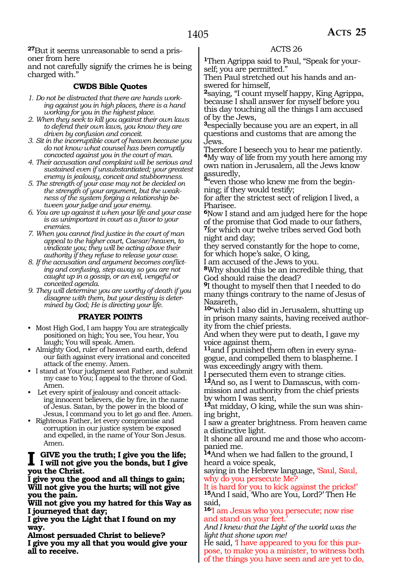**27**But it seems unreasonable to send a prisoner from here

and not carefully signify the crimes he is being charged with."

#### **CWDS Bible Quotes**

- *1. Do not be distracted that there are hands working against you in high places, there is a hand working for you in the highest place.*
- *2. When they seek to kill you against their own laws to defend their own laws, you know they are driven by confusion and conceit.*
- *3. Sit in the incorruptible court of heaven because you do not know what counsel has been corruptly concocted against you in the court of man.*
- *4. Their accusation and complaint will be serious and sustained even if unsubstantiated; your greatest enemy is jealousy, conceit and stubbornness.*
- *5. The strength of your case may not be decided on the strength of your argument, but the weakness of the system forging a relationship between your judge and your enemy.*
- *6. You are up against it when your life and your case is as unimportant in court as a favor to your enemies.*
- *7. When you cannot find justice in the court of man appeal to the higher court, Caesar/heaven, to vindicate you; they will be acting above their authority if they refuse to release your case.*
- *8. If the accusation and argument becomes conflicting and confusing, step away so you are not caught up in a gossip, or an evil, vengeful or conceited agenda.*

*9. They will determine you are worthy of death if you disagree with them, but your destiny is determined by God; He is directing your life.* 

#### **PRAYER POINTS**

- Most High God, I am happy You are strategically positioned on high; You see, You hear, You laugh; You will speak. Amen.
- Almighty God, ruler of heaven and earth, defend our faith against every irrational and conceited attack of the enemy. Amen.
- I stand at Your judgment seat Father, and submit my case to You; I appeal to the throne of God. Amen.
- Let every spirit of jealousy and conceit attacking innocent believers, die by fire, in the name of Jesus. Satan, by the power in the blood of Jesus, I command you to let go and flee. Amen.
- Righteous Father, let every compromise and corruption in our justice system be exposed and expelled, in the name of Your Son Jesus. Amen.

#### **I give you the truth; I give you the life; I will not give you the bonds, but I give you the Christ.**

**I give you the good and all things to gain; Will not give you the hurts; will not give you the pain.**

**Will not give you my hatred for this Way as I journeyed that day;**

**I give you the Light that I found on my way.**

**Almost persuaded Christ to believe? I give you my all that you would give your all to receive.**

#### ACTS 26

**1**Then Agrippa said to Paul, "Speak for yourself; you are permitted."

Then Paul stretched out his hands and answered for himself,

**<sup>2</sup>**saying, "I count myself happy, King Agrippa, because I shall answer for myself before you this day touching all the things I am accused of by the Jews,

**<sup>3</sup>**especially because you are an expert, in all questions and customs that are among the Jews.

Therefore I beseech you to hear me patiently. **<sup>4</sup>**My way of life from my youth here among my own nation in Jerusalem, all the Jews know

assuredly, **<sup>5</sup>**"even those who knew me from the beginning; if they would testify;

for after the strictest sect of religion I lived, a Pharisee.

**<sup>6</sup>**Now I stand and am judged here for the hope of the promise that God made to our fathers, **<sup>7</sup>**for which our twelve tribes served God both night and day;

they served constantly for the hope to come, for which hope's sake, O king,

I am accused of the Jews to you.

**<sup>8</sup>**Why should this be an incredible thing, that God should raise the dead?

**<sup>9</sup>**I thought to myself then that I needed to do many things contrary to the name of Jesus of Nazareth,

**<sup>10</sup>**"which I also did in Jerusalem, shutting up in prison many saints, having received authority from the chief priests.

And when they were put to death, I gave my voice against them,

**11**and I punished them often in every synagogue, and compelled them to blaspheme. I was exceedingly angry with them.

I persecuted them even to strange cities.

**12**And so, as I went to Damascus, with commission and authority from the chief priests by whom I was sent,

**13**at midday, O king, while the sun was shining bright,

I saw a greater brightness. From heaven came a distinctive light.

It shone all around me and those who accompanied me.

**<sup>14</sup>**And when we had fallen to the ground, I heard a voice speak,

saying in the Hebrew language, 'Saul, Saul, why do you persecute Me?

It is hard for you to kick against the pricks!' **<sup>15</sup>**And I said, 'Who are You, Lord?' Then He said,

**<sup>16</sup>**'I am Jesus who you persecute; now rise and stand on your feet.

*And I knew that the Light of the world was the light that shone upon me!*

He said, 'I have appeared to you for this purpose, to make you a minister, to witness both of the things you have seen and are yet to do,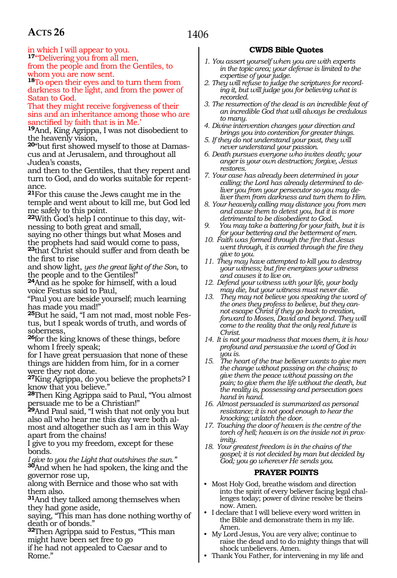in which I will appear to you. **<sup>17</sup>**"'Delivering you from all men,

from the people and from the Gentiles, to whom you are now sent.

**<sup>18</sup>**To open their eyes and to turn them from darkness to the light, and from the power of Satan to God.

That they might receive forgiveness of their sins and an inheritance among those who are anctified by faith that is in Me.

**<sup>19</sup>**And, King Agrippa, I was not disobedient to the heavenly vision,

**20**"but first showed myself to those at Damascus and at Jerusalem, and throughout all Judea's coasts,

and then to the Gentiles, that they repent and turn to God, and do works suitable for repentance.

**<sup>21</sup>**For this cause the Jews caught me in the temple and went about to kill me, but God led me safely to this point.

**22**With God's help I continue to this day, witnessing to both great and small,

saying no other things but what Moses and the prophets had said would come to pass, **<sup>23</sup>**that Christ should suffer and from death be the first to rise

and show light, *yes the great light of the Son*, to the people and to the Gentiles!"

**<sup>24</sup>**And as he spoke for himself, with a loud voice Festus said to Paul,

"Paul you are beside yourself; much learning has made you mad!"

**25**But he said, "I am not mad, most noble Festus, but I speak words of truth, and words of soberness,

**<sup>26</sup>**for the king knows of these things, before whom I freely speak;

for I have great persuasion that none of these things are hidden from him, for in a corner were they not done.

**<sup>27</sup>**King Agrippa, do you believe the prophets? I know that you believe."

**<sup>28</sup>**Then King Agrippa said to Paul, "You almost persuade me to be a Christian!"

**<sup>29</sup>**And Paul said, "I wish that not only you but also all who hear me this day were both almost and altogether such as I am in this Way apart from the chains!

I give to you my freedom, except for these bonds.

*I give to you the Light that outshines the sun."* **<sup>30</sup>**And when he had spoken, the king and the governor rose up,

along with Bernice and those who sat with them also.

**<sup>31</sup>**And they talked among themselves when they had gone aside,

saying, "This man has done nothing worthy of death or of bonds."

**<sup>32</sup>**Then Agrippa said to Festus, "This man might have been set free to go

if he had not appealed to Caesar and to Rome."

#### **CWDS Bible Quotes**

- *1. You assert yourself when you are with experts in the topic area; your defense is limited to the expertise of your judge.*
- *2. They will refuse to judge the scriptures for recording it, but will judge you for believing what is recorded.*
- *3. The resurrection of the dead is an incredible feat of an incredible God that will always be credulous to many.*
- *4. Divine intervention changes your direction and brings you into contention for greater things.*
- *5. If they do not understand your past, they will never understand your passion.*
- *6. Death pursues everyone who invites death; your anger is your own destruction; forgive, Jesus restores.*
- *7. Your case has already been determined in your calling; the Lord has already determined to deliver you from your persecutor so you may deliver them from darkness and turn them to Him.*
- *8. Your heavenly calling may distance you from men and cause them to detest you, but it is more detrimental to be disobedient to God.*
- *9. You may take a battering for your faith, but it is for your bettering and the betterment of men.*
- *10. Faith was formed through the fire that Jesus went through, it is carried through the fire they give to you.*
- *11. They may have attempted to kill you to destroy your witness; but fire energizes your witness and causes it to live on.*
- *12. Defend your witness with your life, your body may die, but your witness must never die.*
- *13. They may not believe you speaking the word of the ones they profess to believe, but they cannot escape Christ if they go back to creation, forward to Moses, David and beyond. They will come to the reality that the only real future is Christ.*
- *14. It is not your madness that moves them, it is how profound and persuasive the word of God in you is.*
- *15. The heart of the true believer wants to give men the change without passing on the chains; to give them the peace without passing on the pain; to give them the life without the death, but the reality is, possessing and persecution goes hand in hand.*
- *16. Almost persuaded is summarized as personal resistance; it is not good enough to hear the knocking; unlatch the door.*
- *17. Touching the door of heaven is the centre of the torch of hell; heaven is on the inside not in proximity.*
- *18. Your greatest freedom is in the chains of the gospel; it is not decided by man but decided by God; you go wherever He sends you.*

#### **PRAYER POINTS**

- Most Holy God, breathe wisdom and direction into the spirit of every believer facing legal challenges today; power of divine resolve be theirs now. Amen.
- I declare that I will believe every word written in the Bible and demonstrate them in my life. Amen.
- My Lord Jesus, You are very alive; continue to raise the dead and to do mighty things that will shock unbelievers. Amen.
- Thank You Father, for intervening in my life and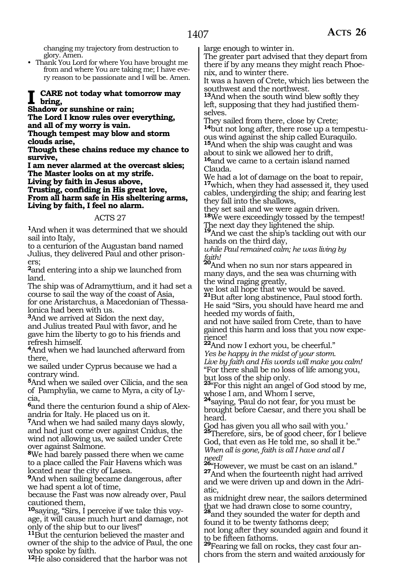changing my trajectory from destruction to glory. Amen.

• Thank You Lord for where You have brought me from and where You are taking me; I have every reason to be passionate and I will be. Amen.

#### **CARE** not today what tomorrow may **bring,**

#### **Shadow or sunshine or rain;**

**The Lord I know rules over everything, and all of my worry is vain.** 

**Though tempest may blow and storm clouds arise,** 

**Though these chains reduce my chance to survive,** 

**I am never alarmed at the overcast skies; The Master looks on at my strife.** 

**Living by faith in Jesus above,** 

**Trusting, confiding in His great love, From all harm safe in His sheltering arms, Living by faith, I feel no alarm.** 

#### ACTS 27

**<sup>1</sup>**And when it was determined that we should sail into Italy,

to a centurion of the Augustan band named Julius, they delivered Paul and other prisoners;

**<sup>2</sup>**and entering into a ship we launched from land.

The ship was of Adramyttium, and it had set a course to sail the way of the coast of Asia, for one Aristarchus, a Macedonian of Thessalonica had been with us.

**<sup>3</sup>**And we arrived at Sidon the next day, and Julius treated Paul with favor, and he gave him the liberty to go to his friends and refresh himself.

**<sup>4</sup>**And when we had launched afterward from there,

we sailed under Cyprus because we had a contrary wind.

**<sup>5</sup>**And when we sailed over Cilicia, and the sea of Pamphylia, we came to Myra, a city of Lycia,

**6**and there the centurion found a ship of Alexandria for Italy. He placed us on it.

**<sup>7</sup>**And when we had sailed many days slowly, and had just come over against Cnidus, the wind not allowing us, we sailed under Crete over against Salmone.

**<sup>8</sup>**We had barely passed there when we came to a place called the Fair Havens which was located near the city of Lasea.

**<sup>9</sup>**And when sailing became dangerous, after we had spent a lot of time,

because the Fast was now already over, Paul cautioned them,

**10**saying, "Sirs, I perceive if we take this voyage, it will cause much hurt and damage, not only of the ship but to our lives!"

**<sup>11</sup>**But the centurion believed the master and owner of the ship to the advice of Paul, the one who spoke by faith.

**<sup>12</sup>**He also considered that the harbor was not

large enough to winter in.

The greater part advised that they depart from there if by any means they might reach Phoenix, and to winter there.

It was a haven of Crete, which lies between the southwest and the northwest.

**<sup>13</sup>**And when the south wind blew softly they left, supposing that they had justified themselves.

They sailed from there, close by Crete;

**<sup>14</sup>**but not long after, there rose up a tempestu- ous wind against the ship called Euraquilo.

**<sup>15</sup>**And when the ship was caught and was about to sink we allowed her to drift,

**<sup>16</sup>**and we came to a certain island named Clauda.

We had a lot of damage on the boat to repair, **<sup>17</sup>**which, when they had assessed it, they used cables, undergirding the ship; and fearing lest they fall into the shallows,

they set sail and we were again driven. **<sup>18</sup>**We were exceedingly tossed by the tempest!

The next day they lightened the ship.

**<sup>19</sup>**And we cast the ship's tackling out with our hands on the third day,

*while Paul remained calm; he was living by* 

*faith!*  **<sup>20</sup>**And when no sun nor stars appeared in many days, and the sea was churning with the wind raging greatly,

we lost all hope that we would be saved. **<sup>21</sup>**But after long abstinence, Paul stood forth. He said "Sirs, you should have heard me and heeded my words of faith,

and not have sailed from Crete, than to have gained this harm and loss that you now expe-

rience! **<sup>22</sup>**And now I exhort you, be cheerful." *Yes be happy in the midst of your storm. Live by faith and His words will make you calm!*  "For there shall be no loss of life among you, but loss of the ship only.

**<sup>23</sup>**"For this night an angel of God stood by me,

whose I am, and Whom I serve,<br><sup>24</sup>saying, 'Paul do not fear, for you must be brought before Caesar, and there you shall be heard.

God has given you all who sail with you.' **<sup>25</sup>**Therefore, sirs, be of good cheer, for I believe God, that even as He told me, so shall it be." *When all is gone, faith is all I have and all I need!* 

**<sup>26</sup>**"However, we must be cast on an island." **27**And when the fourteenth night had arrived and we were driven up and down in the Adri- atic,

as midnight drew near, the sailors determined that we had drawn close to some country, **<sup>28</sup>**and they sounded the water for depth and

found it to be twenty fathoms deep;

not long after they sounded again and found it to be fifteen fathoms. **<sup>29</sup>**Fearing we fall on rocks, they cast four an-

chors from the stern and waited anxiously for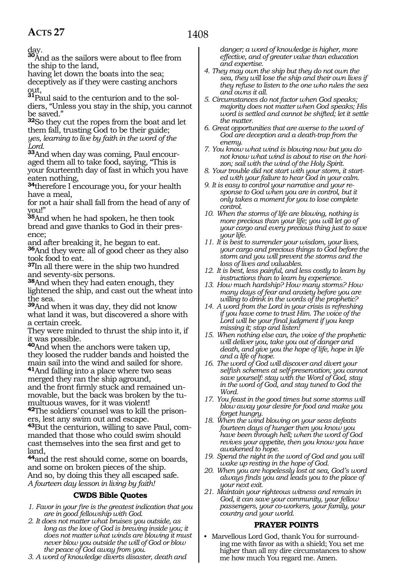day.

**<sup>30</sup>**And as the sailors were about to flee from the ship to the land,

having let down the boats into the sea; deceptively as if they were casting anchors

out,<br><sup>**31**Paul said to the centurion and to the sol-</sup> diers, "Unless you stay in the ship, you cannot be saved."

**<sup>32</sup>**So they cut the ropes from the boat and let them fall, trusting God to be their guide; *yes, learning to live by faith in the word of the Lord.* 

**<sup>33</sup>**And when day was coming, Paul encour- aged them all to take food, saying, "This is your fourteenth day of fast in which you have eaten nothing,

**<sup>34</sup>**therefore I encourage you, for your health have a meal,

for not a hair shall fall from the head of any of you!"

**<sup>35</sup>**And when he had spoken, he then took bread and gave thanks to God in their presence;

and after breaking it, he began to eat.

**<sup>36</sup>**And they were all of good cheer as they also took food to eat.

**<sup>37</sup>**In all there were in the ship two hundred and seventy-six persons.

**<sup>38</sup>**And when they had eaten enough, they lightened the ship, and cast out the wheat into the sea.

**<sup>39</sup>**And when it was day, they did not know what land it was, but discovered a shore with a certain creek.

They were minded to thrust the ship into it, if it was possible.

**<sup>40</sup>**And when the anchors were taken up, they loosed the rudder bands and hoisted the main sail into the wind and sailed for shore. **<sup>41</sup>**And falling into a place where two seas

merged they ran the ship aground,

and the front firmly stuck and remained unmovable, but the back was broken by the tumultuous waves, for it was violent!

**42**The soldiers' counsel was to kill the prisoners, lest any swim out and escape.

**43**But the centurion, willing to save Paul, commanded that those who could swim should cast themselves into the sea first and get to land,

**<sup>44</sup>**and the rest should come, some on boards, and some on broken pieces of the ship. And so, by doing this they all escaped safe. *A fourteen day lesson in living by faith!*

### **CWDS Bible Quotes**

- *1. Favor in your fire is the greatest indication that you are in good fellowship with God.*
- *2. It does not matter what bruises you outside, as long as the love of God is brewing inside you; it does not matter what winds are blowing it must never blow you outside the will of God or blow the peace of God away from you.*
- *3. A word of knowledge diverts disaster, death and*

*danger; a word of knowledge is higher, more effective, and of greater value than education and expertise.*

- *4. They may own the ship but they do not own the sea, they will lose the ship and their own lives if they refuse to listen to the one who rules the sea and owns it all.*
- *5. Circumstances do not factor when God speaks; majority does not matter when God speaks; His word is settled and cannot be shifted; let it settle the matter.*
- *6. Great opportunities that are averse to the word of God are deception and a death-trap from the enemy.*
- *7. You know what wind is blowing now but you do not know what wind is about to rise on the horizon; sail with the wind of the Holy Spirit.*
- *8. Your trouble did not start with your storm, it started with your failure to hear God in your calm.*
- *9. It is easy to control your narrative and your response to God when you are in control, but it only takes a moment for you to lose complete control.*
- *10. When the storms of life are blowing, nothing is more precious than your life; you will let go of your cargo and every precious thing just to save your life.*
- *11. It is best to surrender your wisdom, your lives, your cargo and precious things to God before the storm and you will prevent the storms and the loss of lives and valuables.*
- *12. It is best, less painful, and less costly to learn by instructions than to learn by experience.*
- *13. How much hardship? How many storms? How many days of fear and anxiety before you are willing to drink in the words of the prophetic?*
- *14. A word from the Lord in your crisis is refreshing if you have come to trust Him. The voice of the Lord will be your final judgment if you keep missing it; stop and listen!*
- *15. When nothing else can, the voice of the prophetic will deliver you, take you out of danger and death, and give you the hope of life, hope in life and a life of hope.*
- *16. The word of God will discover and divert your selfish schemes at self-preservation; you cannot save yourself: stay with the Word of God, stay in the word of God, and stay tuned to God the Word.*
- *17. You feast in the good times but some storms will blow away your desire for food and make you forget hungry.*
- *18. When the wind blowing on your seas defeats fourteen days of hunger then you know you have been through hell; when the word of God revives your appetite, then you know you have awakened to hope.*
- *19. Spend the night in the word of God and you will wake up resting in the hope of God.*
- *20. When you are hopelessly lost at sea, God's word always finds you and leads you to the place of your next exit.*
- *21. Maintain your righteous witness and remain in God, it can save your community, your fellow passengers, your co-workers, your family, your country and your world.*

#### **PRAYER POINTS**

• Marvellous Lord God, thank You for surrounding me with favor as with a shield; You set me higher than all my dire circumstances to show me how much You regard me. Amen.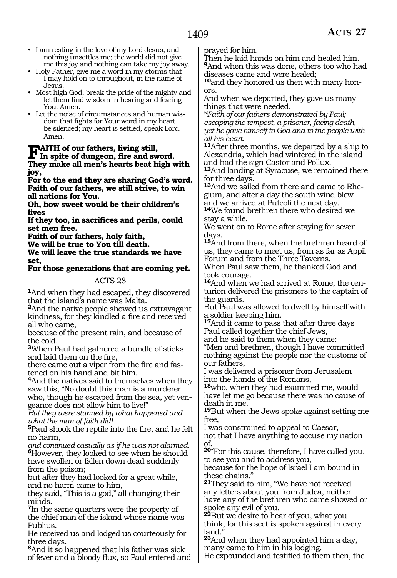- I am resting in the love of my Lord Jesus, and nothing unsettles me; the world did not give me this joy and nothing can take my joy away.
- Holy Father, give me a word in my storms that I may hold on to throughout, in the name of Jesus.
- Most high God, break the pride of the mighty and let them find wisdom in hearing and fearing You. Amen.
- Let the noise of circumstances and human wisdom that fights for Your word in my heart be silenced; my heart is settled, speak Lord. Amen.

### **FAITH of our fathers, living still,**<br>
In spite of dungeon, fire and sword.<br>
There make all may's hearts has high re-**They make all men's hearts beat high with joy,**

**For to the end they are sharing God's word. Faith of our fathers, we still strive, to win all nations for You.** 

**Oh, how sweet would be their children's lives** 

**If they too, in sacrifices and perils, could set men free.** 

**Faith of our fathers, holy faith,** 

**We will be true to You till death.** 

**We will leave the true standards we have set,** 

#### **For those generations that are coming yet.**

#### ACTS 28

**<sup>1</sup>**And when they had escaped, they discovered that the island's name was Malta.

**<sup>2</sup>**And the native people showed us extravagant kindness, for they kindled a fire and received all who came,

because of the present rain, and because of the cold.

**<sup>3</sup>**When Paul had gathered a bundle of sticks and laid them on the fire,

there came out a viper from the fire and fastened on his hand and bit him.

**<sup>4</sup>**And the natives said to themselves when they saw this, "No doubt this man is a murderer who, though he escaped from the sea, yet vengeance does not allow him to live!"

*But they were stunned by what happened and what the man of faith did!* 

**<sup>5</sup>**Paul shook the reptile into the fire, and he felt no harm,

*and continued casually as if he was not alarmed.*  **<sup>6</sup>**However, they looked to see when he should have swollen or fallen down dead suddenly from the poison;

but after they had looked for a great while, and no harm came to him,

they said, "This is a god," all changing their minds.

**<sup>7</sup>**In the same quarters were the property of the chief man of the island whose name was Publius.

He received us and lodged us courteously for three days.

**<sup>8</sup>**And it so happened that his father was sick of fever and a bloody flux, so Paul entered and prayed for him.

Then he laid hands on him and healed him. **<sup>9</sup>**And when this was done, others too who had diseases came and were healed;

**10**and they honored us then with many honors.

And when we departed, they gave us many things that were needed.

*@Faith of our fathers demonstrated by Paul; escaping the tempest, a prisoner, facing death, yet he gave himself to God and to the people with all his heart.*

**<sup>11</sup>**After three months, we departed by a ship to Alexandria, which had wintered in the island and had the sign Castor and Pollux.

**<sup>12</sup>**And landing at Syracuse, we remained there for three days.

**13**And we sailed from there and came to Rhegium, and after a day the south wind blew and we arrived at Puteoli the next day.

**<sup>14</sup>**We found brethren there who desired we stay a while.

We went on to Rome after staying for seven days.

**<sup>15</sup>**And from there, when the brethren heard of us, they came to meet us, from as far as Appii Forum and from the Three Taverns.

When Paul saw them, he thanked God and took courage.

**16**And when we had arrived at Rome, the centurion delivered the prisoners to the captain of the guards.

But Paul was allowed to dwell by himself with a soldier keeping him.

**<sup>17</sup>**And it came to pass that after three days Paul called together the chief Jews,

and he said to them when they came:

"Men and brethren, though I have committed nothing against the people nor the customs of our fathers,

I was delivered a prisoner from Jerusalem into the hands of the Romans,

**<sup>18</sup>**who, when they had examined me, would have let me go because there was no cause of death in me.

**<sup>19</sup>**But when the Jews spoke against setting me free,

I was constrained to appeal to Caesar,

not that I have anything to accuse my nation of.

**<sup>20</sup>**"For this cause, therefore, I have called you, to see you and to address you,

because for the hope of Israel I am bound in these chains."

**<sup>21</sup>**They said to him, "We have not received any letters about you from Judea, neither have any of the brethren who came showed or spoke any evil of you.

**<sup>22</sup>**But we desire to hear of you, what you think, for this sect is spoken against in every land."

**<sup>23</sup>**And when they had appointed him a day, many came to him in his lodging.

He expounded and testified to them then, the